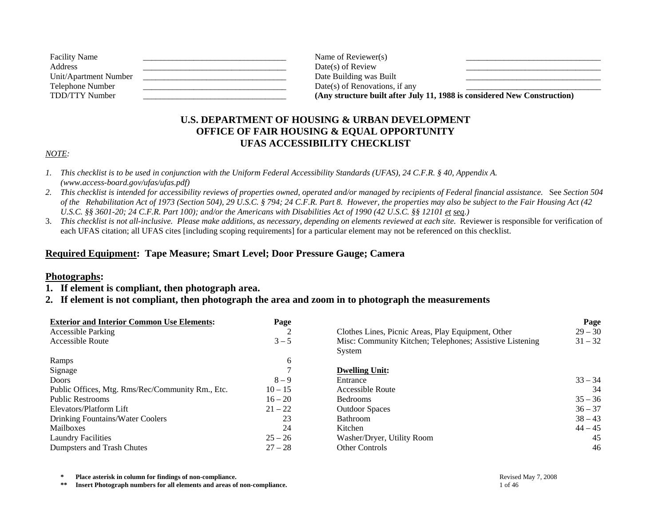| <b>Facility Name</b>  | Name of Reviewer(s)                                                      |  |
|-----------------------|--------------------------------------------------------------------------|--|
| Address               | Date(s) of Review                                                        |  |
| Unit/Apartment Number | Date Building was Built                                                  |  |
| Telephone Number      | Date(s) of Renovations, if any                                           |  |
| TDD/TTY Number        | (Any structure built after July 11, 1988 is considered New Construction) |  |

## **U.S. DEPARTMENT OF HOUSING & URBAN DEVELOPMENT OFFICE OF FAIR HOUSING & EQUAL OPPORTUNITY UFAS ACCESSIBILITY CHECKLIST**

## *NOTE:*

- *1. This checklist is to be used in conjunction with the Uniform Federal Accessibility Standards (UFAS), 24 C.F.R. § 40, Appendix A. (www.access-board.gov/ufas/ufas.pdf)*
- *2. This checklist is intended for accessibility reviews of properties owned, operated and/or managed by recipients of Federal financial assistance.* See *Section 504 of the Rehabilitation Act of 1973 (Section 504), 29 U.S.C. § 794; 24 C.F.R. Part 8. However, the properties may also be subject to the Fair Housing Act (42 U.S.C. §§ 3601-20; 24 C.F.R. Part 100); and/or the Americans with Disabilities Act of 1990 (42 U.S.C. §§ 12101 et seq.)*
- 3. *This checklist is not all-inclusive. Please make additions, as necessary, depending on elements reviewed at each site.* Reviewer is responsible for verification of each UFAS citation; all UFAS cites [including scoping requirements] for a particular element may not be referenced on this checklist.

## **Required Equipment: Tape Measure; Smart Level; Door Pressure Gauge; Camera**

## **Photographs:**

- **1. If element is compliant, then photograph area.**
- **2. If element is not compliant, then photograph the area and zoom in to photograph the measurements**

| <b>Exterior and Interior Common Use Elements:</b> | Page      |                                                          | Page      |
|---------------------------------------------------|-----------|----------------------------------------------------------|-----------|
| <b>Accessible Parking</b>                         | ◠<br>∠    | Clothes Lines, Picnic Areas, Play Equipment, Other       | $29 - 30$ |
| <b>Accessible Route</b>                           | $3 - 5$   | Misc: Community Kitchen; Telephones; Assistive Listening | $31 - 32$ |
|                                                   |           | System                                                   |           |
| Ramps                                             | 6         |                                                          |           |
| Signage                                           |           | <b>Dwelling Unit:</b>                                    |           |
| <b>Doors</b>                                      | $8 - 9$   | Entrance                                                 | $33 - 34$ |
| Public Offices, Mtg. Rms/Rec/Community Rm., Etc.  | $10 - 15$ | Accessible Route                                         | 34        |
| <b>Public Restrooms</b>                           | $16 - 20$ | <b>Bedrooms</b>                                          | $35 - 36$ |
| Elevators/Platform Lift                           | $21 - 22$ | <b>Outdoor Spaces</b>                                    | $36 - 37$ |
| Drinking Fountains/Water Coolers                  | 23        | <b>Bathroom</b>                                          | $38 - 43$ |
| <b>Mailboxes</b>                                  | 24        | Kitchen                                                  | $44 - 45$ |
| <b>Laundry Facilities</b>                         | $25 - 26$ | Washer/Dryer, Utility Room                               | 45        |
| Dumpsters and Trash Chutes                        | $27 - 28$ | <b>Other Controls</b>                                    | 46        |

**\*** Place asterisk in column for findings of non-compliance.<br> **\*\*** Insert Photograph numbers for all elements and areas of non-compliance. Insert Photograph numbers for all elements and areas of non-compliance.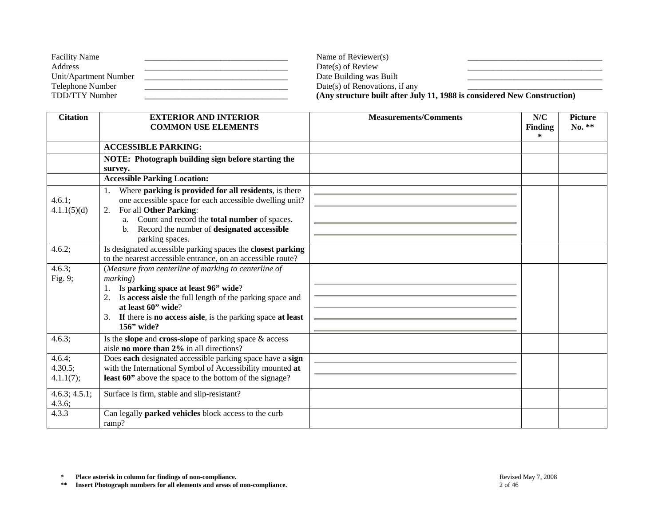| <b>Facility Name</b>  | Name of Reviewer(s)                                                      |
|-----------------------|--------------------------------------------------------------------------|
| Address               | $Date(s)$ of Review                                                      |
| Unit/Apartment Number | Date Building was Built                                                  |
| Telephone Number      | Date(s) of Renovations, if any                                           |
| TDD/TTY Number        | (Any structure built after July 11, 1988 is considered New Construction) |

| <b>Citation</b>                | <b>EXTERIOR AND INTERIOR</b><br><b>COMMON USE ELEMENTS</b>                                                                                                                                                                                                                        | <b>Measurements/Comments</b> | N/C<br><b>Finding</b><br>$\ast$ | <b>Picture</b><br>No. ** |
|--------------------------------|-----------------------------------------------------------------------------------------------------------------------------------------------------------------------------------------------------------------------------------------------------------------------------------|------------------------------|---------------------------------|--------------------------|
|                                | <b>ACCESSIBLE PARKING:</b>                                                                                                                                                                                                                                                        |                              |                                 |                          |
|                                | NOTE: Photograph building sign before starting the<br>survey.                                                                                                                                                                                                                     |                              |                                 |                          |
|                                | <b>Accessible Parking Location:</b>                                                                                                                                                                                                                                               |                              |                                 |                          |
| 4.6.1;<br>4.1.1(5)(d)          | Where parking is provided for all residents, is there<br>one accessible space for each accessible dwelling unit?<br>For all Other Parking:<br>2.<br>a. Count and record the <b>total number</b> of spaces.<br>Record the number of designated accessible<br>parking spaces.       |                              |                                 |                          |
| 4.6.2;                         | Is designated accessible parking spaces the closest parking<br>to the nearest accessible entrance, on an accessible route?                                                                                                                                                        |                              |                                 |                          |
| 4.6.3;<br>Fig. 9;              | (Measure from centerline of marking to centerline of<br>marking)<br>Is parking space at least 96" wide?<br>Is access aisle the full length of the parking space and<br>2.<br>at least 60" wide?<br>3. If there is no access aisle, is the parking space at least<br>$156$ " wide? |                              |                                 |                          |
| 4.6.3;                         | Is the slope and cross-slope of parking space $\&$ access<br>aisle no more than 2% in all directions?                                                                                                                                                                             |                              |                                 |                          |
| 4.6.4;<br>4.30.5;<br>4.1.1(7); | Does each designated accessible parking space have a sign<br>with the International Symbol of Accessibility mounted at<br>least 60" above the space to the bottom of the signage?                                                                                                 |                              |                                 |                          |
| 4.6.3; 4.5.1;<br>4.3.6;        | Surface is firm, stable and slip-resistant?                                                                                                                                                                                                                                       |                              |                                 |                          |
| 4.3.3                          | Can legally <b>parked vehicles</b> block access to the curb<br>ramp?                                                                                                                                                                                                              |                              |                                 |                          |

**\*\* Insert Photograph numbers for all elements and areas of non-compliance.** 2 of 46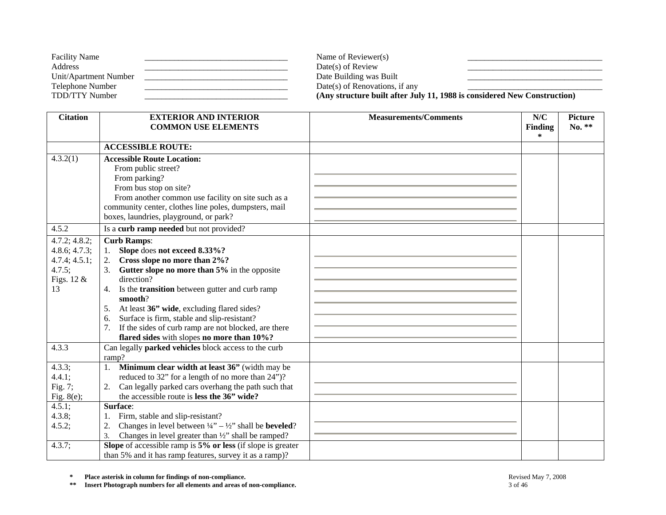| <b>Facility Name</b>  | Name of Reviewer(s)            |                                                                          |
|-----------------------|--------------------------------|--------------------------------------------------------------------------|
| Address               | $Date(s)$ of Review            |                                                                          |
| Unit/Apartment Number | Date Building was Built        |                                                                          |
| Telephone Number      | Date(s) of Renovations, if any |                                                                          |
| TDD/TTY Number        |                                | (Any structure built after July 11, 1988 is considered New Construction) |

| <b>Citation</b>                                                                           | <b>EXTERIOR AND INTERIOR</b><br><b>COMMON USE ELEMENTS</b>                                                                                                                                                                                                                                                                                                                                                                                                                                                                       | <b>Measurements/Comments</b> | N/C<br><b>Finding</b> | <b>Picture</b><br>$No. **$ |
|-------------------------------------------------------------------------------------------|----------------------------------------------------------------------------------------------------------------------------------------------------------------------------------------------------------------------------------------------------------------------------------------------------------------------------------------------------------------------------------------------------------------------------------------------------------------------------------------------------------------------------------|------------------------------|-----------------------|----------------------------|
|                                                                                           |                                                                                                                                                                                                                                                                                                                                                                                                                                                                                                                                  |                              | *                     |                            |
|                                                                                           | <b>ACCESSIBLE ROUTE:</b>                                                                                                                                                                                                                                                                                                                                                                                                                                                                                                         |                              |                       |                            |
| 4.3.2(1)                                                                                  | <b>Accessible Route Location:</b><br>From public street?<br>From parking?<br>From bus stop on site?<br>From another common use facility on site such as a<br>community center, clothes line poles, dumpsters, mail                                                                                                                                                                                                                                                                                                               |                              |                       |                            |
| 4.5.2                                                                                     | boxes, laundries, playground, or park?<br>Is a curb ramp needed but not provided?                                                                                                                                                                                                                                                                                                                                                                                                                                                |                              |                       |                            |
|                                                                                           |                                                                                                                                                                                                                                                                                                                                                                                                                                                                                                                                  |                              |                       |                            |
| 4.7.2; 4.8.2;<br>4.8.6; 4.7.3;<br>4.7.4; 4.5.1;<br>4.7.5;<br>Figs. $12 \&$<br>13<br>4.3.3 | <b>Curb Ramps:</b><br>Slope does not exceed 8.33%?<br>1.<br>Cross slope no more than 2%?<br>2.<br>Gutter slope no more than 5% in the opposite<br>3.<br>direction?<br>Is the <b>transition</b> between gutter and curb ramp<br>4.<br>smooth?<br>At least 36" wide, excluding flared sides?<br>5.<br>Surface is firm, stable and slip-resistant?<br>6.<br>If the sides of curb ramp are not blocked, are there<br>7.<br>flared sides with slopes no more than 10%?<br>Can legally <b>parked vehicles</b> block access to the curb |                              |                       |                            |
|                                                                                           | ramp?                                                                                                                                                                                                                                                                                                                                                                                                                                                                                                                            |                              |                       |                            |
| 4.3.3;<br>4.4.1;<br>Fig. 7;<br>Fig. $8(e)$ ;                                              | 1. Minimum clear width at least 36" (width may be<br>reduced to 32" for a length of no more than 24")?<br>Can legally parked cars overhang the path such that<br>2.<br>the accessible route is less the 36" wide?                                                                                                                                                                                                                                                                                                                |                              |                       |                            |
| 4.5.1;                                                                                    | Surface:                                                                                                                                                                                                                                                                                                                                                                                                                                                                                                                         |                              |                       |                            |
| $4.3.8$ ;<br>4.5.2;                                                                       | Firm, stable and slip-resistant?<br>1.<br>Changes in level between $\frac{1}{4}$ – $\frac{1}{2}$ shall be <b>beveled</b> ?<br>2.<br>Changes in level greater than 1/2" shall be ramped?<br>3.                                                                                                                                                                                                                                                                                                                                    |                              |                       |                            |
| 4.3.7;                                                                                    | Slope of accessible ramp is $5\%$ or less (if slope is greater<br>than 5% and it has ramp features, survey it as a ramp)?                                                                                                                                                                                                                                                                                                                                                                                                        |                              |                       |                            |

**\*\* Insert Photograph numbers for all elements and areas of non-compliance.** 3 of 46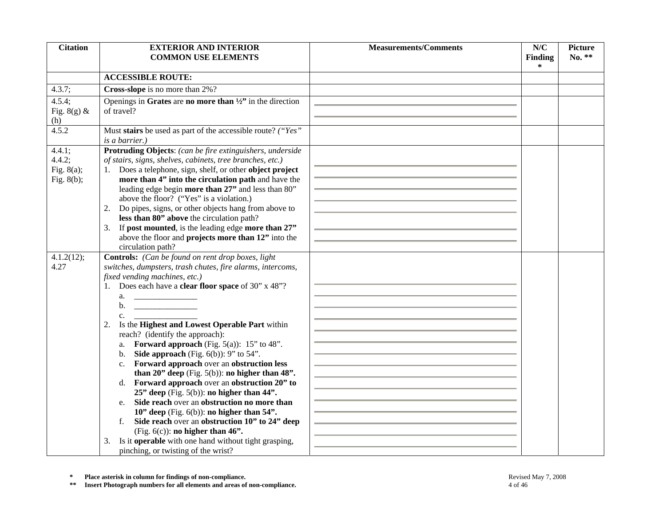| <b>Citation</b>    | <b>EXTERIOR AND INTERIOR</b>                                                        | <b>Measurements/Comments</b> | N/C                 | <b>Picture</b> |
|--------------------|-------------------------------------------------------------------------------------|------------------------------|---------------------|----------------|
|                    | <b>COMMON USE ELEMENTS</b>                                                          |                              | <b>Finding</b>      | No. **         |
|                    |                                                                                     |                              | $\ast$              |                |
|                    | <b>ACCESSIBLE ROUTE:</b>                                                            |                              |                     |                |
| 4.3.7;             | Cross-slope is no more than 2%?                                                     |                              |                     |                |
| 4.5.4;             | Openings in Grates are no more than $\frac{1}{2}$ in the direction                  |                              |                     |                |
| Fig. $8(g)$ &      | of travel?                                                                          |                              |                     |                |
| (h)                |                                                                                     |                              |                     |                |
| $4.5.\overline{2}$ | Must stairs be used as part of the accessible route? ("Yes"                         |                              |                     |                |
| 4.4.1;             | <i>is a barrier.</i> )<br>Protruding Objects: (can be fire extinguishers, underside |                              |                     |                |
| 4.4.2;             | of stairs, signs, shelves, cabinets, tree branches, etc.)                           |                              |                     |                |
| Fig. $8(a)$ ;      | 1. Does a telephone, sign, shelf, or other object project                           |                              |                     |                |
| Fig. $8(b)$ ;      | more than 4" into the circulation path and have the                                 |                              |                     |                |
|                    | leading edge begin more than 27" and less than 80"                                  |                              |                     |                |
|                    | above the floor? ("Yes" is a violation.)                                            |                              |                     |                |
|                    | Do pipes, signs, or other objects hang from above to<br>2.                          |                              |                     |                |
|                    | less than 80" above the circulation path?                                           |                              |                     |                |
|                    | 3. If post mounted, is the leading edge more than 27"                               |                              |                     |                |
|                    | above the floor and projects more than 12" into the                                 |                              |                     |                |
|                    | circulation path?                                                                   |                              |                     |                |
| 4.1.2(12);         | Controls: (Can be found on rent drop boxes, light                                   |                              |                     |                |
| 4.27               | switches, dumpsters, trash chutes, fire alarms, intercoms,                          |                              |                     |                |
|                    | fixed vending machines, etc.)                                                       |                              |                     |                |
|                    | 1. Does each have a <b>clear floor space</b> of 30" x 48"?                          |                              |                     |                |
|                    | a. $\qquad \qquad$                                                                  |                              |                     |                |
|                    | b. $\qquad \qquad$                                                                  |                              |                     |                |
|                    | $c_{\cdot}$                                                                         |                              |                     |                |
|                    | Is the Highest and Lowest Operable Part within<br>2.                                |                              |                     |                |
|                    | reach? (identify the approach):<br>a. Forward approach (Fig. 5(a)): $15"$ to 48".   |                              |                     |                |
|                    | Side approach (Fig. $6(b)$ ): 9" to 54".<br>b.                                      |                              |                     |                |
|                    | c. Forward approach over an obstruction less                                        |                              |                     |                |
|                    | than $20$ " deep (Fig. $5(b)$ ): no higher than $48$ ".                             |                              |                     |                |
|                    | d. Forward approach over an obstruction 20" to                                      |                              |                     |                |
|                    | $25$ " deep (Fig. 5(b)): no higher than $44$ ".                                     |                              |                     |                |
|                    | Side reach over an obstruction no more than<br>e.                                   |                              |                     |                |
|                    | 10" deep (Fig. $6(b)$ ): no higher than 54".                                        |                              |                     |                |
|                    | Side reach over an obstruction 10" to 24" deep                                      |                              |                     |                |
|                    | (Fig. $6(c)$ ): no higher than 46".                                                 |                              |                     |                |
|                    | Is it operable with one hand without tight grasping,<br>3.                          |                              |                     |                |
|                    | pinching, or twisting of the wrist?                                                 |                              |                     |                |
|                    |                                                                                     |                              |                     |                |
| $\approx$          | Place asterisk in column for findings of non-compliance.                            |                              | Revised May 7, 2008 |                |
| $\ast$ $\ast$      | Insert Photograph numbers for all elements and areas of non-compliance.             | 4 of 46                      |                     |                |

**\* Place asterisk in column for findings of non-compliance.** Revised May 7, 2008 Revised May 7, 2008<br> **\*\*** Insert Photograph numbers for all elements and areas of non-compliance. 4 of 46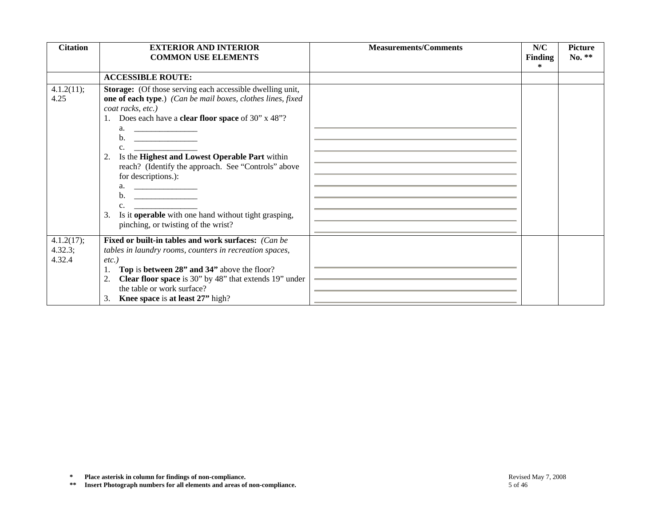| <b>Citation</b>                 | <b>EXTERIOR AND INTERIOR</b><br><b>COMMON USE ELEMENTS</b>                                                                                                                                                                                                                                                                                                                                                                                                                                                                              | <b>Measurements/Comments</b> | N/C<br>Finding      | <b>Picture</b><br>No. ** |
|---------------------------------|-----------------------------------------------------------------------------------------------------------------------------------------------------------------------------------------------------------------------------------------------------------------------------------------------------------------------------------------------------------------------------------------------------------------------------------------------------------------------------------------------------------------------------------------|------------------------------|---------------------|--------------------------|
|                                 |                                                                                                                                                                                                                                                                                                                                                                                                                                                                                                                                         |                              | $\ast$              |                          |
|                                 | <b>ACCESSIBLE ROUTE:</b>                                                                                                                                                                                                                                                                                                                                                                                                                                                                                                                |                              |                     |                          |
| 4.1.2(11);<br>4.25              | Storage: (Of those serving each accessible dwelling unit,<br>one of each type.) (Can be mail boxes, clothes lines, fixed<br>coat racks, etc.)<br>1. Does each have a <b>clear floor space</b> of 30" x 48"?<br>a. $\qquad \qquad$<br>$c.$ $\qquad \qquad$<br>2. Is the Highest and Lowest Operable Part within<br>reach? (Identify the approach. See "Controls" above<br>for descriptions.):<br>a. $\qquad \qquad$<br>b.<br>c.<br>3. Is it <b>operable</b> with one hand without tight grasping,<br>pinching, or twisting of the wrist? |                              |                     |                          |
| 4.1.2(17);<br>4.32.3;<br>4.32.4 | Fixed or built-in tables and work surfaces: (Can be<br>tables in laundry rooms, counters in recreation spaces,<br>$etc.$ )<br>Top is between 28" and 34" above the floor?<br>1.<br>Clear floor space is 30" by 48" that extends 19" under<br>2.<br>the table or work surface?<br>3. Knee space is at least 27" high?                                                                                                                                                                                                                    |                              |                     |                          |
| $\approx$<br>$\pm\,\pm$         | Place asterisk in column for findings of non-compliance.<br>Insert Photograph numbers for all elements and areas of non-compliance.                                                                                                                                                                                                                                                                                                                                                                                                     | 5 of 46                      | Revised May 7, 2008 |                          |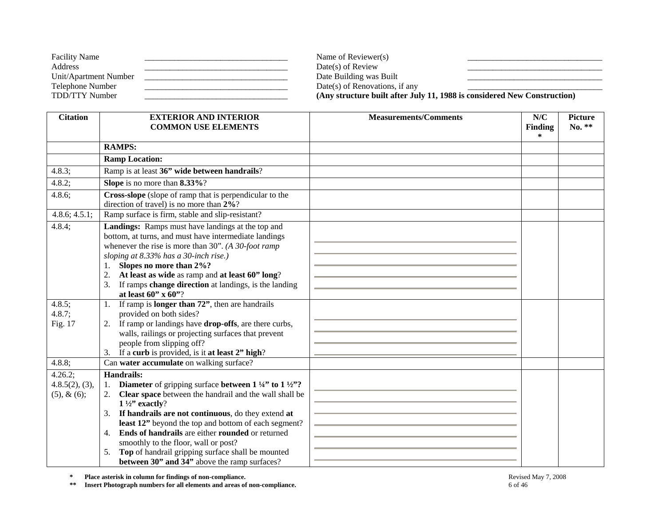| <b>Facility Name</b>  | Name of Reviewer(s)            |                                                                          |
|-----------------------|--------------------------------|--------------------------------------------------------------------------|
| Address               | $Date(s)$ of Review            |                                                                          |
| Unit/Apartment Number | Date Building was Built        |                                                                          |
| Telephone Number      | Date(s) of Renovations, if any |                                                                          |
| TDD/TTY Number        |                                | (Any structure built after July 11, 1988 is considered New Construction) |

| <b>EXTERIOR AND INTERIOR</b><br><b>COMMON USE ELEMENTS</b>                                                                                                                                                                                                                                                                                                                                                                                                                | <b>Measurements/Comments</b>                                                                                                                                                                                                                                     | N/C<br><b>Finding</b> | <b>Picture</b><br>No. ** |
|---------------------------------------------------------------------------------------------------------------------------------------------------------------------------------------------------------------------------------------------------------------------------------------------------------------------------------------------------------------------------------------------------------------------------------------------------------------------------|------------------------------------------------------------------------------------------------------------------------------------------------------------------------------------------------------------------------------------------------------------------|-----------------------|--------------------------|
|                                                                                                                                                                                                                                                                                                                                                                                                                                                                           |                                                                                                                                                                                                                                                                  | $\ast$                |                          |
|                                                                                                                                                                                                                                                                                                                                                                                                                                                                           |                                                                                                                                                                                                                                                                  |                       |                          |
|                                                                                                                                                                                                                                                                                                                                                                                                                                                                           |                                                                                                                                                                                                                                                                  |                       |                          |
| Ramp is at least 36" wide between handrails?                                                                                                                                                                                                                                                                                                                                                                                                                              |                                                                                                                                                                                                                                                                  |                       |                          |
|                                                                                                                                                                                                                                                                                                                                                                                                                                                                           |                                                                                                                                                                                                                                                                  |                       |                          |
| direction of travel) is no more than $2\%$ ?                                                                                                                                                                                                                                                                                                                                                                                                                              |                                                                                                                                                                                                                                                                  |                       |                          |
| Ramp surface is firm, stable and slip-resistant?                                                                                                                                                                                                                                                                                                                                                                                                                          |                                                                                                                                                                                                                                                                  |                       |                          |
| Landings: Ramps must have landings at the top and<br>bottom, at turns, and must have intermediate landings<br>whenever the rise is more than $30$ ". (A $30$ -foot ramp<br>sloping at 8.33% has a 30-inch rise.)<br>Slopes no more than 2%?<br>1.<br>At least as wide as ramp and at least 60" long?<br>2.<br>If ramps change direction at landings, is the landing<br>3.<br>at least $60''$ x $60''$ ?                                                                   |                                                                                                                                                                                                                                                                  |                       |                          |
| 1.<br>provided on both sides?<br>2. If ramp or landings have <b>drop-offs</b> , are there curbs,<br>walls, railings or projecting surfaces that prevent<br>people from slipping off?<br>3. If a curb is provided, is it at least 2" high?                                                                                                                                                                                                                                 |                                                                                                                                                                                                                                                                  |                       |                          |
| Can water accumulate on walking surface?                                                                                                                                                                                                                                                                                                                                                                                                                                  |                                                                                                                                                                                                                                                                  |                       |                          |
| Diameter of gripping surface between $1\frac{1}{4}$ to $1\frac{1}{2}$ ?<br>1.<br>Clear space between the handrail and the wall shall be<br>2.<br>$1\frac{1}{2}$ " exactly?<br>If handrails are not continuous, do they extend at<br>3.<br>least 12" beyond the top and bottom of each segment?<br><b>Ends of handrails</b> are either <b>rounded</b> or returned<br>4.<br>smoothly to the floor, wall or post?<br>Top of handrail gripping surface shall be mounted<br>5. |                                                                                                                                                                                                                                                                  |                       |                          |
|                                                                                                                                                                                                                                                                                                                                                                                                                                                                           | <b>RAMPS:</b><br><b>Ramp Location:</b><br>Slope is no more than 8.33%?<br>Cross-slope (slope of ramp that is perpendicular to the<br>If ramp is <b>longer than 72</b> ", then are handrails<br><b>Handrails:</b><br>between 30" and 34" above the ramp surfaces? |                       |                          |

**\*\* Insert Photograph numbers for all elements and areas of non-compliance.** 6 of 46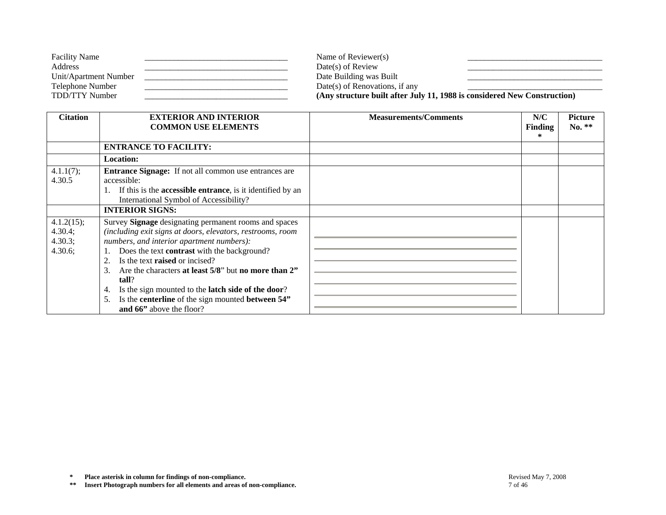| <b>Facility Name</b>  | Name of Reviewer(s)                                                      |  |
|-----------------------|--------------------------------------------------------------------------|--|
| Address               | $Date(s)$ of Review                                                      |  |
| Unit/Apartment Number | Date Building was Built                                                  |  |
| Telephone Number      | Date(s) of Renovations, if any                                           |  |
| TDD/TTY Number        | (Any structure built after July 11, 1988 is considered New Construction) |  |

| <b>Citation</b> | <b>EXTERIOR AND INTERIOR</b>                                       | <b>Measurements/Comments</b> | N/C            | <b>Picture</b> |
|-----------------|--------------------------------------------------------------------|------------------------------|----------------|----------------|
|                 | <b>COMMON USE ELEMENTS</b>                                         |                              | <b>Finding</b> | No. **         |
|                 |                                                                    |                              | ∗              |                |
|                 | <b>ENTRANCE TO FACILITY:</b>                                       |                              |                |                |
|                 | <b>Location:</b>                                                   |                              |                |                |
| 4.1.1(7);       | <b>Entrance Signage:</b> If not all common use entrances are       |                              |                |                |
| 4.30.5          | accessible:                                                        |                              |                |                |
|                 | If this is the <b>accessible entrance</b> , is it identified by an |                              |                |                |
|                 | International Symbol of Accessibility?                             |                              |                |                |
|                 | <b>INTERIOR SIGNS:</b>                                             |                              |                |                |
| 4.1.2(15);      | Survey Signage designating permanent rooms and spaces              |                              |                |                |
| 4.30.4;         | (including exit signs at doors, elevators, restrooms, room         |                              |                |                |
| 4.30.3;         | numbers, and interior apartment numbers):                          |                              |                |                |
| 4.30.6;         | Does the text contrast with the background?                        |                              |                |                |
|                 | Is the text <b>raised</b> or incised?<br>2.                        |                              |                |                |
|                 | Are the characters at least 5/8" but no more than 2"<br>3.         |                              |                |                |
|                 | tall?                                                              |                              |                |                |
|                 | Is the sign mounted to the <b>latch side of the door</b> ?<br>4.   |                              |                |                |
|                 | Is the centerline of the sign mounted between 54"<br>5.            |                              |                |                |
|                 | and 66" above the floor?                                           |                              |                |                |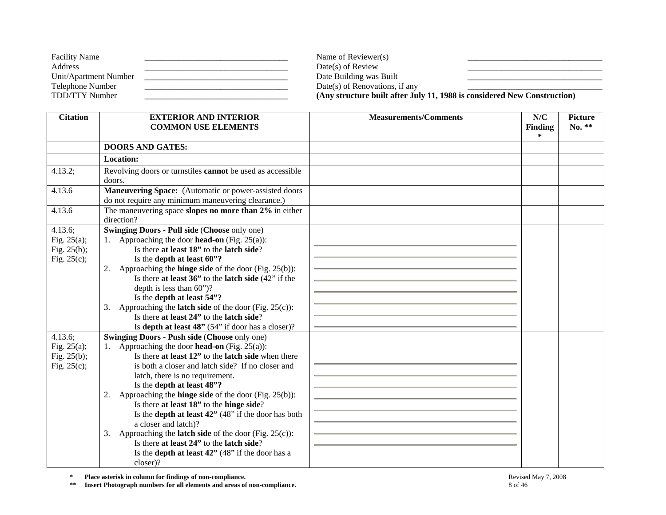| <b>Facility Name</b>  | Name of Reviewer(s)            |                                                                          |
|-----------------------|--------------------------------|--------------------------------------------------------------------------|
| Address               | $Date(s)$ of Review            |                                                                          |
| Unit/Apartment Number | Date Building was Built        |                                                                          |
| Telephone Number      | Date(s) of Renovations, if any |                                                                          |
| TDD/TTY Number        |                                | (Any structure built after July 11, 1988 is considered New Construction) |

| <b>Citation</b>                                                                                              | <b>EXTERIOR AND INTERIOR</b><br><b>COMMON USE ELEMENTS</b>                                                                                                                                                                                                                                                                                                                                                                                                                                                                                                                                                                                                                                                                     | <b>Measurements/Comments</b> | N/C<br><b>Finding</b> | <b>Picture</b><br>No. ** |
|--------------------------------------------------------------------------------------------------------------|--------------------------------------------------------------------------------------------------------------------------------------------------------------------------------------------------------------------------------------------------------------------------------------------------------------------------------------------------------------------------------------------------------------------------------------------------------------------------------------------------------------------------------------------------------------------------------------------------------------------------------------------------------------------------------------------------------------------------------|------------------------------|-----------------------|--------------------------|
|                                                                                                              |                                                                                                                                                                                                                                                                                                                                                                                                                                                                                                                                                                                                                                                                                                                                |                              | *                     |                          |
|                                                                                                              | <b>DOORS AND GATES:</b>                                                                                                                                                                                                                                                                                                                                                                                                                                                                                                                                                                                                                                                                                                        |                              |                       |                          |
|                                                                                                              | <b>Location:</b>                                                                                                                                                                                                                                                                                                                                                                                                                                                                                                                                                                                                                                                                                                               |                              |                       |                          |
| 4.13.2;                                                                                                      | Revolving doors or turnstiles cannot be used as accessible<br>doors.                                                                                                                                                                                                                                                                                                                                                                                                                                                                                                                                                                                                                                                           |                              |                       |                          |
| 4.13.6                                                                                                       | Maneuvering Space: (Automatic or power-assisted doors<br>do not require any minimum maneuvering clearance.)                                                                                                                                                                                                                                                                                                                                                                                                                                                                                                                                                                                                                    |                              |                       |                          |
| 4.13.6                                                                                                       | The maneuvering space slopes no more than 2% in either<br>direction?                                                                                                                                                                                                                                                                                                                                                                                                                                                                                                                                                                                                                                                           |                              |                       |                          |
| 4.13.6;<br>Fig. $25(a)$ ;<br>Fig. $25(b)$ ;<br>Fig. $25(c)$ ;<br>4.13.6;<br>Fig. $25(a)$ ;<br>Fig. $25(b)$ ; | <b>Swinging Doors - Pull side (Choose only one)</b><br>1. Approaching the door <b>head-on</b> (Fig. 25(a)):<br>Is there at least 18" to the latch side?<br>Is the depth at least 60"?<br>Approaching the <b>hinge side</b> of the door (Fig. $25(b)$ ):<br>2.<br>Is there at least $36$ " to the latch side $(42)$ " if the<br>depth is less than $60$ ")?<br>Is the depth at least 54"?<br>Approaching the <b>latch side</b> of the door (Fig. $25(c)$ ):<br>3.<br>Is there at least 24" to the latch side?<br>Is depth at least $48"$ (54" if door has a closer)?<br>Swinging Doors - Push side (Choose only one)<br>Approaching the door <b>head-on</b> (Fig. 25(a)):<br>Is there at least 12" to the latch side when there |                              |                       |                          |
| Fig. $25(c)$ ;                                                                                               | is both a closer and latch side? If no closer and<br>latch, there is no requirement.<br>Is the depth at least 48"?<br>Approaching the <b>hinge side</b> of the door (Fig. $25(b)$ ):<br>2.<br>Is there at least 18" to the hinge side?<br>Is the depth at least 42" (48" if the door has both<br>a closer and latch)?<br>Approaching the <b>latch side</b> of the door (Fig. $25(c)$ ):<br>3.<br>Is there at least 24" to the latch side?<br>Is the <b>depth at least 42</b> " (48" if the door has a<br>closer)?                                                                                                                                                                                                              |                              |                       |                          |

**\*\* Insert Photograph numbers for all elements and areas of non-compliance.** 8 of 46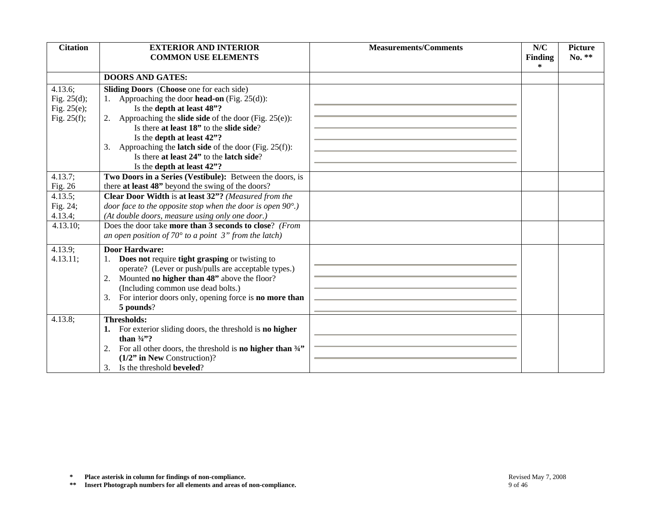| <b>Citation</b>                                                                     | <b>EXTERIOR AND INTERIOR</b><br><b>COMMON USE ELEMENTS</b>                                                                                                                                                                                                                                                                                                                                                                                                                                                                                              | <b>Measurements/Comments</b> | N/C<br><b>Finding</b> | <b>Picture</b><br>No. ** |
|-------------------------------------------------------------------------------------|---------------------------------------------------------------------------------------------------------------------------------------------------------------------------------------------------------------------------------------------------------------------------------------------------------------------------------------------------------------------------------------------------------------------------------------------------------------------------------------------------------------------------------------------------------|------------------------------|-----------------------|--------------------------|
|                                                                                     |                                                                                                                                                                                                                                                                                                                                                                                                                                                                                                                                                         |                              | $\ast$                |                          |
|                                                                                     | <b>DOORS AND GATES:</b>                                                                                                                                                                                                                                                                                                                                                                                                                                                                                                                                 |                              |                       |                          |
| 4.13.6;<br>Fig. $25(d)$ ;<br>Fig. $25(e)$ ;<br>Fig. $25(f)$ ;<br>4.13.7;<br>Fig. 26 | <b>Sliding Doors</b> (Choose one for each side)<br>1. Approaching the door <b>head-on</b> (Fig. 25(d)):<br>Is the depth at least 48"?<br>2. Approaching the <b>slide side</b> of the door (Fig. $25(e)$ ):<br>Is there at least 18" to the slide side?<br>Is the depth at least 42"?<br>Approaching the <b>latch side</b> of the door (Fig. $25(f)$ ):<br>3.<br>Is there at least 24" to the latch side?<br>Is the depth at least 42"?<br>Two Doors in a Series (Vestibule): Between the doors, is<br>there at least 48" beyond the swing of the doors? |                              |                       |                          |
| 4.13.5;<br>Fig. 24;<br>4.13.4;                                                      | Clear Door Width is at least 32"? (Measured from the<br>door face to the opposite stop when the door is open $90^{\circ}$ .)<br>(At double doors, measure using only one door.)                                                                                                                                                                                                                                                                                                                                                                         |                              |                       |                          |
| 4.13.10;                                                                            | Does the door take more than 3 seconds to close? (From<br>an open position of 70 $\degree$ to a point 3" from the latch)                                                                                                                                                                                                                                                                                                                                                                                                                                |                              |                       |                          |
| 4.13.9;<br>4.13.11;                                                                 | <b>Door Hardware:</b><br>Does not require tight grasping or twisting to<br>1.<br>operate? (Lever or push/pulls are acceptable types.)<br>Mounted no higher than 48" above the floor?<br>2.<br>(Including common use dead bolts.)<br>For interior doors only, opening force is <b>no more than</b><br>3.<br>5 pounds?                                                                                                                                                                                                                                    |                              |                       |                          |
| 4.13.8;                                                                             | <b>Thresholds:</b><br>1. For exterior sliding doors, the threshold is no higher<br>than $\frac{3}{4}$ ?<br>2. For all other doors, the threshold is <b>no higher than</b> $\frac{3}{4}$<br>$(1/2"$ in New Construction)?<br>Is the threshold <b>beveled</b> ?<br>3.                                                                                                                                                                                                                                                                                     |                              |                       |                          |
| $\ast$<br>$\pm\,\pm$                                                                | Place asterisk in column for findings of non-compliance.<br>Insert Photograph numbers for all elements and areas of non-compliance.                                                                                                                                                                                                                                                                                                                                                                                                                     | 9 of 46                      | Revised May 7, 2008   |                          |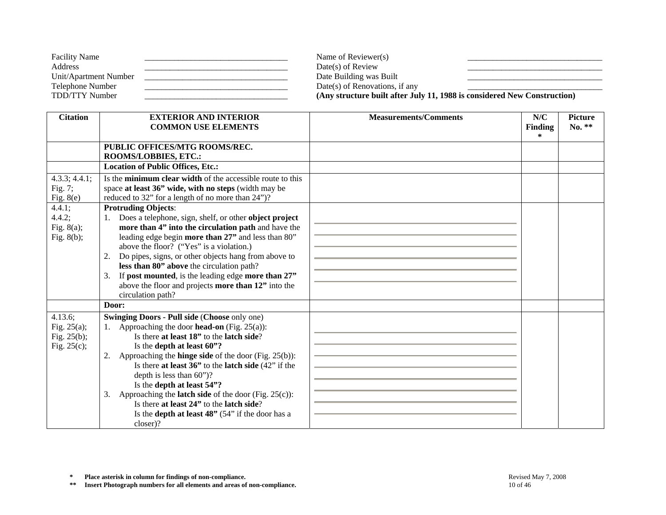| <b>Facility Name</b>  | Name of Reviewer(s)            |                                                                          |
|-----------------------|--------------------------------|--------------------------------------------------------------------------|
| Address               | $Date(s)$ of Review            |                                                                          |
| Unit/Apartment Number | Date Building was Built        |                                                                          |
| Telephone Number      | Date(s) of Renovations, if any |                                                                          |
| TDD/TTY Number        |                                | (Any structure built after July 11, 1988 is considered New Construction) |

| <b>Citation</b>                                               | <b>EXTERIOR AND INTERIOR</b><br><b>COMMON USE ELEMENTS</b>                                                                                                                                                                                                                                                                                                                                                                                                                                                                                                                            | <b>Measurements/Comments</b> | N/C<br><b>Finding</b><br>$\ast$ | <b>Picture</b><br>$No. **$ |
|---------------------------------------------------------------|---------------------------------------------------------------------------------------------------------------------------------------------------------------------------------------------------------------------------------------------------------------------------------------------------------------------------------------------------------------------------------------------------------------------------------------------------------------------------------------------------------------------------------------------------------------------------------------|------------------------------|---------------------------------|----------------------------|
|                                                               | PUBLIC OFFICES/MTG ROOMS/REC.<br>ROOMS/LOBBIES, ETC.:                                                                                                                                                                                                                                                                                                                                                                                                                                                                                                                                 |                              |                                 |                            |
|                                                               | <b>Location of Public Offices, Etc.:</b>                                                                                                                                                                                                                                                                                                                                                                                                                                                                                                                                              |                              |                                 |                            |
| 4.3.3; 4.4.1;<br>Fig. 7;<br>Fig. $8(e)$                       | Is the <b>minimum clear width</b> of the accessible route to this<br>space at least 36" wide, with no steps (width may be<br>reduced to 32" for a length of no more than 24")?                                                                                                                                                                                                                                                                                                                                                                                                        |                              |                                 |                            |
| 4.4.1;<br>$4.4.2$ ;<br>Fig. $8(a)$ ;<br>Fig. $8(b)$ ;         | <b>Protruding Objects:</b><br>Does a telephone, sign, shelf, or other object project<br>1.<br>more than 4" into the circulation path and have the<br>leading edge begin more than 27" and less than 80"<br>above the floor? ("Yes" is a violation.)<br>Do pipes, signs, or other objects hang from above to<br>2.<br>less than 80" above the circulation path?<br>If post mounted, is the leading edge more than 27"<br>3.<br>above the floor and projects more than 12" into the<br>circulation path?                                                                                |                              |                                 |                            |
|                                                               | Door:                                                                                                                                                                                                                                                                                                                                                                                                                                                                                                                                                                                 |                              |                                 |                            |
| 4.13.6;<br>Fig. $25(a)$ ;<br>Fig. $25(b)$ ;<br>Fig. $25(c)$ ; | <b>Swinging Doors - Pull side (Choose only one)</b><br>1. Approaching the door <b>head-on</b> (Fig. 25(a)):<br>Is there at least 18" to the latch side?<br>Is the depth at least 60"?<br>Approaching the <b>hinge side</b> of the door (Fig. $25(b)$ ):<br>2.<br>Is there at least $36$ " to the latch side $(42)$ " if the<br>depth is less than $60$ ")?<br>Is the depth at least 54"?<br>Approaching the <b>latch side</b> of the door (Fig. 25(c)):<br>3.<br>Is there at least 24" to the latch side?<br>Is the <b>depth at least 48</b> " $(54)$ " if the door has a<br>closer)? |                              |                                 |                            |

**\*\* Insert Photograph numbers for all elements and areas of non-compliance.** 10 of 46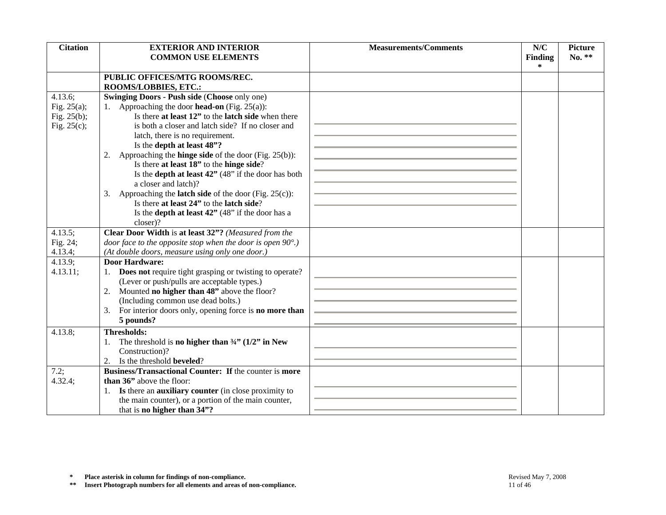| <b>Citation</b>    | <b>EXTERIOR AND INTERIOR</b>                                                                                  | <b>Measurements/Comments</b> | N/C                      | <b>Picture</b> |
|--------------------|---------------------------------------------------------------------------------------------------------------|------------------------------|--------------------------|----------------|
|                    | <b>COMMON USE ELEMENTS</b>                                                                                    |                              | <b>Finding</b><br>$\ast$ | No. **         |
|                    | PUBLIC OFFICES/MTG ROOMS/REC.                                                                                 |                              |                          |                |
|                    | ROOMS/LOBBIES, ETC.:                                                                                          |                              |                          |                |
| 4.13.6;            | <b>Swinging Doors - Push side (Choose only one)</b>                                                           |                              |                          |                |
| Fig. $25(a)$ ;     | 1. Approaching the door <b>head-on</b> (Fig. 25(a)):                                                          |                              |                          |                |
| Fig. $25(b)$ ;     | Is there at least 12" to the latch side when there                                                            |                              |                          |                |
| Fig. $25(c)$ ;     | is both a closer and latch side? If no closer and                                                             |                              |                          |                |
|                    | latch, there is no requirement.                                                                               |                              |                          |                |
|                    | Is the depth at least 48"?                                                                                    |                              |                          |                |
|                    | 2. Approaching the <b>hinge side</b> of the door (Fig. $25(b)$ ):                                             |                              |                          |                |
|                    | Is there at least 18" to the hinge side?                                                                      |                              |                          |                |
|                    | Is the <b>depth at least 42</b> " $(48)$ " if the door has both                                               |                              |                          |                |
|                    | a closer and latch)?                                                                                          |                              |                          |                |
|                    | 3. Approaching the <b>latch side</b> of the door (Fig. $25(c)$ ):<br>Is there at least 24" to the latch side? |                              |                          |                |
|                    | Is the <b>depth at least 42</b> " (48" if the door has a                                                      |                              |                          |                |
|                    | closer)?                                                                                                      |                              |                          |                |
| 4.13.5;            | Clear Door Width is at least 32"? (Measured from the                                                          |                              |                          |                |
| Fig. 24;           | door face to the opposite stop when the door is open $90^{\circ}$ .)                                          |                              |                          |                |
| 4.13.4;            | (At double doors, measure using only one door.)                                                               |                              |                          |                |
| 4.13.9;            | <b>Door Hardware:</b>                                                                                         |                              |                          |                |
| 4.13.11;           | Does not require tight grasping or twisting to operate?                                                       |                              |                          |                |
|                    | (Lever or push/pulls are acceptable types.)                                                                   |                              |                          |                |
|                    | Mounted no higher than 48" above the floor?<br>2.                                                             |                              |                          |                |
|                    | (Including common use dead bolts.)                                                                            |                              |                          |                |
|                    | For interior doors only, opening force is no more than<br>3.                                                  |                              |                          |                |
|                    | 5 pounds?                                                                                                     |                              |                          |                |
| 4.13.8;            | <b>Thresholds:</b>                                                                                            |                              |                          |                |
|                    | The threshold is no higher than $\frac{3}{4}$ " (1/2" in New<br>1.                                            |                              |                          |                |
|                    | Construction)?                                                                                                |                              |                          |                |
|                    | Is the threshold <b>beveled</b> ?<br>2.                                                                       |                              |                          |                |
| 7.2;               | Business/Transactional Counter: If the counter is more                                                        |                              |                          |                |
| $4.32.4$ ;         | than 36" above the floor:                                                                                     |                              |                          |                |
|                    | 1. Is there an <b>auxiliary counter</b> (in close proximity to                                                |                              |                          |                |
|                    | the main counter), or a portion of the main counter,<br>that is no higher than 34"?                           |                              |                          |                |
|                    |                                                                                                               |                              |                          |                |
|                    |                                                                                                               |                              |                          |                |
|                    |                                                                                                               |                              |                          |                |
|                    |                                                                                                               |                              |                          |                |
|                    |                                                                                                               |                              |                          |                |
|                    |                                                                                                               |                              |                          |                |
| $\approx$<br>$***$ | Place asterisk in column for findings of non-compliance.                                                      |                              | Revised May 7, 2008      |                |
|                    | Insert Photograph numbers for all elements and areas of non-compliance.                                       | 11 of 46                     |                          |                |

**\* Place asterisk in column for findings of non-compliance.** Revised May 7, 2008 Revised May 7, 2008<br> **\*\*** Insert Photograph numbers for all elements and areas of non-compliance.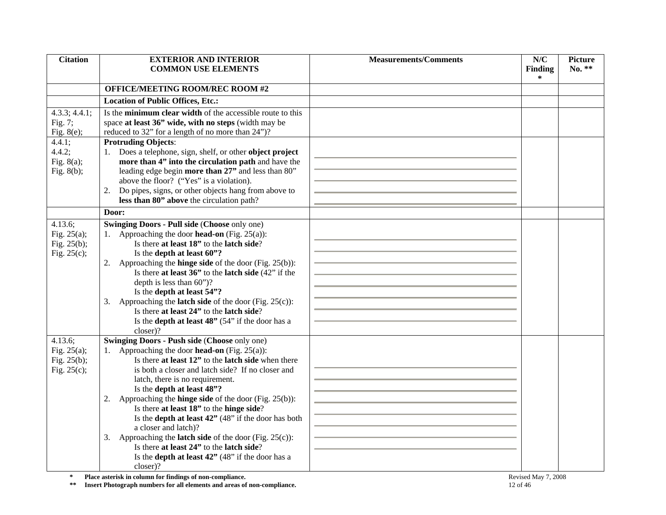| <b>Citation</b>         | <b>EXTERIOR AND INTERIOR</b>                                                                                                        | <b>Measurements/Comments</b> | N/C                 | <b>Picture</b> |
|-------------------------|-------------------------------------------------------------------------------------------------------------------------------------|------------------------------|---------------------|----------------|
|                         | <b>COMMON USE ELEMENTS</b>                                                                                                          |                              | <b>Finding</b>      | $No. **$       |
|                         |                                                                                                                                     |                              | *                   |                |
|                         | <b>OFFICE/MEETING ROOM/REC ROOM #2</b>                                                                                              |                              |                     |                |
|                         | <b>Location of Public Offices, Etc.:</b>                                                                                            |                              |                     |                |
| 4.3.3; 4.4.1;           | Is the minimum clear width of the accessible route to this                                                                          |                              |                     |                |
| Fig. 7;                 | space at least 36" wide, with no steps (width may be                                                                                |                              |                     |                |
| Fig. $8(e)$ ;           | reduced to 32" for a length of no more than 24")?                                                                                   |                              |                     |                |
| 4.4.1;                  | <b>Protruding Objects:</b>                                                                                                          |                              |                     |                |
| 4.4.2;                  | 1. Does a telephone, sign, shelf, or other object project                                                                           |                              |                     |                |
| Fig. $8(a)$ ;           | more than 4" into the circulation path and have the                                                                                 |                              |                     |                |
| Fig. $8(b)$ ;           | leading edge begin more than 27" and less than 80"                                                                                  |                              |                     |                |
|                         | above the floor? ("Yes" is a violation).                                                                                            |                              |                     |                |
|                         | Do pipes, signs, or other objects hang from above to<br>2.                                                                          |                              |                     |                |
|                         | less than 80" above the circulation path?                                                                                           |                              |                     |                |
|                         | Door:                                                                                                                               |                              |                     |                |
| 4.13.6;                 | <b>Swinging Doors - Pull side (Choose only one)</b>                                                                                 |                              |                     |                |
| Fig. $25(a)$ ;          | 1. Approaching the door <b>head-on</b> (Fig. 25(a)):                                                                                |                              |                     |                |
| Fig. 25(b);             | Is there at least 18" to the latch side?                                                                                            |                              |                     |                |
| Fig. $25(c)$ ;          | Is the depth at least 60"?                                                                                                          |                              |                     |                |
|                         | 2. Approaching the <b>hinge side</b> of the door (Fig. 25(b)):                                                                      |                              |                     |                |
|                         | Is there at least $36$ " to the latch side $(42)$ " if the                                                                          |                              |                     |                |
|                         | depth is less than 60")?                                                                                                            |                              |                     |                |
|                         | Is the depth at least 54"?                                                                                                          |                              |                     |                |
|                         | 3. Approaching the <b>latch side</b> of the door (Fig. 25(c)):                                                                      |                              |                     |                |
|                         | Is there at least 24" to the latch side?                                                                                            |                              |                     |                |
|                         | Is the <b>depth at least 48"</b> (54" if the door has a                                                                             |                              |                     |                |
|                         | closer)?                                                                                                                            |                              |                     |                |
| 4.13.6;                 | <b>Swinging Doors - Push side (Choose only one)</b>                                                                                 |                              |                     |                |
| Fig. $25(a)$ ;          | 1. Approaching the door <b>head-on</b> (Fig. 25(a)):                                                                                |                              |                     |                |
| Fig. $25(b)$ ;          | Is there at least 12" to the latch side when there                                                                                  |                              |                     |                |
| Fig. $25(c)$ ;          | is both a closer and latch side? If no closer and                                                                                   |                              |                     |                |
|                         | latch, there is no requirement.                                                                                                     |                              |                     |                |
|                         | Is the depth at least 48"?                                                                                                          |                              |                     |                |
|                         | 2. Approaching the <b>hinge side</b> of the door (Fig. $25(b)$ ):                                                                   |                              |                     |                |
|                         | Is there at least 18" to the hinge side?                                                                                            |                              |                     |                |
|                         | Is the <b>depth at least 42"</b> (48" if the door has both                                                                          |                              |                     |                |
|                         | a closer and latch)?                                                                                                                |                              |                     |                |
|                         | 3. Approaching the <b>latch side</b> of the door (Fig. 25(c)):                                                                      |                              |                     |                |
|                         | Is there at least 24" to the latch side?                                                                                            |                              |                     |                |
|                         | Is the <b>depth at least 42</b> " (48" if the door has a                                                                            |                              |                     |                |
|                         | closer)?                                                                                                                            |                              |                     |                |
| $\approx$<br>$\pm\,\pm$ | Place asterisk in column for findings of non-compliance.<br>Insert Photograph numbers for all elements and areas of non-compliance. | 12 of 46                     | Revised May 7, 2008 |                |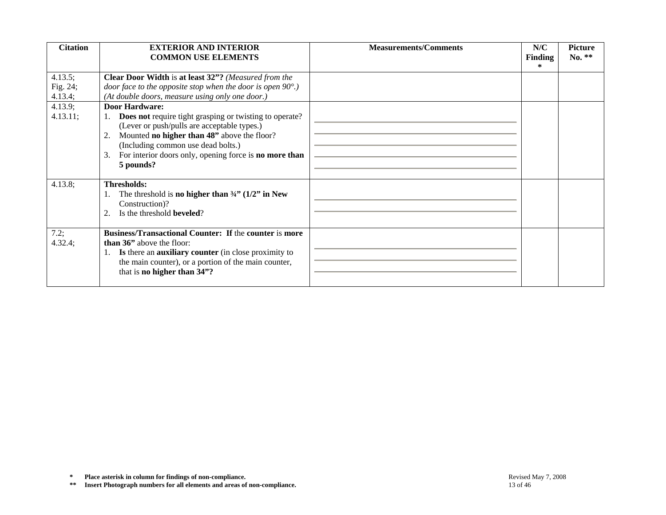| <b>Citation</b>                | <b>EXTERIOR AND INTERIOR</b><br><b>COMMON USE ELEMENTS</b>                                                                                                                                                                                                                                                   | <b>Measurements/Comments</b> | N/C<br>Finding<br>$\ast$ | <b>Picture</b><br>No. ** |
|--------------------------------|--------------------------------------------------------------------------------------------------------------------------------------------------------------------------------------------------------------------------------------------------------------------------------------------------------------|------------------------------|--------------------------|--------------------------|
| 4.13.5;<br>Fig. 24;<br>4.13.4; | Clear Door Width is at least 32"? (Measured from the<br>door face to the opposite stop when the door is open $90^{\circ}$ .)<br>(At double doors, measure using only one door.)                                                                                                                              |                              |                          |                          |
| 4.13.9;<br>4.13.11;            | <b>Door Hardware:</b><br>1. Does not require tight grasping or twisting to operate?<br>(Lever or push/pulls are acceptable types.)<br>2. Mounted <b>no higher than 48</b> " above the floor?<br>(Including common use dead bolts.)<br>3. For interior doors only, opening force is no more than<br>5 pounds? |                              |                          |                          |
| 4.13.8;                        | Thresholds:<br>The threshold is no higher than $\frac{3}{4}$ " (1/2" in New<br>1.<br>Construction)?<br>Is the threshold <b>beveled</b> ?<br>2.                                                                                                                                                               |                              |                          |                          |
| 7.2;<br>4.32.4;                | <b>Business/Transactional Counter: If the counter is more</b><br>than 36" above the floor:<br>1. Is there an auxiliary counter (in close proximity to<br>the main counter), or a portion of the main counter,<br>that is no higher than 34"?                                                                 |                              |                          |                          |
|                                |                                                                                                                                                                                                                                                                                                              |                              |                          |                          |
|                                |                                                                                                                                                                                                                                                                                                              |                              |                          |                          |
|                                |                                                                                                                                                                                                                                                                                                              |                              |                          |                          |
| $\approx$<br>$\pm\,\pm$        | Place asterisk in column for findings of non-compliance.<br>Insert Photograph numbers for all elements and areas of non-compliance.                                                                                                                                                                          | 13 of 46                     | Revised May 7, 2008      |                          |

**<sup>\*</sup> Place asterisk in column for findings of non-compliance.** Revised May 7, 2008 Revised May 7, 2008<br> **\*\*** Insert Photograph numbers for all elements and areas of non-compliance. 13 of 46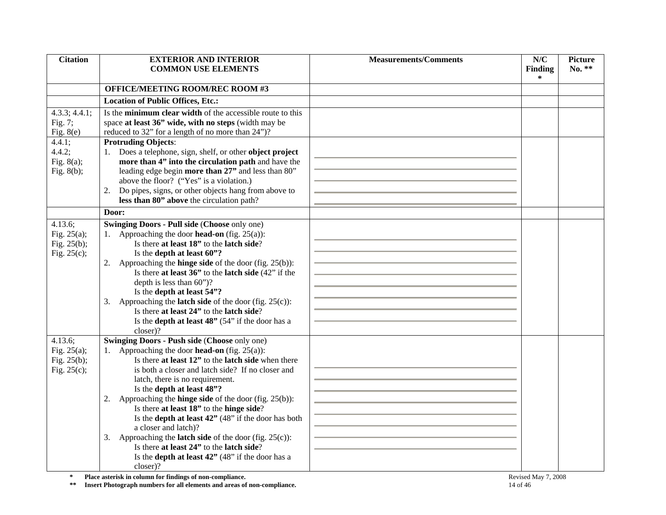| <b>Citation</b>         | <b>EXTERIOR AND INTERIOR</b>                                            | <b>Measurements/Comments</b> | N/C                 | <b>Picture</b> |
|-------------------------|-------------------------------------------------------------------------|------------------------------|---------------------|----------------|
|                         | <b>COMMON USE ELEMENTS</b>                                              |                              | <b>Finding</b>      | $No. **$       |
|                         |                                                                         |                              | *                   |                |
|                         | <b>OFFICE/MEETING ROOM/REC ROOM #3</b>                                  |                              |                     |                |
|                         | <b>Location of Public Offices, Etc.:</b>                                |                              |                     |                |
| 4.3.3; 4.4.1;           | Is the minimum clear width of the accessible route to this              |                              |                     |                |
| Fig. 7;                 | space at least 36" wide, with no steps (width may be                    |                              |                     |                |
| Fig. $8(e)$             | reduced to 32" for a length of no more than 24")?                       |                              |                     |                |
| 4.4.1;                  | <b>Protruding Objects:</b>                                              |                              |                     |                |
| 4.4.2;                  | 1. Does a telephone, sign, shelf, or other object project               |                              |                     |                |
| Fig. $8(a)$ ;           | more than 4" into the circulation path and have the                     |                              |                     |                |
| Fig. $8(b)$ ;           | leading edge begin more than 27" and less than 80"                      |                              |                     |                |
|                         | above the floor? ("Yes" is a violation.)                                |                              |                     |                |
|                         | Do pipes, signs, or other objects hang from above to<br>2.              |                              |                     |                |
|                         | less than 80" above the circulation path?                               |                              |                     |                |
|                         | Door:                                                                   |                              |                     |                |
| 4.13.6;                 | <b>Swinging Doors - Pull side (Choose only one)</b>                     |                              |                     |                |
| Fig. $25(a)$ ;          | 1. Approaching the door <b>head-on</b> (fig. 25(a)):                    |                              |                     |                |
| Fig. 25(b);             | Is there at least 18" to the latch side?                                |                              |                     |                |
| Fig. $25(c)$ ;          | Is the depth at least 60"?                                              |                              |                     |                |
|                         | 2. Approaching the <b>hinge side</b> of the door (fig. $25(b)$ ):       |                              |                     |                |
|                         | Is there at least $36$ " to the latch side $(42)$ " if the              |                              |                     |                |
|                         | depth is less than 60")?                                                |                              |                     |                |
|                         | Is the depth at least 54"?                                              |                              |                     |                |
|                         | 3. Approaching the <b>latch side</b> of the door (fig. $25(c)$ ):       |                              |                     |                |
|                         | Is there at least 24" to the latch side?                                |                              |                     |                |
|                         | Is the <b>depth at least 48</b> " $(54)$ " if the door has a            |                              |                     |                |
|                         | closer)?                                                                |                              |                     |                |
| 4.13.6;                 | <b>Swinging Doors - Push side (Choose only one)</b>                     |                              |                     |                |
| Fig. $25(a)$ ;          | 1. Approaching the door <b>head-on</b> (fig. 25(a)):                    |                              |                     |                |
| Fig. $25(b)$ ;          | Is there at least 12" to the latch side when there                      |                              |                     |                |
| Fig. $25(c)$ ;          | is both a closer and latch side? If no closer and                       |                              |                     |                |
|                         | latch, there is no requirement.                                         |                              |                     |                |
|                         | Is the depth at least 48"?                                              |                              |                     |                |
|                         | 2. Approaching the <b>hinge side</b> of the door (fig. $25(b)$ ):       |                              |                     |                |
|                         | Is there at least 18" to the hinge side?                                |                              |                     |                |
|                         | Is the <b>depth at least 42</b> " (48" if the door has both             |                              |                     |                |
|                         | a closer and latch)?                                                    |                              |                     |                |
|                         | 3. Approaching the <b>latch side</b> of the door (fig. $25(c)$ ):       |                              |                     |                |
|                         | Is there at least 24" to the latch side?                                |                              |                     |                |
|                         | Is the <b>depth at least 42</b> " (48" if the door has a                |                              |                     |                |
|                         | closer)?                                                                |                              |                     |                |
| $\approx$<br>$\pm\,\pm$ | Place asterisk in column for findings of non-compliance.                |                              | Revised May 7, 2008 |                |
|                         | Insert Photograph numbers for all elements and areas of non-compliance. | 14 of 46                     |                     |                |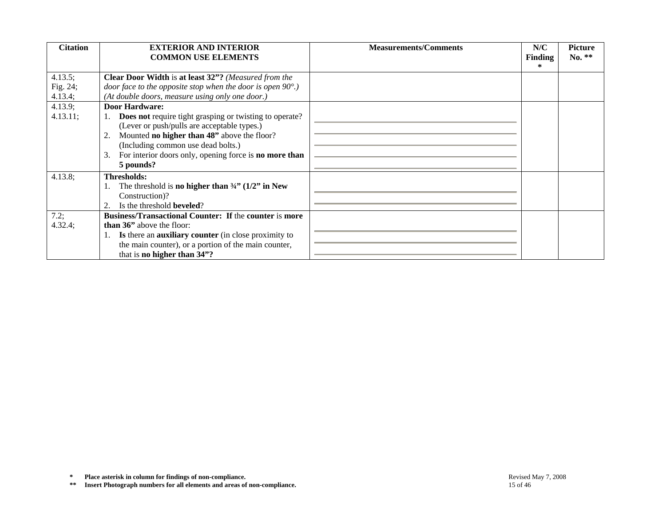| <b>Citation</b> | <b>EXTERIOR AND INTERIOR</b><br><b>COMMON USE ELEMENTS</b>              | <b>Measurements/Comments</b> | N/C<br>Finding      | <b>Picture</b><br>No. ** |
|-----------------|-------------------------------------------------------------------------|------------------------------|---------------------|--------------------------|
|                 |                                                                         |                              | $\ast$              |                          |
| 4.13.5;         | Clear Door Width is at least 32"? (Measured from the                    |                              |                     |                          |
| Fig. 24;        | door face to the opposite stop when the door is open $90^{\circ}$ .)    |                              |                     |                          |
| 4.13.4;         | (At double doors, measure using only one door.)                         |                              |                     |                          |
| 4.13.9;         | <b>Door Hardware:</b>                                                   |                              |                     |                          |
| 4.13.11;        | 1. Does not require tight grasping or twisting to operate?              |                              |                     |                          |
|                 | (Lever or push/pulls are acceptable types.)                             |                              |                     |                          |
|                 | 2. Mounted <b>no higher than 48</b> " above the floor?                  |                              |                     |                          |
|                 | (Including common use dead bolts.)                                      |                              |                     |                          |
|                 | 3. For interior doors only, opening force is <b>no more than</b>        |                              |                     |                          |
|                 | 5 pounds?                                                               |                              |                     |                          |
| 4.13.8;         | <b>Thresholds:</b>                                                      |                              |                     |                          |
|                 | The threshold is no higher than $\frac{3}{4}$ (1/2" in New              |                              |                     |                          |
|                 | Construction)?                                                          |                              |                     |                          |
|                 | Is the threshold beveled?<br>2.                                         |                              |                     |                          |
| 7.2;            | <b>Business/Transactional Counter: If the counter is more</b>           |                              |                     |                          |
| 4.32.4;         | than 36" above the floor:                                               |                              |                     |                          |
|                 | 1. Is there an auxiliary counter (in close proximity to                 |                              |                     |                          |
|                 | the main counter), or a portion of the main counter,                    |                              |                     |                          |
|                 | that is no higher than 34"?                                             |                              |                     |                          |
|                 |                                                                         |                              |                     |                          |
| $\approx$       | Place asterisk in column for findings of non-compliance.                |                              | Revised May 7, 2008 |                          |
| $\pm\,\pm$      | Insert Photograph numbers for all elements and areas of non-compliance. | 15 of 46                     |                     |                          |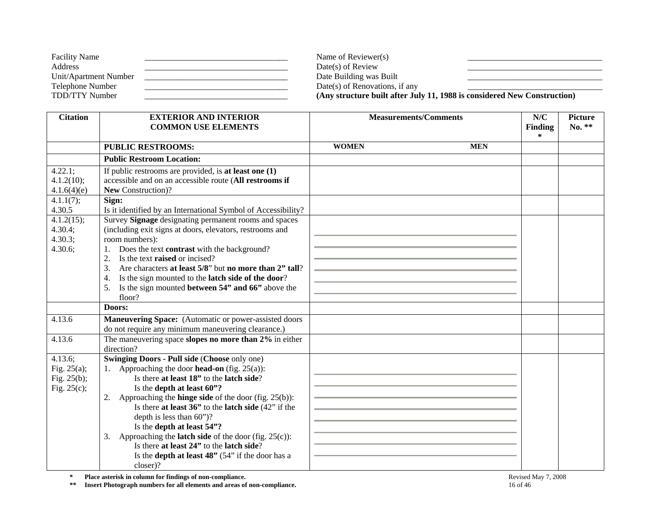| <b>Facility Name</b>  | Name of Reviewer(s)            |                                                                          |
|-----------------------|--------------------------------|--------------------------------------------------------------------------|
| Address               | $Date(s)$ of Review            |                                                                          |
| Unit/Apartment Number | Date Building was Built        |                                                                          |
| Telephone Number      | Date(s) of Renovations, if any |                                                                          |
| TDD/TTY Number        |                                | (Any structure built after July 11, 1988 is considered New Construction) |

| <b>Citation</b> | <b>EXTERIOR AND INTERIOR</b>                                         | <b>Measurements/Comments</b> |            | N/C            | <b>Picture</b> |
|-----------------|----------------------------------------------------------------------|------------------------------|------------|----------------|----------------|
|                 | <b>COMMON USE ELEMENTS</b>                                           |                              |            | <b>Finding</b> | No. **         |
|                 |                                                                      |                              |            | $\ast$         |                |
|                 | <b>PUBLIC RESTROOMS:</b>                                             | <b>WOMEN</b>                 | <b>MEN</b> |                |                |
|                 | <b>Public Restroom Location:</b>                                     |                              |            |                |                |
| 4.22.1;         | If public restrooms are provided, is at least one $(1)$              |                              |            |                |                |
| 4.1.2(10);      | accessible and on an accessible route (All restrooms if              |                              |            |                |                |
| 4.1.6(4)(e)     | New Construction)?                                                   |                              |            |                |                |
| 4.1.1(7);       | Sign:                                                                |                              |            |                |                |
| 4.30.5          | Is it identified by an International Symbol of Accessibility?        |                              |            |                |                |
| 4.1.2(15);      | Survey Signage designating permanent rooms and spaces                |                              |            |                |                |
| 4.30.4;         | (including exit signs at doors, elevators, restrooms and             |                              |            |                |                |
| 4.30.3;         | room numbers):                                                       |                              |            |                |                |
| 4.30.6;         | Does the text <b>contrast</b> with the background?                   |                              |            |                |                |
|                 | Is the text raised or incised?<br>2.                                 |                              |            |                |                |
|                 | Are characters at least 5/8" but no more than 2" tall?<br>3.         |                              |            |                |                |
|                 | Is the sign mounted to the latch side of the door?<br>4.             |                              |            |                |                |
|                 | Is the sign mounted between 54" and 66" above the<br>5.              |                              |            |                |                |
|                 | floor?                                                               |                              |            |                |                |
|                 | Doors:                                                               |                              |            |                |                |
| 4.13.6          | Maneuvering Space: (Automatic or power-assisted doors                |                              |            |                |                |
|                 | do not require any minimum maneuvering clearance.)                   |                              |            |                |                |
| 4.13.6          | The maneuvering space slopes no more than 2% in either               |                              |            |                |                |
|                 | direction?                                                           |                              |            |                |                |
| 4.13.6;         | <b>Swinging Doors - Pull side (Choose only one)</b>                  |                              |            |                |                |
| Fig. $25(a)$ ;  | 1. Approaching the door <b>head-on</b> (fig. $25(a)$ ):              |                              |            |                |                |
| Fig. $25(b)$ ;  | Is there at least 18" to the latch side?                             |                              |            |                |                |
| Fig. $25(c)$ ;  | Is the depth at least 60"?                                           |                              |            |                |                |
|                 | 2. Approaching the <b>hinge side</b> of the door (fig. $25(b)$ ):    |                              |            |                |                |
|                 | Is there at least $36$ " to the latch side $(42)$ " if the           |                              |            |                |                |
|                 | depth is less than $60$ ")?<br>Is the depth at least 54"?            |                              |            |                |                |
|                 | Approaching the <b>latch side</b> of the door (fig. $25(c)$ ):<br>3. |                              |            |                |                |
|                 | Is there at least 24" to the latch side?                             |                              |            |                |                |
|                 | Is the <b>depth at least 48</b> " $(54)$ " if the door has a         |                              |            |                |                |
|                 | closer)?                                                             |                              |            |                |                |
|                 |                                                                      |                              |            |                |                |

**\*\* Insert Photograph numbers for all elements and areas of non-compliance.** 16 of 46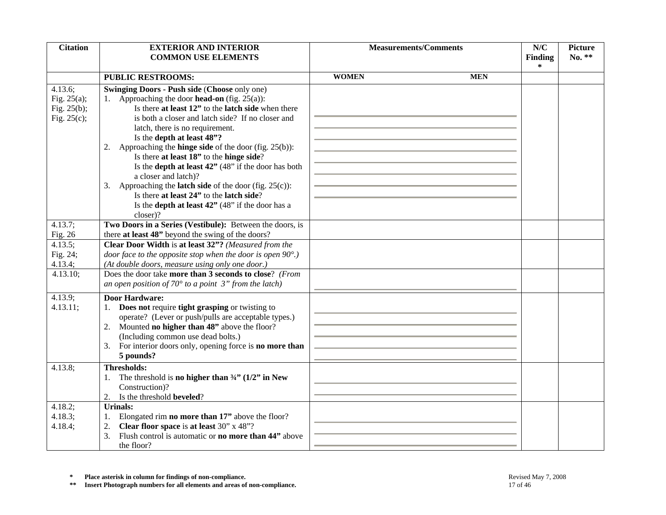| <b>Citation</b>                                                  | <b>EXTERIOR AND INTERIOR</b><br><b>COMMON USE ELEMENTS</b>                                                                                                                                                                                                                                                                                                                                                                                                                                                                                                                                                                                                                                 | <b>Measurements/Comments</b> |            | N/C                             | <b>Picture</b><br>No. ** |
|------------------------------------------------------------------|--------------------------------------------------------------------------------------------------------------------------------------------------------------------------------------------------------------------------------------------------------------------------------------------------------------------------------------------------------------------------------------------------------------------------------------------------------------------------------------------------------------------------------------------------------------------------------------------------------------------------------------------------------------------------------------------|------------------------------|------------|---------------------------------|--------------------------|
|                                                                  |                                                                                                                                                                                                                                                                                                                                                                                                                                                                                                                                                                                                                                                                                            |                              |            | <b>Finding</b><br>$\ast$        |                          |
|                                                                  | <b>PUBLIC RESTROOMS:</b>                                                                                                                                                                                                                                                                                                                                                                                                                                                                                                                                                                                                                                                                   | <b>WOMEN</b>                 | <b>MEN</b> |                                 |                          |
| $4.13.6$ ;<br>Fig. $25(a)$ ;<br>Fig. $25(b)$ ;<br>Fig. $25(c)$ ; | <b>Swinging Doors - Push side (Choose only one)</b><br>1. Approaching the door <b>head-on</b> (fig. $25(a)$ ):<br>Is there at least 12" to the latch side when there<br>is both a closer and latch side? If no closer and<br>latch, there is no requirement.<br>Is the depth at least 48"?<br>2. Approaching the <b>hinge side</b> of the door (fig. $25(b)$ ):<br>Is there at least 18" to the hinge side?<br>Is the <b>depth at least 42"</b> (48" if the door has both<br>a closer and latch)?<br>3. Approaching the <b>latch side</b> of the door (fig. $25(c)$ ):<br>Is there at least 24" to the latch side?<br>Is the <b>depth at least 42</b> " (48" if the door has a<br>closer)? |                              |            |                                 |                          |
| $4.13.7$ ;                                                       | Two Doors in a Series (Vestibule): Between the doors, is                                                                                                                                                                                                                                                                                                                                                                                                                                                                                                                                                                                                                                   |                              |            |                                 |                          |
| Fig. 26                                                          | there at least 48" beyond the swing of the doors?                                                                                                                                                                                                                                                                                                                                                                                                                                                                                                                                                                                                                                          |                              |            |                                 |                          |
| 4.13.5;<br>Fig. 24;<br>4.13.4;                                   | Clear Door Width is at least 32"? (Measured from the<br>door face to the opposite stop when the door is open $90^{\circ}$ .)<br>(At double doors, measure using only one door.)                                                                                                                                                                                                                                                                                                                                                                                                                                                                                                            |                              |            |                                 |                          |
| 4.13.10;                                                         | Does the door take more than 3 seconds to close? (From<br>an open position of $70^{\circ}$ to a point 3" from the latch)                                                                                                                                                                                                                                                                                                                                                                                                                                                                                                                                                                   |                              |            |                                 |                          |
| 4.13.9;<br>4.13.11;                                              | <b>Door Hardware:</b><br>1. Does not require tight grasping or twisting to<br>operate? (Lever or push/pulls are acceptable types.)<br>Mounted no higher than 48" above the floor?<br>2.<br>(Including common use dead bolts.)<br>For interior doors only, opening force is no more than<br>3.<br>5 pounds?                                                                                                                                                                                                                                                                                                                                                                                 |                              |            |                                 |                          |
| 4.13.8;                                                          | <b>Thresholds:</b><br>The threshold is no higher than $\frac{3}{4}$ (1/2" in New<br>Construction)?<br>2. Is the threshold <b>beveled</b> ?                                                                                                                                                                                                                                                                                                                                                                                                                                                                                                                                                 |                              |            |                                 |                          |
| 4.18.2;<br>4.18.3;<br>4.18.4;                                    | <b>Urinals:</b><br>Elongated rim no more than 17" above the floor?<br>Clear floor space is at least 30" x 48"?<br>2.<br>Flush control is automatic or <b>no more than 44</b> " above<br>3.<br>the floor?                                                                                                                                                                                                                                                                                                                                                                                                                                                                                   |                              |            |                                 |                          |
| *<br>$***$                                                       | Place asterisk in column for findings of non-compliance.<br>Insert Photograph numbers for all elements and areas of non-compliance.                                                                                                                                                                                                                                                                                                                                                                                                                                                                                                                                                        |                              |            | Revised May 7, 2008<br>17 of 46 |                          |

**\*** Place asterisk in column for findings of non-compliance.<br> **\*\*** Insert Photograph numbers for all elements and areas of non-compliance. 17 of 46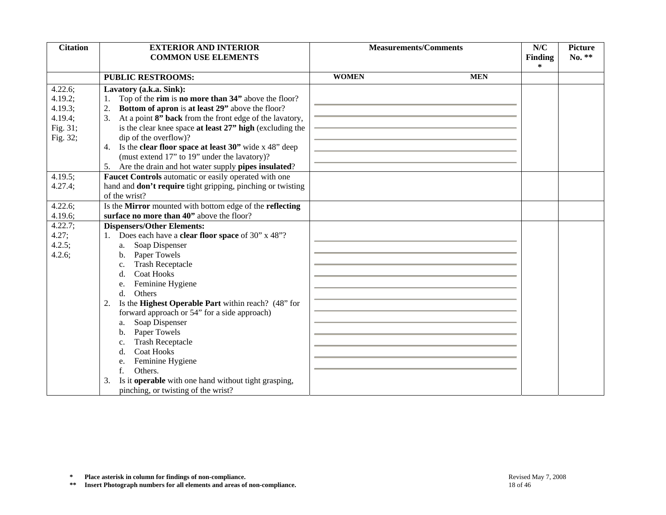| <b>Citation</b>    | <b>EXTERIOR AND INTERIOR</b><br><b>COMMON USE ELEMENTS</b>                                                                          | <b>Measurements/Comments</b> |            | N/C<br>Finding      | <b>Picture</b><br>No. ** |
|--------------------|-------------------------------------------------------------------------------------------------------------------------------------|------------------------------|------------|---------------------|--------------------------|
|                    |                                                                                                                                     |                              |            | $\ast$              |                          |
|                    | <b>PUBLIC RESTROOMS:</b>                                                                                                            | <b>WOMEN</b>                 | <b>MEN</b> |                     |                          |
| 4.22.6;            | Lavatory (a.k.a. Sink):                                                                                                             |                              |            |                     |                          |
| 4.19.2;            | Top of the rim is no more than 34" above the floor?<br>1.                                                                           |                              |            |                     |                          |
| 4.19.3;            | Bottom of apron is at least 29" above the floor?<br>2.                                                                              |                              |            |                     |                          |
| 4.19.4;            | At a point 8" back from the front edge of the lavatory,<br>3.                                                                       |                              |            |                     |                          |
| Fig. 31;           | is the clear knee space at least 27" high (excluding the                                                                            |                              |            |                     |                          |
| Fig. 32;           | dip of the overflow)?                                                                                                               |                              |            |                     |                          |
|                    | 4. Is the <b>clear floor space at least 30</b> " wide x 48" deep                                                                    |                              |            |                     |                          |
|                    | (must extend 17" to 19" under the lavatory)?                                                                                        |                              |            |                     |                          |
|                    | Are the drain and hot water supply pipes insulated?<br>5.                                                                           |                              |            |                     |                          |
| 4.19.5;            | Faucet Controls automatic or easily operated with one                                                                               |                              |            |                     |                          |
| 4.27.4;            | hand and <b>don't require</b> tight gripping, pinching or twisting                                                                  |                              |            |                     |                          |
| 4.22.6;            | of the wrist?<br>Is the Mirror mounted with bottom edge of the reflecting                                                           |                              |            |                     |                          |
| 4.19.6;            | surface no more than 40" above the floor?                                                                                           |                              |            |                     |                          |
| 4.22.7;            | <b>Dispensers/Other Elements:</b>                                                                                                   |                              |            |                     |                          |
| 4.27;              | 1. Does each have a <b>clear floor space</b> of 30" x 48"?                                                                          |                              |            |                     |                          |
| 4.2.5;             | Soap Dispenser<br>a.                                                                                                                |                              |            |                     |                          |
| 4.2.6;             | Paper Towels<br>b.                                                                                                                  |                              |            |                     |                          |
|                    | <b>Trash Receptacle</b><br>c.                                                                                                       |                              |            |                     |                          |
|                    | <b>Coat Hooks</b><br>d.                                                                                                             |                              |            |                     |                          |
|                    | Feminine Hygiene<br>e.                                                                                                              |                              |            |                     |                          |
|                    | Others<br>d.                                                                                                                        |                              |            |                     |                          |
|                    | 2. Is the Highest Operable Part within reach? (48" for                                                                              |                              |            |                     |                          |
|                    | forward approach or 54" for a side approach)                                                                                        |                              |            |                     |                          |
|                    | Soap Dispenser<br>a.                                                                                                                |                              |            |                     |                          |
|                    | Paper Towels<br>b.                                                                                                                  |                              |            |                     |                          |
|                    | <b>Trash Receptacle</b><br>c.                                                                                                       |                              |            |                     |                          |
|                    | <b>Coat Hooks</b><br>d.                                                                                                             |                              |            |                     |                          |
|                    | Feminine Hygiene<br>e.                                                                                                              |                              |            |                     |                          |
|                    | Others.<br>f.                                                                                                                       |                              |            |                     |                          |
|                    | Is it operable with one hand without tight grasping,<br>3.                                                                          |                              |            |                     |                          |
|                    | pinching, or twisting of the wrist?                                                                                                 |                              |            |                     |                          |
|                    |                                                                                                                                     |                              |            |                     |                          |
|                    |                                                                                                                                     |                              |            |                     |                          |
|                    |                                                                                                                                     |                              |            |                     |                          |
|                    |                                                                                                                                     |                              |            |                     |                          |
|                    |                                                                                                                                     |                              |            |                     |                          |
|                    |                                                                                                                                     |                              |            |                     |                          |
|                    |                                                                                                                                     |                              |            |                     |                          |
| $\approx$<br>$***$ | Place asterisk in column for findings of non-compliance.<br>Insert Photograph numbers for all elements and areas of non-compliance. |                              | 18 of 46   | Revised May 7, 2008 |                          |

**\*** Place asterisk in column for findings of non-compliance.<br> **\*\*** Insert Photograph numbers for all elements and areas of non-compliance.<br>
<sup>\*\*</sup> Insert Photograph numbers for all elements and areas of non-compliance.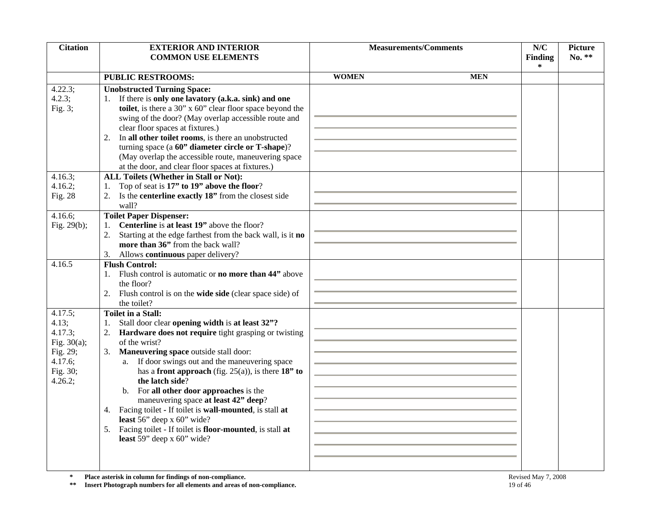| <b>Citation</b>       | <b>EXTERIOR AND INTERIOR</b>                                                                                                        | <b>Measurements/Comments</b> |            | N/C                             | <b>Picture</b> |
|-----------------------|-------------------------------------------------------------------------------------------------------------------------------------|------------------------------|------------|---------------------------------|----------------|
|                       | <b>COMMON USE ELEMENTS</b>                                                                                                          |                              |            | <b>Finding</b><br>$\ast$        | No. **         |
|                       | <b>PUBLIC RESTROOMS:</b>                                                                                                            | <b>WOMEN</b>                 | <b>MEN</b> |                                 |                |
| 4.22.3;               | <b>Unobstructed Turning Space:</b>                                                                                                  |                              |            |                                 |                |
| 4.2.3;                | 1. If there is only one lavatory (a.k.a. sink) and one                                                                              |                              |            |                                 |                |
| Fig. $3;$             | toilet, is there a 30" x 60" clear floor space beyond the                                                                           |                              |            |                                 |                |
|                       | swing of the door? (May overlap accessible route and                                                                                |                              |            |                                 |                |
|                       | clear floor spaces at fixtures.)                                                                                                    |                              |            |                                 |                |
|                       | In all other toilet rooms, is there an unobstructed<br>2.                                                                           |                              |            |                                 |                |
|                       | turning space (a 60" diameter circle or T-shape)?                                                                                   |                              |            |                                 |                |
|                       | (May overlap the accessible route, maneuvering space                                                                                |                              |            |                                 |                |
|                       | at the door, and clear floor spaces at fixtures.)                                                                                   |                              |            |                                 |                |
| 4.16.3;               | <b>ALL Toilets (Whether in Stall or Not):</b>                                                                                       |                              |            |                                 |                |
| 4.16.2;               | Top of seat is 17" to 19" above the floor?<br>1.                                                                                    |                              |            |                                 |                |
| Fig. 28               | Is the centerline exactly 18" from the closest side<br>2.                                                                           |                              |            |                                 |                |
|                       | wall?                                                                                                                               |                              |            |                                 |                |
| 4.16.6;               | <b>Toilet Paper Dispenser:</b>                                                                                                      |                              |            |                                 |                |
| Fig. $29(b)$ ;        | Centerline is at least 19" above the floor?<br>1.                                                                                   |                              |            |                                 |                |
|                       | Starting at the edge farthest from the back wall, is it no<br>2.                                                                    |                              |            |                                 |                |
|                       | more than 36" from the back wall?                                                                                                   |                              |            |                                 |                |
|                       | Allows continuous paper delivery?<br>3.                                                                                             |                              |            |                                 |                |
| 4.16.5                | <b>Flush Control:</b><br>Flush control is automatic or <b>no more than 44</b> " above                                               |                              |            |                                 |                |
|                       | the floor?                                                                                                                          |                              |            |                                 |                |
|                       | 2. Flush control is on the <b>wide side</b> (clear space side) of                                                                   |                              |            |                                 |                |
|                       | the toilet?                                                                                                                         |                              |            |                                 |                |
| 4.17.5;               | <b>Toilet in a Stall:</b>                                                                                                           |                              |            |                                 |                |
| 4.13;                 | Stall door clear opening width is at least 32"?<br>1.                                                                               |                              |            |                                 |                |
| 4.17.3;               | 2. Hardware does not require tight grasping or twisting                                                                             |                              |            |                                 |                |
| Fig. $30(a)$ ;        | of the wrist?                                                                                                                       |                              |            |                                 |                |
| Fig. 29;              | Maneuvering space outside stall door:<br>3.                                                                                         |                              |            |                                 |                |
| 4.17.6;               | a. If door swings out and the maneuvering space                                                                                     |                              |            |                                 |                |
| Fig. 30;              | has a front approach (fig. 25(a)), is there $18"$ to                                                                                |                              |            |                                 |                |
| 4.26.2;               | the latch side?                                                                                                                     |                              |            |                                 |                |
|                       | For all other door approaches is the<br>b.                                                                                          |                              |            |                                 |                |
|                       | maneuvering space at least 42" deep?<br>4. Facing toilet - If toilet is <b>wall-mounted</b> , is stall at                           |                              |            |                                 |                |
|                       | least $56$ " deep x $60$ " wide?                                                                                                    |                              |            |                                 |                |
|                       | Facing toilet - If toilet is floor-mounted, is stall at<br>5.                                                                       |                              |            |                                 |                |
|                       | least $59$ " deep x $60$ " wide?                                                                                                    |                              |            |                                 |                |
|                       |                                                                                                                                     |                              |            |                                 |                |
|                       |                                                                                                                                     |                              |            |                                 |                |
|                       |                                                                                                                                     |                              |            |                                 |                |
| $\approx$<br>$\pm\pm$ | Place asterisk in column for findings of non-compliance.<br>Insert Photograph numbers for all elements and areas of non-compliance. |                              |            | Revised May 7, 2008<br>19 of 46 |                |

**\* Place asterisk in column for findings of non-compliance.** Revised May 7, 2008<br> **\*\*** Insert Photograph numbers for all elements and areas of non-compliance. 19 of 46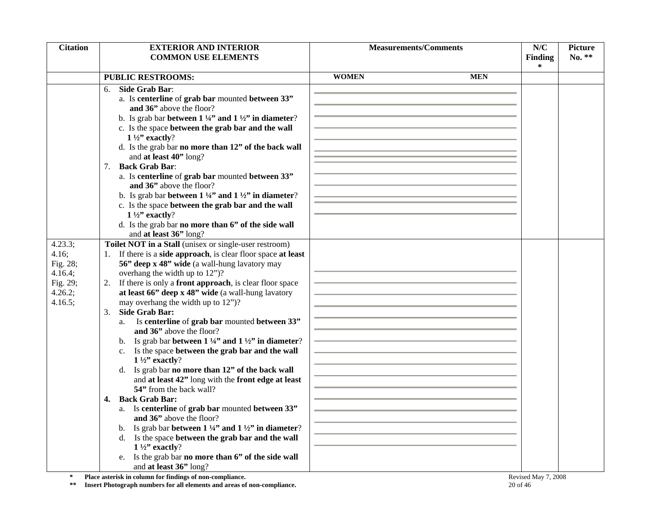| <b>Citation</b>     | <b>EXTERIOR AND INTERIOR</b>                                                                                             | <b>Measurements/Comments</b> |            | N/C                 | <b>Picture</b> |
|---------------------|--------------------------------------------------------------------------------------------------------------------------|------------------------------|------------|---------------------|----------------|
|                     | <b>COMMON USE ELEMENTS</b>                                                                                               |                              |            | Finding             | $No. **$       |
|                     |                                                                                                                          |                              |            | *                   |                |
|                     | <b>PUBLIC RESTROOMS:</b>                                                                                                 | <b>WOMEN</b>                 | <b>MEN</b> |                     |                |
|                     | Side Grab Bar:<br>6.                                                                                                     |                              |            |                     |                |
|                     | a. Is centerline of grab bar mounted between 33"                                                                         |                              |            |                     |                |
|                     | and 36" above the floor?                                                                                                 |                              |            |                     |                |
|                     | b. Is grab bar between $1\frac{1}{4}$ and $1\frac{1}{2}$ in diameter?                                                    |                              |            |                     |                |
|                     | c. Is the space between the grab bar and the wall                                                                        |                              |            |                     |                |
|                     | $1\frac{1}{2}$ " exactly?                                                                                                |                              |            |                     |                |
|                     | d. Is the grab bar no more than 12" of the back wall                                                                     |                              |            |                     |                |
|                     | and at least 40" long?                                                                                                   |                              |            |                     |                |
|                     | <b>Back Grab Bar:</b><br>7.                                                                                              |                              |            |                     |                |
|                     | a. Is centerline of grab bar mounted between 33"                                                                         |                              |            |                     |                |
|                     | and 36" above the floor?                                                                                                 |                              |            |                     |                |
|                     | b. Is grab bar between $1\frac{1}{4}$ and $1\frac{1}{2}$ in diameter?                                                    |                              |            |                     |                |
|                     | c. Is the space between the grab bar and the wall                                                                        |                              |            |                     |                |
|                     | $1\frac{1}{2}$ " exactly?                                                                                                |                              |            |                     |                |
|                     | d. Is the grab bar no more than 6" of the side wall                                                                      |                              |            |                     |                |
|                     | and at least 36" long?                                                                                                   |                              |            |                     |                |
| 4.23.3;             | Toilet NOT in a Stall (unisex or single-user restroom)                                                                   |                              |            |                     |                |
| 4.16;               | 1. If there is a <b>side approach</b> , is clear floor space at least                                                    |                              |            |                     |                |
| Fig. 28;            | 56" deep x 48" wide (a wall-hung lavatory may                                                                            |                              |            |                     |                |
| 4.16.4;             | overhang the width up to 12")?                                                                                           |                              |            |                     |                |
| Fig. 29;<br>4.26.2; | 2. If there is only a <b>front approach</b> , is clear floor space<br>at least 66" deep x 48" wide (a wall-hung lavatory |                              |            |                     |                |
| 4.16.5;             | may overhang the width up to 12")?                                                                                       |                              |            |                     |                |
|                     | <b>Side Grab Bar:</b><br>3.                                                                                              |                              |            |                     |                |
|                     | Is centerline of grab bar mounted between 33"<br>a.                                                                      |                              |            |                     |                |
|                     | and 36" above the floor?                                                                                                 |                              |            |                     |                |
|                     | Is grab bar between $1\frac{1}{4}$ and $1\frac{1}{2}$ in diameter?                                                       |                              |            |                     |                |
|                     | Is the space between the grab bar and the wall<br>$c_{\cdot}$                                                            |                              |            |                     |                |
|                     | $1\frac{1}{2}$ " exactly?                                                                                                |                              |            |                     |                |
|                     | d. Is grab bar no more than 12" of the back wall                                                                         |                              |            |                     |                |
|                     | and at least 42" long with the front edge at least                                                                       |                              |            |                     |                |
|                     | 54" from the back wall?                                                                                                  |                              |            |                     |                |
|                     | <b>Back Grab Bar:</b><br>4.                                                                                              |                              |            |                     |                |
|                     | a. Is centerline of grab bar mounted between 33"                                                                         |                              |            |                     |                |
|                     | and 36" above the floor?                                                                                                 |                              |            |                     |                |
|                     | Is grab bar between $1\frac{1}{4}$ " and $1\frac{1}{2}$ " in diameter?<br>b.                                             |                              |            |                     |                |
|                     | Is the space between the grab bar and the wall<br>d.                                                                     |                              |            |                     |                |
|                     | $1\frac{1}{2}$ " exactly?                                                                                                |                              |            |                     |                |
|                     | Is the grab bar no more than 6" of the side wall<br>e.                                                                   |                              |            |                     |                |
|                     | and at least 36" long?                                                                                                   |                              |            |                     |                |
| $\approx$           | Place asterisk in column for findings of non-compliance.                                                                 |                              |            | Revised May 7, 2008 |                |
| $\pm\pm$            | Insert Photograph numbers for all elements and areas of non-compliance.                                                  |                              | 20 of 46   |                     |                |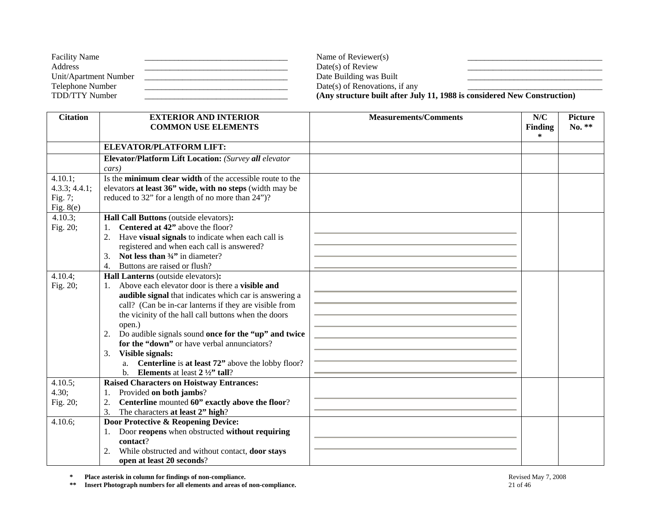| <b>Facility Name</b>  | Name of Reviewer(s)                                                      |  |
|-----------------------|--------------------------------------------------------------------------|--|
| Address               | $Date(s)$ of Review                                                      |  |
| Unit/Apartment Number | Date Building was Built                                                  |  |
| Telephone Number      | Date(s) of Renovations, if any                                           |  |
| TDD/TTY Number        | (Any structure built after July 11, 1988 is considered New Construction) |  |

| <b>Citation</b>           | <b>EXTERIOR AND INTERIOR</b><br><b>COMMON USE ELEMENTS</b>                               | <b>Measurements/Comments</b> | N/C<br><b>Finding</b> | <b>Picture</b><br>No. ** |
|---------------------------|------------------------------------------------------------------------------------------|------------------------------|-----------------------|--------------------------|
|                           |                                                                                          |                              | $\ast$                |                          |
|                           | <b>ELEVATOR/PLATFORM LIFT:</b>                                                           |                              |                       |                          |
|                           | Elevator/Platform Lift Location: (Survey all elevator                                    |                              |                       |                          |
|                           | cars)                                                                                    |                              |                       |                          |
| $4.10.1$ ;                | Is the minimum clear width of the accessible route to the                                |                              |                       |                          |
| 4.3.3; 4.4.1;             | elevators at least 36" wide, with no steps (width may be                                 |                              |                       |                          |
| Fig. 7;                   | reduced to 32" for a length of no more than 24")?                                        |                              |                       |                          |
| Fig. $8(e)$<br>$4.10.3$ ; |                                                                                          |                              |                       |                          |
| Fig. 20;                  | Hall Call Buttons (outside elevators):<br>Centered at 42" above the floor?<br>1.         |                              |                       |                          |
|                           | 2. Have visual signals to indicate when each call is                                     |                              |                       |                          |
|                           | registered and when each call is answered?                                               |                              |                       |                          |
|                           | Not less than $\frac{3}{4}$ " in diameter?<br>3.                                         |                              |                       |                          |
|                           | Buttons are raised or flush?<br>4.                                                       |                              |                       |                          |
| 4.10.4;                   | Hall Lanterns (outside elevators):                                                       |                              |                       |                          |
| Fig. 20;                  | 1. Above each elevator door is there a <b>visible and</b>                                |                              |                       |                          |
|                           | audible signal that indicates which car is answering a                                   |                              |                       |                          |
|                           | call? (Can be in-car lanterns if they are visible from                                   |                              |                       |                          |
|                           | the vicinity of the hall call buttons when the doors                                     |                              |                       |                          |
|                           | open.)                                                                                   |                              |                       |                          |
|                           | Do audible signals sound once for the "up" and twice<br>2.                               |                              |                       |                          |
|                           | for the "down" or have verbal annunciators?                                              |                              |                       |                          |
|                           | Visible signals:<br>3.<br><b>Centerline</b> is at least 72" above the lobby floor?<br>a. |                              |                       |                          |
|                           | b. Elements at least $2\frac{1}{2}$ tall?                                                |                              |                       |                          |
| 4.10.5;                   | Raised Characters on Hoistway Entrances:                                                 |                              |                       |                          |
| 4.30;                     | Provided on both jambs?                                                                  |                              |                       |                          |
| Fig. 20;                  | Centerline mounted 60" exactly above the floor?<br>2.                                    |                              |                       |                          |
|                           | 3.<br>The characters at least 2" high?                                                   |                              |                       |                          |
| 4.10.6;                   | Door Protective & Reopening Device:                                                      |                              |                       |                          |
|                           | Door reopens when obstructed without requiring<br>1.                                     |                              |                       |                          |
|                           | contact?                                                                                 |                              |                       |                          |
|                           | While obstructed and without contact, door stays<br>2.                                   |                              |                       |                          |
|                           | open at least 20 seconds?                                                                |                              |                       |                          |

**\*\* Insert Photograph numbers for all elements and areas of non-compliance.** 21 of 46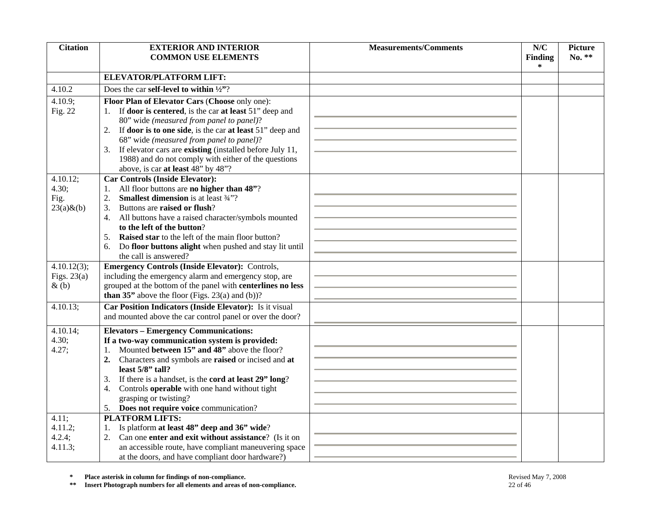| <b>Citation</b>        | <b>EXTERIOR AND INTERIOR</b>                                                                                       | <b>Measurements/Comments</b> | N/C                      | <b>Picture</b> |
|------------------------|--------------------------------------------------------------------------------------------------------------------|------------------------------|--------------------------|----------------|
|                        | <b>COMMON USE ELEMENTS</b>                                                                                         |                              | <b>Finding</b><br>$\ast$ | No. **         |
|                        | ELEVATOR/PLATFORM LIFT:                                                                                            |                              |                          |                |
|                        | Does the car self-level to within $\frac{1}{2}$ ?                                                                  |                              |                          |                |
| 4.10.2                 |                                                                                                                    |                              |                          |                |
| 4.10.9;<br>Fig. 22     | Floor Plan of Elevator Cars (Choose only one):<br>1. If <b>door is centered</b> , is the car at least 51" deep and |                              |                          |                |
|                        | 80" wide (measured from panel to panel)?                                                                           |                              |                          |                |
|                        | If door is to one side, is the car at least 51" deep and<br>2.                                                     |                              |                          |                |
|                        | 68" wide (measured from panel to panel)?                                                                           |                              |                          |                |
|                        | If elevator cars are existing (installed before July 11,<br>3.                                                     |                              |                          |                |
|                        | 1988) and do not comply with either of the questions                                                               |                              |                          |                |
|                        | above, is car at least 48" by 48"?                                                                                 |                              |                          |                |
| 4.10.12;               | <b>Car Controls (Inside Elevator):</b>                                                                             |                              |                          |                |
| 4.30;                  | All floor buttons are no higher than 48"?                                                                          |                              |                          |                |
| Fig.<br>$23(a) \& (b)$ | <b>Smallest dimension</b> is at least 3/4"?<br>2.<br>Buttons are raised or flush?<br>3.                            |                              |                          |                |
|                        | All buttons have a raised character/symbols mounted<br>4.                                                          |                              |                          |                |
|                        | to the left of the button?                                                                                         |                              |                          |                |
|                        | Raised star to the left of the main floor button?<br>5.                                                            |                              |                          |                |
|                        | Do floor buttons alight when pushed and stay lit until<br>6.                                                       |                              |                          |                |
|                        | the call is answered?                                                                                              |                              |                          |                |
| 4.10.12(3);            | Emergency Controls (Inside Elevator): Controls,                                                                    |                              |                          |                |
| Figs. $23(a)$          | including the emergency alarm and emergency stop, are                                                              |                              |                          |                |
| $\&$ (b)               | grouped at the bottom of the panel with centerlines no less                                                        |                              |                          |                |
|                        | <b>than 35</b> " above the floor (Figs. 23(a) and (b))?                                                            |                              |                          |                |
| 4.10.13;               | Car Position Indicators (Inside Elevator): Is it visual                                                            |                              |                          |                |
|                        | and mounted above the car control panel or over the door?                                                          |                              |                          |                |
| 4.10.14;               | <b>Elevators - Emergency Communications:</b>                                                                       |                              |                          |                |
| 4.30;                  | If a two-way communication system is provided:                                                                     |                              |                          |                |
| 4.27;                  | Mounted between 15" and 48" above the floor?<br>2.                                                                 |                              |                          |                |
|                        | Characters and symbols are raised or incised and at<br>least 5/8" tall?                                            |                              |                          |                |
|                        | If there is a handset, is the cord at least 29" long?<br>3.                                                        |                              |                          |                |
|                        | Controls operable with one hand without tight<br>4.                                                                |                              |                          |                |
|                        | grasping or twisting?                                                                                              |                              |                          |                |
|                        | 5. Does not require voice communication?                                                                           |                              |                          |                |
| 4.11;                  | <b>PLATFORM LIFTS:</b>                                                                                             |                              |                          |                |
| 4.11.2;                | Is platform at least 48" deep and 36" wide?<br>1.                                                                  |                              |                          |                |
| 4.2.4;                 | Can one enter and exit without assistance? (Is it on<br>2.                                                         |                              |                          |                |
| 4.11.3;                | an accessible route, have compliant maneuvering space<br>at the doors, and have compliant door hardware?)          |                              |                          |                |
|                        |                                                                                                                    |                              |                          |                |
| $\approx$              | Place asterisk in column for findings of non-compliance.                                                           |                              | Revised May 7, 2008      |                |
| $\pm\pm$               | Insert Photograph numbers for all elements and areas of non-compliance.                                            | 22 of 46                     |                          |                |

**\* Place asterisk in column for findings of non-compliance.** Revised May 7, 2008 Revised May 7, 2008<br> **\*\*** Insert Photograph numbers for all elements and areas of non-compliance. 22 of 46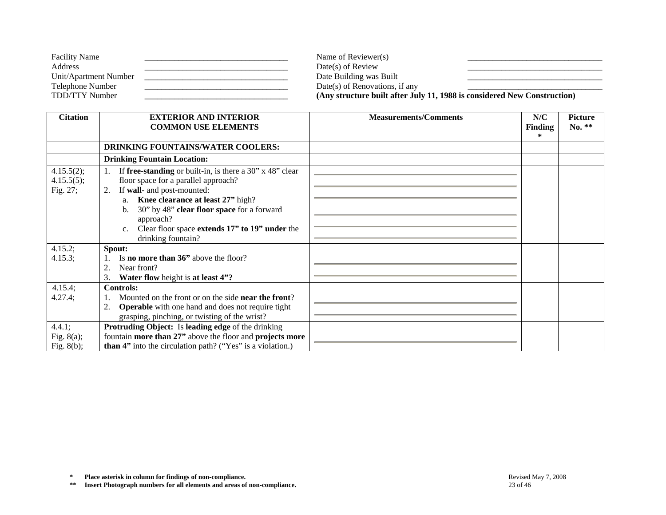| <b>Facility Name</b>  | Name of Reviewer(s)                                                      |
|-----------------------|--------------------------------------------------------------------------|
| Address               | $Date(s)$ of Review                                                      |
| Unit/Apartment Number | Date Building was Built                                                  |
| Telephone Number      | Date(s) of Renovations, if any                                           |
| TDD/TTY Number        | (Any structure built after July 11, 1988 is considered New Construction) |

| <b>Citation</b>                      | <b>EXTERIOR AND INTERIOR</b><br><b>COMMON USE ELEMENTS</b>                                                                                                                                                                                                                                                                  | <b>Measurements/Comments</b> | N/C<br><b>Finding</b> | <b>Picture</b><br>No. ** |
|--------------------------------------|-----------------------------------------------------------------------------------------------------------------------------------------------------------------------------------------------------------------------------------------------------------------------------------------------------------------------------|------------------------------|-----------------------|--------------------------|
|                                      |                                                                                                                                                                                                                                                                                                                             |                              | *                     |                          |
|                                      | <b>DRINKING FOUNTAINS/WATER COOLERS:</b>                                                                                                                                                                                                                                                                                    |                              |                       |                          |
|                                      | <b>Drinking Fountain Location:</b>                                                                                                                                                                                                                                                                                          |                              |                       |                          |
| 4.15.5(2);<br>4.15.5(5);<br>Fig. 27; | If free-standing or built-in, is there a $30$ " x $48$ " clear<br>floor space for a parallel approach?<br>If wall- and post-mounted:<br>2.<br>a. Knee clearance at least 27" high?<br>30" by 48" clear floor space for a forward<br>b.<br>approach?<br>Clear floor space extends 17" to 19" under the<br>drinking fountain? |                              |                       |                          |
| 4.15.2;<br>4.15.3;                   | Spout:<br>Is <b>no more than 36</b> " above the floor?<br>2.<br>Near front?<br>Water flow height is at least 4"?<br>3.                                                                                                                                                                                                      |                              |                       |                          |
| 4.15.4;<br>4.27.4;<br>4.4.1;         | <b>Controls:</b><br>Mounted on the front or on the side <b>near the front</b> ?<br><b>Operable</b> with one hand and does not require tight<br>2.<br>grasping, pinching, or twisting of the wrist?<br><b>Protruding Object:</b> Is leading edge of the drinking                                                             |                              |                       |                          |
| Fig. $8(a)$ ;<br>Fig. $8(b)$ ;       | fountain more than 27" above the floor and projects more<br><b>than 4"</b> into the circulation path? ("Yes" is a violation.)                                                                                                                                                                                               |                              |                       |                          |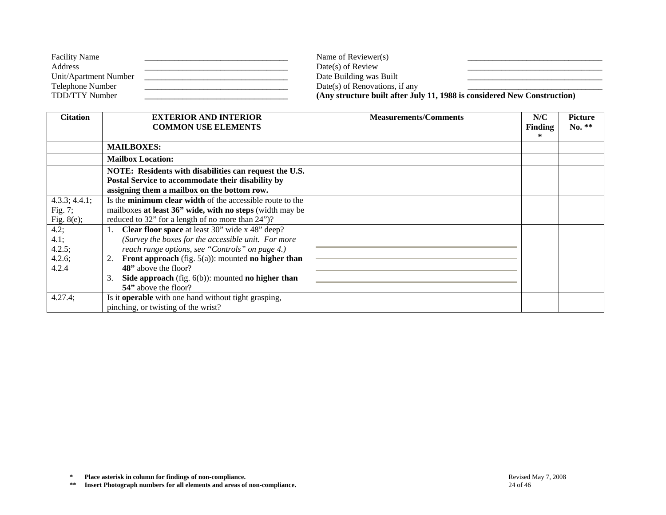| <b>Facility Name</b>  | Name of Reviewer(s)                                                      |  |
|-----------------------|--------------------------------------------------------------------------|--|
| Address               | $Date(s)$ of Review                                                      |  |
| Unit/Apartment Number | Date Building was Built                                                  |  |
| Telephone Number      | Date(s) of Renovations, if any                                           |  |
| TDD/TTY Number        | (Any structure built after July 11, 1988 is considered New Construction) |  |

| <b>Citation</b>                              | <b>EXTERIOR AND INTERIOR</b><br><b>COMMON USE ELEMENTS</b>                                                                                                                                                                                                                                                                              | <b>Measurements/Comments</b> | N/C<br><b>Finding</b><br>* | Picture<br>No. ** |
|----------------------------------------------|-----------------------------------------------------------------------------------------------------------------------------------------------------------------------------------------------------------------------------------------------------------------------------------------------------------------------------------------|------------------------------|----------------------------|-------------------|
|                                              | <b>MAILBOXES:</b>                                                                                                                                                                                                                                                                                                                       |                              |                            |                   |
|                                              | <b>Mailbox Location:</b>                                                                                                                                                                                                                                                                                                                |                              |                            |                   |
|                                              | NOTE: Residents with disabilities can request the U.S.<br>Postal Service to accommodate their disability by<br>assigning them a mailbox on the bottom row.                                                                                                                                                                              |                              |                            |                   |
| 4.3.3; 4.4.1;<br>Fig. $7$ ;<br>Fig. $8(e)$ ; | Is the minimum clear width of the accessible route to the<br>mailboxes at least 36" wide, with no steps (width may be<br>reduced to 32" for a length of no more than 24")?                                                                                                                                                              |                              |                            |                   |
| 4.2;<br>4.1;<br>4.2.5;<br>4.2.6;<br>4.2.4    | <b>Clear floor space</b> at least 30" wide x 48" deep?<br>(Survey the boxes for the accessible unit. For more<br>reach range options, see "Controls" on page 4.)<br>Front approach (fig. $5(a)$ ): mounted no higher than<br>2.<br>48" above the floor?<br>Side approach (fig. $6(b)$ ): mounted no higher than<br>54" above the floor? |                              |                            |                   |
| 4.27.4;                                      | Is it <b>operable</b> with one hand without tight grasping,<br>pinching, or twisting of the wrist?                                                                                                                                                                                                                                      |                              |                            |                   |

**\*\* Insert Photograph numbers for all elements and areas of non-compliance.** 24 of 46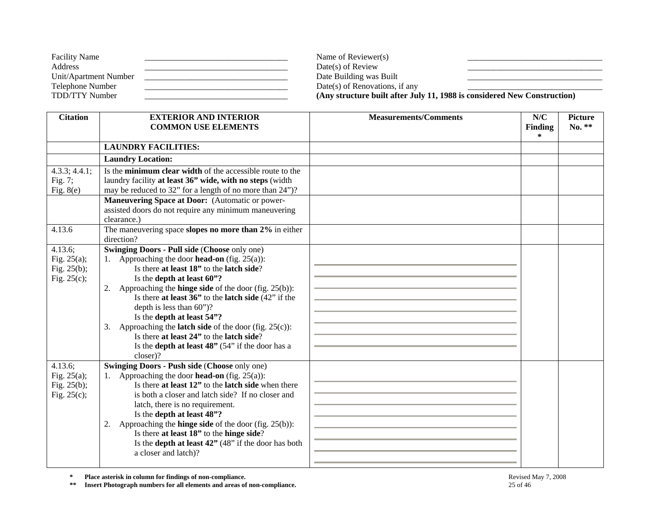| <b>Facility Name</b>  | Name of Reviewer(s)                                                      |  |
|-----------------------|--------------------------------------------------------------------------|--|
| Address               | $Date(s)$ of Review                                                      |  |
| Unit/Apartment Number | Date Building was Built                                                  |  |
| Telephone Number      | Date(s) of Renovations, if any                                           |  |
| TDD/TTY Number        | (Any structure built after July 11, 1988 is considered New Construction) |  |

| <b>Citation</b>                                               | <b>EXTERIOR AND INTERIOR</b><br><b>COMMON USE ELEMENTS</b>                                                                                                                                                                                                                                                                                                                                                                                                                                                                                                                | <b>Measurements/Comments</b> | N/C<br><b>Finding</b><br>$\ast$ | <b>Picture</b><br>No. ** |
|---------------------------------------------------------------|---------------------------------------------------------------------------------------------------------------------------------------------------------------------------------------------------------------------------------------------------------------------------------------------------------------------------------------------------------------------------------------------------------------------------------------------------------------------------------------------------------------------------------------------------------------------------|------------------------------|---------------------------------|--------------------------|
|                                                               | <b>LAUNDRY FACILITIES:</b>                                                                                                                                                                                                                                                                                                                                                                                                                                                                                                                                                |                              |                                 |                          |
|                                                               | <b>Laundry Location:</b>                                                                                                                                                                                                                                                                                                                                                                                                                                                                                                                                                  |                              |                                 |                          |
| 4.3.3; 4.4.1;<br>Fig. 7;<br>Fig. $8(e)$                       | Is the minimum clear width of the accessible route to the<br>laundry facility at least 36" wide, with no steps (width<br>may be reduced to 32" for a length of no more than 24")?<br>Maneuvering Space at Door: (Automatic or power-<br>assisted doors do not require any minimum maneuvering<br>clearance.)                                                                                                                                                                                                                                                              |                              |                                 |                          |
| 4.13.6                                                        | The maneuvering space slopes no more than $2\%$ in either<br>direction?                                                                                                                                                                                                                                                                                                                                                                                                                                                                                                   |                              |                                 |                          |
| 4.13.6;<br>Fig. $25(a)$ ;<br>Fig. $25(b)$ ;<br>Fig. $25(c)$ ; | Swinging Doors - Pull side (Choose only one)<br>1. Approaching the door <b>head-on</b> (fig. 25(a)):<br>Is there at least 18" to the latch side?<br>Is the depth at least 60"?<br>2. Approaching the <b>hinge side</b> of the door (fig. $25(b)$ ):<br>Is there at least $36$ " to the latch side $(42)$ " if the<br>depth is less than $60$ ")?<br>Is the depth at least 54"?<br>Approaching the <b>latch side</b> of the door (fig. $25(c)$ ):<br>3.<br>Is there at least 24" to the latch side?<br>Is the <b>depth at least 48"</b> (54" if the door has a<br>closer)? |                              |                                 |                          |
| 4.13.6;<br>Fig. $25(a)$ ;<br>Fig. $25(b)$ ;<br>Fig. $25(c)$ ; | <b>Swinging Doors - Push side (Choose only one)</b><br>1. Approaching the door <b>head-on</b> (fig. $25(a)$ ):<br>Is there at least 12" to the latch side when there<br>is both a closer and latch side? If no closer and<br>latch, there is no requirement.<br>Is the depth at least 48"?<br>2. Approaching the <b>hinge side</b> of the door (fig. $25(b)$ ):<br>Is there at least 18" to the hinge side?<br>Is the <b>depth at least 42</b> " (48" if the door has both<br>a closer and latch)?                                                                        |                              |                                 |                          |

**\*\* Insert Photograph numbers for all elements and areas of non-compliance.** 25 of 46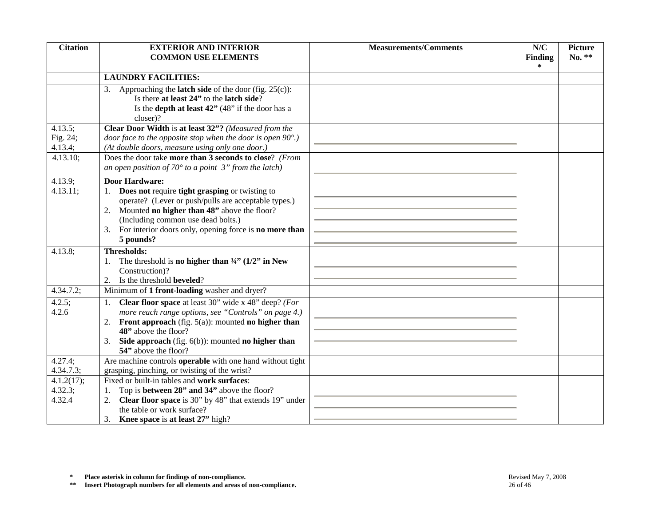| <b>Citation</b>                            | <b>EXTERIOR AND INTERIOR</b><br><b>COMMON USE ELEMENTS</b>                                                                                                                                                                                                                                                  | <b>Measurements/Comments</b> | N/C<br>Finding<br>∗ | <b>Picture</b><br>No. ** |
|--------------------------------------------|-------------------------------------------------------------------------------------------------------------------------------------------------------------------------------------------------------------------------------------------------------------------------------------------------------------|------------------------------|---------------------|--------------------------|
|                                            | <b>LAUNDRY FACILITIES:</b>                                                                                                                                                                                                                                                                                  |                              |                     |                          |
|                                            | 3. Approaching the <b>latch side</b> of the door (fig. $25(c)$ ):<br>Is there at least 24" to the latch side?<br>Is the <b>depth at least 42</b> " (48" if the door has a<br>closer)?                                                                                                                       |                              |                     |                          |
| 4.13.5;<br>Fig. 24;<br>4.13.4;<br>4.13.10; | Clear Door Width is at least 32"? (Measured from the<br>door face to the opposite stop when the door is open $90^{\circ}$ .)<br>(At double doors, measure using only one door.)<br>Does the door take more than 3 seconds to close? (From<br>an open position of $70^{\circ}$ to a point 3" from the latch) |                              |                     |                          |
| 4.13.9;<br>4.13.11;                        | <b>Door Hardware:</b><br>1. Does not require tight grasping or twisting to<br>operate? (Lever or push/pulls are acceptable types.)<br>2. Mounted no higher than 48" above the floor?<br>(Including common use dead bolts.)<br>For interior doors only, opening force is no more than<br>3.<br>5 pounds?     |                              |                     |                          |
| 4.13.8;                                    | <b>Thresholds:</b><br>The threshold is no higher than $\frac{3}{4}$ (1/2" in New<br>Construction)?<br>Is the threshold beveled?<br>2.                                                                                                                                                                       |                              |                     |                          |
| 4.34.7.2;                                  | Minimum of 1 front-loading washer and dryer?                                                                                                                                                                                                                                                                |                              |                     |                          |
| 4.2.5;<br>4.2.6                            | <b>Clear floor space</b> at least $\overline{30}$ " wide x 48" deep? (For<br>more reach range options, see "Controls" on page 4.)<br>2. Front approach (fig. $5(a)$ ): mounted no higher than<br>48" above the floor?<br>Side approach (fig. $6(b)$ ): mounted no higher than<br>3.<br>54" above the floor? |                              |                     |                          |
| $\overline{4.27.4}$ ;<br>4.34.7.3;         | Are machine controls <b>operable</b> with one hand without tight<br>grasping, pinching, or twisting of the wrist?                                                                                                                                                                                           |                              |                     |                          |
| 4.1.2(17);<br>4.32.3;<br>4.32.4            | Fixed or built-in tables and work surfaces:<br>Top is between 28" and 34" above the floor?<br>1.<br>Clear floor space is 30" by 48" that extends 19" under<br>2.<br>the table or work surface?<br>Knee space is at least 27" high?                                                                          |                              |                     |                          |
| $\ast$<br>$\pm\,\pm$                       | Place asterisk in column for findings of non-compliance.<br>Insert Photograph numbers for all elements and areas of non-compliance.                                                                                                                                                                         | 26 of 46                     | Revised May 7, 2008 |                          |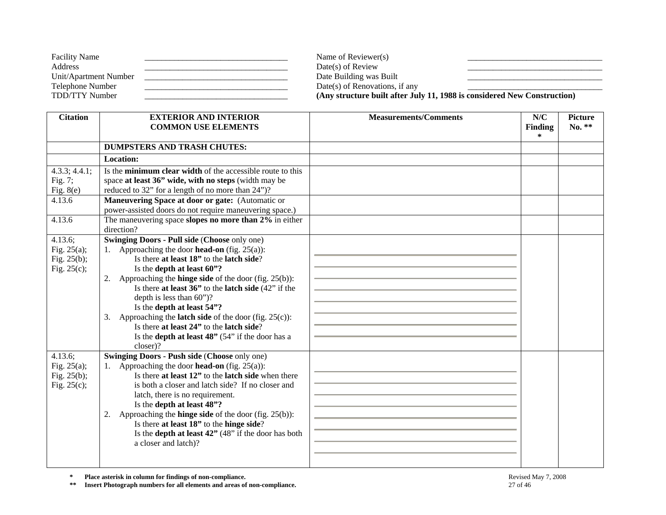| <b>Facility Name</b>  | Name of Reviewer(s)            |                                                                          |
|-----------------------|--------------------------------|--------------------------------------------------------------------------|
| Address               | $Date(s)$ of Review            |                                                                          |
| Unit/Apartment Number | Date Building was Built        |                                                                          |
| Telephone Number      | Date(s) of Renovations, if any |                                                                          |
| TDD/TTY Number        |                                | (Any structure built after July 11, 1988 is considered New Construction) |

| <b>Citation</b> | <b>EXTERIOR AND INTERIOR</b>                                                                                  | <b>Measurements/Comments</b> | N/C            | <b>Picture</b> |
|-----------------|---------------------------------------------------------------------------------------------------------------|------------------------------|----------------|----------------|
|                 | <b>COMMON USE ELEMENTS</b>                                                                                    |                              | <b>Finding</b> | No. **         |
|                 |                                                                                                               |                              | $\ast$         |                |
|                 | <b>DUMPSTERS AND TRASH CHUTES:</b>                                                                            |                              |                |                |
|                 | <b>Location:</b>                                                                                              |                              |                |                |
| 4.3.3; 4.4.1;   | Is the minimum clear width of the accessible route to this                                                    |                              |                |                |
| Fig. 7;         | space at least 36" wide, with no steps (width may be                                                          |                              |                |                |
| Fig. $8(e)$     | reduced to 32" for a length of no more than 24")?                                                             |                              |                |                |
| 4.13.6          | Maneuvering Space at door or gate: (Automatic or                                                              |                              |                |                |
|                 | power-assisted doors do not require maneuvering space.)                                                       |                              |                |                |
| 4.13.6          | The maneuvering space slopes no more than 2% in either                                                        |                              |                |                |
|                 | direction?                                                                                                    |                              |                |                |
| 4.13.6;         | <b>Swinging Doors - Pull side (Choose only one)</b>                                                           |                              |                |                |
| Fig. $25(a)$ ;  | 1. Approaching the door <b>head-on</b> (fig. $25(a)$ ):                                                       |                              |                |                |
| Fig. $25(b)$ ;  | Is there at least 18" to the latch side?                                                                      |                              |                |                |
| Fig. $25(c)$ ;  | Is the depth at least 60"?                                                                                    |                              |                |                |
|                 | Approaching the <b>hinge side</b> of the door (fig. $25(b)$ ):<br>2.                                          |                              |                |                |
|                 | Is there at least $36$ " to the latch side $(42)$ " if the                                                    |                              |                |                |
|                 | depth is less than $60$ ")?                                                                                   |                              |                |                |
|                 | Is the depth at least 54"?                                                                                    |                              |                |                |
|                 | Approaching the <b>latch side</b> of the door (fig. $25(c)$ ):<br>3.                                          |                              |                |                |
|                 | Is there at least 24" to the latch side?                                                                      |                              |                |                |
|                 | Is the depth at least 48" (54" if the door has a                                                              |                              |                |                |
|                 | closer)?                                                                                                      |                              |                |                |
| 4.13.6;         | <b>Swinging Doors - Push side (Choose only one)</b>                                                           |                              |                |                |
| Fig. $25(a)$ ;  | 1. Approaching the door <b>head-on</b> (fig. $25(a)$ ):<br>Is there at least 12" to the latch side when there |                              |                |                |
| Fig. 25(b);     | is both a closer and latch side? If no closer and                                                             |                              |                |                |
| Fig. $25(c)$ ;  | latch, there is no requirement.                                                                               |                              |                |                |
|                 | Is the depth at least 48"?                                                                                    |                              |                |                |
|                 | 2. Approaching the <b>hinge side</b> of the door (fig. $25(b)$ ):                                             |                              |                |                |
|                 | Is there at least 18" to the hinge side?                                                                      |                              |                |                |
|                 | Is the <b>depth at least 42</b> " $(48)$ " if the door has both                                               |                              |                |                |
|                 | a closer and latch)?                                                                                          |                              |                |                |
|                 |                                                                                                               |                              |                |                |
|                 |                                                                                                               |                              |                |                |

**\*\* Insert Photograph numbers for all elements and areas of non-compliance.** 27 of 46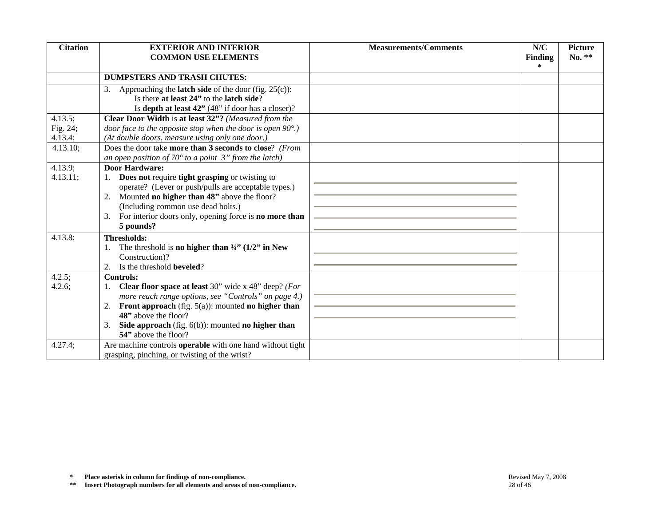| <b>Citation</b>                                                                                                                                                                                    | <b>EXTERIOR AND INTERIOR</b><br><b>COMMON USE ELEMENTS</b>                                                                                                                                                                                                                                                              | <b>Measurements/Comments</b> | N/C<br><b>Finding</b><br>∗ | <b>Picture</b><br>No. ** |
|----------------------------------------------------------------------------------------------------------------------------------------------------------------------------------------------------|-------------------------------------------------------------------------------------------------------------------------------------------------------------------------------------------------------------------------------------------------------------------------------------------------------------------------|------------------------------|----------------------------|--------------------------|
|                                                                                                                                                                                                    | <b>DUMPSTERS AND TRASH CHUTES:</b>                                                                                                                                                                                                                                                                                      |                              |                            |                          |
|                                                                                                                                                                                                    | 3. Approaching the <b>latch side</b> of the door (fig. $25(c)$ ):<br>Is there at least 24" to the latch side?<br>Is depth at least 42" (48" if door has a closer)?                                                                                                                                                      |                              |                            |                          |
| 4.13.5;<br>Fig. 24;<br>4.13.4;<br>4.13.10;                                                                                                                                                         | Clear Door Width is at least 32"? (Measured from the<br>door face to the opposite stop when the door is open $90^\circ$ .)<br>(At double doors, measure using only one door.)<br>Does the door take more than 3 seconds to close? (From<br>an open position of $70^{\circ}$ to a point $3"$ from the latch)             |                              |                            |                          |
| 4.13.9;<br>4.13.11;                                                                                                                                                                                | <b>Door Hardware:</b><br>Does not require tight grasping or twisting to<br>1.<br>operate? (Lever or push/pulls are acceptable types.)<br>Mounted no higher than 48" above the floor?<br>2.<br>(Including common use dead bolts.)<br>For interior doors only, opening force is no more than<br>3.<br>5 pounds?           |                              |                            |                          |
| 4.13.8;                                                                                                                                                                                            | <b>Thresholds:</b><br>The threshold is no higher than $\frac{3}{4}$ (1/2" in New<br>1.<br>Construction)?<br>2. Is the threshold <b>beveled</b> ?                                                                                                                                                                        |                              |                            |                          |
| 4.2.5;<br>4.2.6;                                                                                                                                                                                   | <b>Controls:</b><br><b>Clear floor space at least 30"</b> wide x 48" deep? (For<br>1.<br>more reach range options, see "Controls" on page 4.)<br>2. Front approach (fig. $5(a)$ ): mounted no higher than<br>48" above the floor?<br>Side approach (fig. $6(b)$ ): mounted no higher than<br>3.<br>54" above the floor? |                              |                            |                          |
| 4.27.4;                                                                                                                                                                                            | Are machine controls <b>operable</b> with one hand without tight<br>grasping, pinching, or twisting of the wrist?                                                                                                                                                                                                       |                              |                            |                          |
|                                                                                                                                                                                                    |                                                                                                                                                                                                                                                                                                                         |                              |                            |                          |
| Place asterisk in column for findings of non-compliance.<br>$\approx$<br>Revised May 7, 2008<br>Insert Photograph numbers for all elements and areas of non-compliance.<br>$\pm$ $\pm$<br>28 of 46 |                                                                                                                                                                                                                                                                                                                         |                              |                            |                          |

**\*** Place asterisk in column for findings of non-compliance.<br> **\*\*** Insert Photograph numbers for all elements and areas of non-compliance.<br>
28 of 46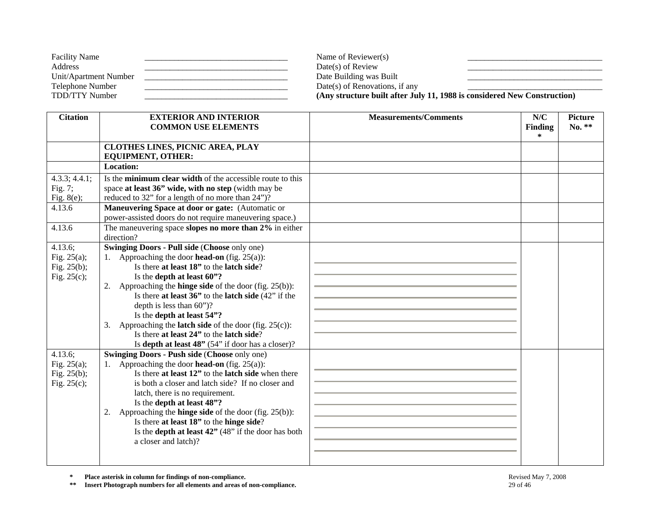| <b>Facility Name</b>  | Name of Reviewer(s)            |                                                                          |
|-----------------------|--------------------------------|--------------------------------------------------------------------------|
| Address               | $Date(s)$ of Review            |                                                                          |
| Unit/Apartment Number | Date Building was Built        |                                                                          |
| Telephone Number      | Date(s) of Renovations, if any |                                                                          |
| TDD/TTY Number        |                                | (Any structure built after July 11, 1988 is considered New Construction) |

| <b>Citation</b> | <b>EXTERIOR AND INTERIOR</b><br><b>COMMON USE ELEMENTS</b>                              | <b>Measurements/Comments</b> | N/C<br><b>Finding</b> | <b>Picture</b><br>No. ** |
|-----------------|-----------------------------------------------------------------------------------------|------------------------------|-----------------------|--------------------------|
|                 |                                                                                         |                              | $\ast$                |                          |
|                 | CLOTHES LINES, PICNIC AREA, PLAY                                                        |                              |                       |                          |
|                 | <b>EQUIPMENT, OTHER:</b>                                                                |                              |                       |                          |
|                 | <b>Location:</b>                                                                        |                              |                       |                          |
| 4.3.3; 4.4.1;   | Is the <b>minimum clear width</b> of the accessible route to this                       |                              |                       |                          |
| Fig. $7;$       | space at least 36" wide, with no step (width may be                                     |                              |                       |                          |
| Fig. $8(e)$ ;   | reduced to 32" for a length of no more than 24")?                                       |                              |                       |                          |
| 4.13.6          | Maneuvering Space at door or gate: (Automatic or                                        |                              |                       |                          |
|                 | power-assisted doors do not require maneuvering space.)                                 |                              |                       |                          |
| 4.13.6          | The maneuvering space slopes no more than 2% in either                                  |                              |                       |                          |
|                 | direction?                                                                              |                              |                       |                          |
| 4.13.6;         | <b>Swinging Doors - Pull side (Choose only one)</b>                                     |                              |                       |                          |
| Fig. $25(a)$ ;  | 1. Approaching the door <b>head-on</b> (fig. 25(a)):                                    |                              |                       |                          |
| Fig. $25(b)$ ;  | Is there at least 18" to the latch side?                                                |                              |                       |                          |
| Fig. $25(c)$ ;  | Is the depth at least 60"?                                                              |                              |                       |                          |
|                 | Approaching the <b>hinge side</b> of the door (fig. $25(b)$ ):<br>2.                    |                              |                       |                          |
|                 | Is there at least $36$ " to the latch side $(42)$ " if the                              |                              |                       |                          |
|                 | depth is less than $60$ ")?                                                             |                              |                       |                          |
|                 | Is the depth at least 54"?                                                              |                              |                       |                          |
|                 | Approaching the <b>latch side</b> of the door (fig. $25(c)$ ):<br>3.                    |                              |                       |                          |
|                 | Is there at least 24" to the latch side?                                                |                              |                       |                          |
|                 | Is depth at least 48" (54" if door has a closer)?                                       |                              |                       |                          |
| 4.13.6;         | <b>Swinging Doors - Push side (Choose only one)</b>                                     |                              |                       |                          |
| Fig. $25(a)$ ;  | 1. Approaching the door <b>head-on</b> (fig. 25(a)):                                    |                              |                       |                          |
| Fig. $25(b)$ ;  | Is there at least 12" to the latch side when there                                      |                              |                       |                          |
| Fig. $25(c)$ ;  | is both a closer and latch side? If no closer and                                       |                              |                       |                          |
|                 | latch, there is no requirement.                                                         |                              |                       |                          |
|                 | Is the depth at least 48"?                                                              |                              |                       |                          |
|                 | 2. Approaching the <b>hinge side</b> of the door (fig. $25(b)$ ):                       |                              |                       |                          |
|                 | Is there at least 18" to the hinge side?                                                |                              |                       |                          |
|                 | Is the <b>depth at least 42</b> " $(48)$ " if the door has both<br>a closer and latch)? |                              |                       |                          |
|                 |                                                                                         |                              |                       |                          |
|                 |                                                                                         |                              |                       |                          |

**\*\* Insert Photograph numbers for all elements and areas of non-compliance.** 29 of 46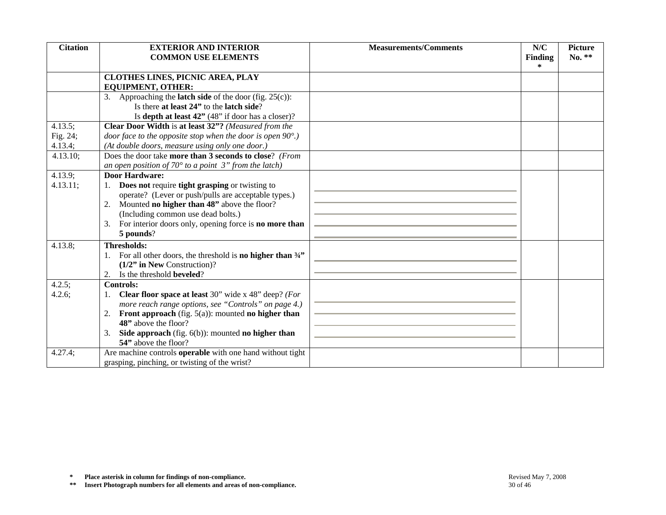| <b>Citation</b> | <b>EXTERIOR AND INTERIOR</b><br><b>COMMON USE ELEMENTS</b>                                                                  | <b>Measurements/Comments</b> | N/C<br>Finding<br>∗ | <b>Picture</b><br>No. ** |
|-----------------|-----------------------------------------------------------------------------------------------------------------------------|------------------------------|---------------------|--------------------------|
|                 | <b>CLOTHES LINES, PICNIC AREA, PLAY</b>                                                                                     |                              |                     |                          |
|                 | <b>EQUIPMENT, OTHER:</b>                                                                                                    |                              |                     |                          |
|                 | 3. Approaching the <b>latch side</b> of the door (fig. $25(c)$ ):                                                           |                              |                     |                          |
|                 | Is there at least 24" to the latch side?                                                                                    |                              |                     |                          |
|                 | Is depth at least 42" (48" if door has a closer)?                                                                           |                              |                     |                          |
| 4.13.5;         | Clear Door Width is at least 32"? (Measured from the                                                                        |                              |                     |                          |
| Fig. 24;        | door face to the opposite stop when the door is open $90^{\circ}$ .)                                                        |                              |                     |                          |
| 4.13.4;         | (At double doors, measure using only one door.)                                                                             |                              |                     |                          |
| 4.13.10;        | Does the door take more than 3 seconds to close? (From                                                                      |                              |                     |                          |
|                 | an open position of $70^{\circ}$ to a point 3" from the latch)                                                              |                              |                     |                          |
| 4.13.9;         | <b>Door Hardware:</b>                                                                                                       |                              |                     |                          |
| 4.13.11;        | 1. Does not require tight grasping or twisting to                                                                           |                              |                     |                          |
|                 | operate? (Lever or push/pulls are acceptable types.)                                                                        |                              |                     |                          |
|                 | 2. Mounted <b>no higher than 48</b> " above the floor?                                                                      |                              |                     |                          |
|                 | (Including common use dead bolts.)                                                                                          |                              |                     |                          |
|                 | 3. For interior doors only, opening force is <b>no more than</b><br>5 pounds?                                               |                              |                     |                          |
|                 |                                                                                                                             |                              |                     |                          |
| 4.13.8;         | <b>Thresholds:</b>                                                                                                          |                              |                     |                          |
|                 | 1. For all other doors, the threshold is <b>no higher than</b> $\frac{3}{4}$                                                |                              |                     |                          |
|                 | $(1/2"$ in New Construction)?                                                                                               |                              |                     |                          |
|                 | 2. Is the threshold <b>beveled</b> ?                                                                                        |                              |                     |                          |
| 4.2.5;          | <b>Controls:</b>                                                                                                            |                              |                     |                          |
| 4.2.6;          | <b>Clear floor space at least</b> 30" wide x 48" deep? (For<br>1.                                                           |                              |                     |                          |
|                 | more reach range options, see "Controls" on page 4.)<br><b>Front approach</b> (fig. $5(a)$ ): mounted <b>no higher than</b> |                              |                     |                          |
|                 | 2.<br>48" above the floor?                                                                                                  |                              |                     |                          |
|                 | Side approach (fig. 6(b)): mounted no higher than<br>3.                                                                     |                              |                     |                          |
|                 | 54" above the floor?                                                                                                        |                              |                     |                          |
| 4.27.4;         | Are machine controls <b>operable</b> with one hand without tight                                                            |                              |                     |                          |
|                 | grasping, pinching, or twisting of the wrist?                                                                               |                              |                     |                          |
|                 |                                                                                                                             |                              |                     |                          |
|                 |                                                                                                                             |                              |                     |                          |
|                 |                                                                                                                             |                              |                     |                          |
|                 |                                                                                                                             |                              |                     |                          |
|                 |                                                                                                                             |                              |                     |                          |
|                 |                                                                                                                             |                              |                     |                          |
|                 |                                                                                                                             |                              |                     |                          |
|                 |                                                                                                                             |                              |                     |                          |
|                 |                                                                                                                             |                              |                     |                          |
| $\approx$       | Place asterisk in column for findings of non-compliance.                                                                    |                              | Revised May 7, 2008 |                          |
| $\pm$ $\pm$     | Insert Photograph numbers for all elements and areas of non-compliance.                                                     | 30 of 46                     |                     |                          |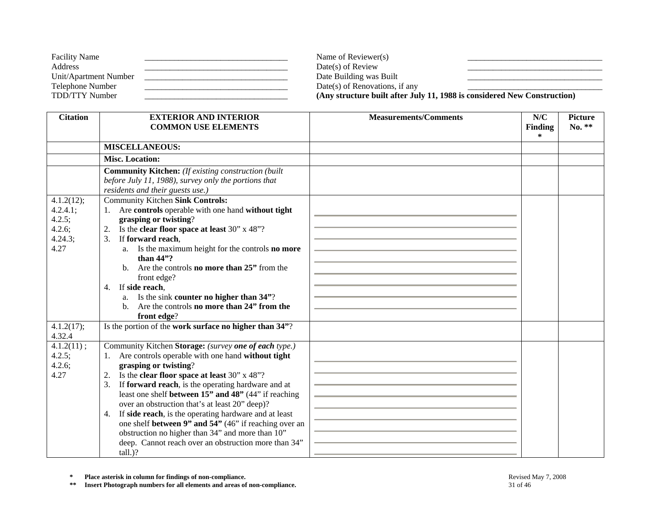| <b>Facility Name</b>  | Name of Reviewer(s)            |                                                                          |
|-----------------------|--------------------------------|--------------------------------------------------------------------------|
| Address               | $Date(s)$ of Review            |                                                                          |
| Unit/Apartment Number | Date Building was Built        |                                                                          |
| Telephone Number      | Date(s) of Renovations, if any |                                                                          |
| TDD/TTY Number        |                                | (Any structure built after July 11, 1988 is considered New Construction) |

| <b>Citation</b>                                               | <b>EXTERIOR AND INTERIOR</b>                                                                                                                                                                                                                                                                                                                                                                                                                                                                                                                                                                                               | <b>Measurements/Comments</b> | N/C                      | <b>Picture</b> |
|---------------------------------------------------------------|----------------------------------------------------------------------------------------------------------------------------------------------------------------------------------------------------------------------------------------------------------------------------------------------------------------------------------------------------------------------------------------------------------------------------------------------------------------------------------------------------------------------------------------------------------------------------------------------------------------------------|------------------------------|--------------------------|----------------|
|                                                               | <b>COMMON USE ELEMENTS</b>                                                                                                                                                                                                                                                                                                                                                                                                                                                                                                                                                                                                 |                              | <b>Finding</b><br>$\ast$ | $No. **$       |
|                                                               | <b>MISCELLANEOUS:</b>                                                                                                                                                                                                                                                                                                                                                                                                                                                                                                                                                                                                      |                              |                          |                |
|                                                               | <b>Misc. Location:</b>                                                                                                                                                                                                                                                                                                                                                                                                                                                                                                                                                                                                     |                              |                          |                |
|                                                               | <b>Community Kitchen:</b> (If existing construction (built<br>before July 11, 1988), survey only the portions that<br>residents and their guests use.)                                                                                                                                                                                                                                                                                                                                                                                                                                                                     |                              |                          |                |
| 4.1.2(12);<br>4.2.4.1;<br>4.2.5;<br>4.2.6;<br>4.24.3;<br>4.27 | <b>Community Kitchen Sink Controls:</b><br>Are controls operable with one hand without tight<br>1.<br>grasping or twisting?<br>Is the clear floor space at least 30" x 48"?<br>2.<br>If forward reach,<br>3.<br>a. Is the maximum height for the controls <b>no more</b><br>than $44$ "?<br>b. Are the controls <b>no more than 25</b> " from the<br>front edge?<br>If side reach.<br>4.<br>a. Is the sink counter no higher than 34"?<br>b. Are the controls <b>no more than 24</b> " from the<br>front edge?                                                                                                             |                              |                          |                |
| 4.1.2(17);<br>4.32.4                                          | Is the portion of the work surface no higher than 34"?                                                                                                                                                                                                                                                                                                                                                                                                                                                                                                                                                                     |                              |                          |                |
| 4.1.2(11);<br>4.2.5;<br>$4.2.6$ ;<br>4.27                     | Community Kitchen Storage: (survey one of each type.)<br>Are controls operable with one hand without tight<br>1.<br>grasping or twisting?<br>2. Is the <b>clear floor space at least</b> 30" x 48"?<br>3.<br>If forward reach, is the operating hardware and at<br>least one shelf between 15" and 48" (44" if reaching<br>over an obstruction that's at least 20" deep)?<br>If side reach, is the operating hardware and at least<br>4.<br>one shelf between 9" and 54" (46" if reaching over an<br>obstruction no higher than 34" and more than 10"<br>deep. Cannot reach over an obstruction more than 34"<br>$tall.$ ? |                              |                          |                |

**\*\* Insert Photograph numbers for all elements and areas of non-compliance.** 31 of 46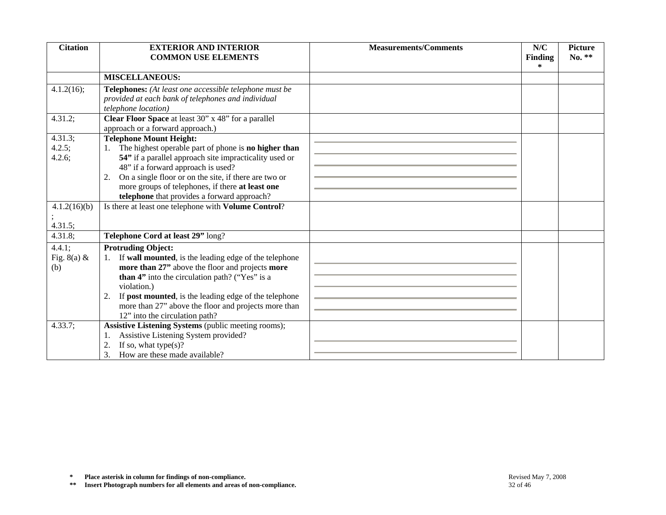| <b>Citation</b>                | <b>EXTERIOR AND INTERIOR</b><br><b>COMMON USE ELEMENTS</b>                                                                                                                                                                                                                                                                                                         | <b>Measurements/Comments</b> | N/C<br>Finding<br>$\ast$ | <b>Picture</b><br>No. ** |
|--------------------------------|--------------------------------------------------------------------------------------------------------------------------------------------------------------------------------------------------------------------------------------------------------------------------------------------------------------------------------------------------------------------|------------------------------|--------------------------|--------------------------|
|                                | <b>MISCELLANEOUS:</b>                                                                                                                                                                                                                                                                                                                                              |                              |                          |                          |
| 4.1.2(16);                     | Telephones: (At least one accessible telephone must be<br>provided at each bank of telephones and individual<br>telephone location)                                                                                                                                                                                                                                |                              |                          |                          |
| 4.31.2;                        | Clear Floor Space at least 30" x 48" for a parallel<br>approach or a forward approach.)                                                                                                                                                                                                                                                                            |                              |                          |                          |
| 4.31.3;<br>4.2.5;<br>4.2.6;    | <b>Telephone Mount Height:</b><br>1. The highest operable part of phone is <b>no higher than</b><br>54" if a parallel approach site impracticality used or<br>48" if a forward approach is used?<br>On a single floor or on the site, if there are two or<br>2.<br>more groups of telephones, if there at least one<br>telephone that provides a forward approach? |                              |                          |                          |
| 4.1.2(16)(b)<br>4.31.5;        | Is there at least one telephone with Volume Control?                                                                                                                                                                                                                                                                                                               |                              |                          |                          |
| 4.31.8;                        | Telephone Cord at least 29" long?                                                                                                                                                                                                                                                                                                                                  |                              |                          |                          |
| 4.4.1;<br>Fig. $8(a)$ &<br>(b) | <b>Protruding Object:</b><br>1. If wall mounted, is the leading edge of the telephone<br>more than 27" above the floor and projects more<br>than 4" into the circulation path? ("Yes" is a<br>violation.)<br>2. If post mounted, is the leading edge of the telephone<br>more than 27" above the floor and projects more than<br>12" into the circulation path?    |                              |                          |                          |
| 4.33.7;                        | Assistive Listening Systems (public meeting rooms);<br>Assistive Listening System provided?<br>1.<br>If so, what type $(s)$ ?<br>2.<br>How are these made available?<br>3.                                                                                                                                                                                         |                              |                          |                          |
| $\ast$<br>$\pm\,\pm$           | Place asterisk in column for findings of non-compliance.<br>Insert Photograph numbers for all elements and areas of non-compliance.                                                                                                                                                                                                                                | 32 of 46                     | Revised May 7, 2008      |                          |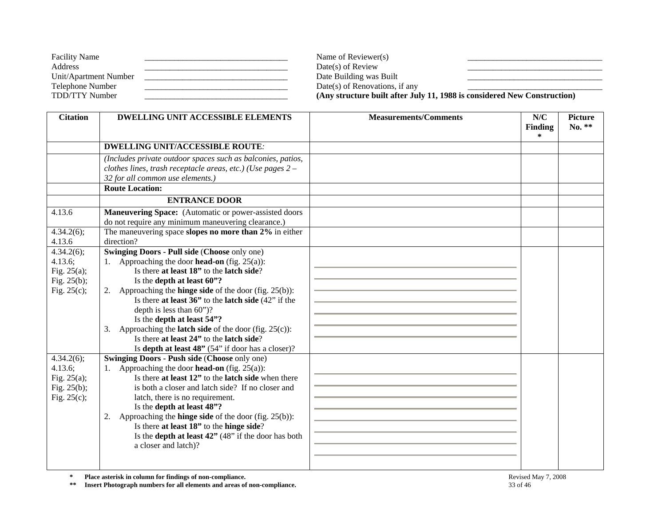| <b>Facility Name</b>  | Name of Reviewer(s)            |                                                                          |
|-----------------------|--------------------------------|--------------------------------------------------------------------------|
| Address               | $Date(s)$ of Review            |                                                                          |
| Unit/Apartment Number | Date Building was Built        |                                                                          |
| Telephone Number      | Date(s) of Renovations, if any |                                                                          |
| TDD/TTY Number        |                                | (Any structure built after July 11, 1988 is considered New Construction) |

| <b>Citation</b> | <b>DWELLING UNIT ACCESSIBLE ELEMENTS</b>                                                                      | <b>Measurements/Comments</b> | N/C            | <b>Picture</b> |
|-----------------|---------------------------------------------------------------------------------------------------------------|------------------------------|----------------|----------------|
|                 |                                                                                                               |                              | <b>Finding</b> | No. **         |
|                 |                                                                                                               |                              | $\ast$         |                |
|                 | <b>DWELLING UNIT/ACCESSIBLE ROUTE:</b>                                                                        |                              |                |                |
|                 | (Includes private outdoor spaces such as balconies, patios,                                                   |                              |                |                |
|                 | clothes lines, trash receptacle areas, etc.) (Use pages $2 -$                                                 |                              |                |                |
|                 | 32 for all common use elements.)                                                                              |                              |                |                |
|                 | <b>Route Location:</b>                                                                                        |                              |                |                |
|                 | <b>ENTRANCE DOOR</b>                                                                                          |                              |                |                |
| 4.13.6          | <b>Maneuvering Space:</b> (Automatic or power-assisted doors                                                  |                              |                |                |
|                 | do not require any minimum maneuvering clearance.)                                                            |                              |                |                |
| 4.34.2(6);      | The maneuvering space slopes no more than 2% in either                                                        |                              |                |                |
| 4.13.6          | direction?                                                                                                    |                              |                |                |
| 4.34.2(6);      | <b>Swinging Doors - Pull side (Choose only one)</b>                                                           |                              |                |                |
| 4.13.6;         | 1. Approaching the door <b>head-on</b> (fig. 25(a)):                                                          |                              |                |                |
| Fig. $25(a)$ ;  | Is there at least 18" to the latch side?                                                                      |                              |                |                |
| Fig. 25(b);     | Is the depth at least 60"?                                                                                    |                              |                |                |
| Fig. $25(c)$ ;  | 2. Approaching the <b>hinge side</b> of the door (fig. $25(b)$ ):                                             |                              |                |                |
|                 | Is there at least $36$ " to the latch side $(42)$ " if the                                                    |                              |                |                |
|                 | depth is less than 60")?                                                                                      |                              |                |                |
|                 | Is the depth at least 54"?                                                                                    |                              |                |                |
|                 | Approaching the <b>latch side</b> of the door (fig. $25(c)$ ):<br>3.                                          |                              |                |                |
|                 | Is there at least 24" to the latch side?                                                                      |                              |                |                |
|                 | Is depth at least 48" (54" if door has a closer)?                                                             |                              |                |                |
| 4.34.2(6);      | Swinging Doors - Push side (Choose only one)                                                                  |                              |                |                |
| 4.13.6;         | 1. Approaching the door <b>head-on</b> (fig. 25(a)):                                                          |                              |                |                |
| Fig. $25(a)$ ;  | Is there at least 12" to the latch side when there                                                            |                              |                |                |
| Fig. $25(b)$ ;  | is both a closer and latch side? If no closer and                                                             |                              |                |                |
| Fig. $25(c)$ ;  | latch, there is no requirement.                                                                               |                              |                |                |
|                 | Is the depth at least 48"?                                                                                    |                              |                |                |
|                 | 2. Approaching the <b>hinge side</b> of the door (fig. $25(b)$ ):<br>Is there at least 18" to the hinge side? |                              |                |                |
|                 | Is the <b>depth at least 42</b> " $(48"$ if the door has both                                                 |                              |                |                |
|                 | a closer and latch)?                                                                                          |                              |                |                |
|                 |                                                                                                               |                              |                |                |
|                 |                                                                                                               |                              |                |                |

**\*\* Insert Photograph numbers for all elements and areas of non-compliance.** 33 of 46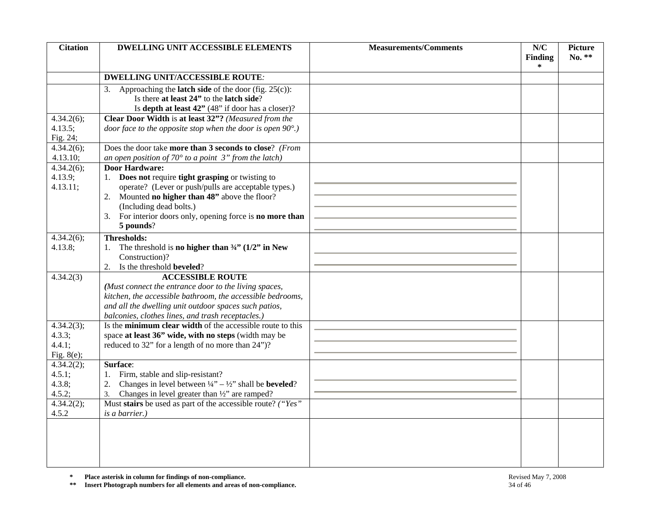| <b>Citation</b>                                 | <b>DWELLING UNIT ACCESSIBLE ELEMENTS</b>                                                                                                                                                                                                                                                         | <b>Measurements/Comments</b> | N/C<br><b>Finding</b> | <b>Picture</b><br>No. ** |
|-------------------------------------------------|--------------------------------------------------------------------------------------------------------------------------------------------------------------------------------------------------------------------------------------------------------------------------------------------------|------------------------------|-----------------------|--------------------------|
|                                                 |                                                                                                                                                                                                                                                                                                  |                              | $\ast$                |                          |
|                                                 | <b>DWELLING UNIT/ACCESSIBLE ROUTE:</b>                                                                                                                                                                                                                                                           |                              |                       |                          |
|                                                 | Approaching the <b>latch side</b> of the door (fig. $25(c)$ ):<br>3.<br>Is there at least 24" to the latch side?<br>Is depth at least $42$ " (48" if door has a closer)?                                                                                                                         |                              |                       |                          |
| 4.34.2(6);<br>4.13.5;<br>Fig. 24;               | Clear Door Width is at least 32"? (Measured from the<br>door face to the opposite stop when the door is open $90^{\circ}$ .)                                                                                                                                                                     |                              |                       |                          |
| 4.34.2(6);<br>4.13.10;                          | Does the door take more than 3 seconds to close? (From<br>an open position of $70^{\circ}$ to a point 3" from the latch)                                                                                                                                                                         |                              |                       |                          |
| 4.34.2(6);<br>4.13.9;<br>4.13.11;               | <b>Door Hardware:</b><br>1. Does not require tight grasping or twisting to<br>operate? (Lever or push/pulls are acceptable types.)<br>2. Mounted no higher than 48" above the floor?<br>(Including dead bolts.)<br>3. For interior doors only, opening force is <b>no more than</b><br>5 pounds? |                              |                       |                          |
| 4.34.2(6);<br>4.13.8;                           | <b>Thresholds:</b><br>The threshold is no higher than $\frac{3}{4}$ (1/2" in New<br>Construction)?<br>2. Is the threshold <b>beveled</b> ?                                                                                                                                                       |                              |                       |                          |
| 4.34.2(3)                                       | <b>ACCESSIBLE ROUTE</b><br>(Must connect the entrance door to the living spaces,<br>kitchen, the accessible bathroom, the accessible bedrooms,<br>and all the dwelling unit outdoor spaces such patios,<br>balconies, clothes lines, and trash receptacles.)                                     |                              |                       |                          |
| 4.34.2(3);<br>4.3.3;<br>4.4.1;<br>Fig. $8(e)$ ; | Is the minimum clear width of the accessible route to this<br>space at least 36" wide, with no steps (width may be<br>reduced to 32" for a length of no more than 24")?                                                                                                                          |                              |                       |                          |
| 4.34.2(2);<br>4.5.1;<br>4.3.8;<br>4.5.2;        | Surface:<br>Firm, stable and slip-resistant?<br>Changes in level between $\frac{1}{4}$ – $\frac{1}{2}$ shall be <b>beveled</b> ?<br>2.<br>Changes in level greater than $\frac{1}{2}$ are ramped?<br>3.                                                                                          |                              |                       |                          |
| 4.34.2(2);<br>4.5.2                             | Must stairs be used as part of the accessible route? ("Yes"<br>is a barrier.)                                                                                                                                                                                                                    |                              |                       |                          |
|                                                 |                                                                                                                                                                                                                                                                                                  |                              |                       |                          |
| $\approx$<br>$\pm\,\pm$                         | Place asterisk in column for findings of non-compliance.<br>Insert Photograph numbers for all elements and areas of non-compliance.                                                                                                                                                              | 34 of 46                     | Revised May 7, 2008   |                          |

**\*** Place asterisk in column for findings of non-compliance.<br> **\*\*** Insert Photograph numbers for all elements and areas of non-compliance.<br>
<sup>\*\*</sup> Insert Photograph numbers for all elements and areas of non-compliance.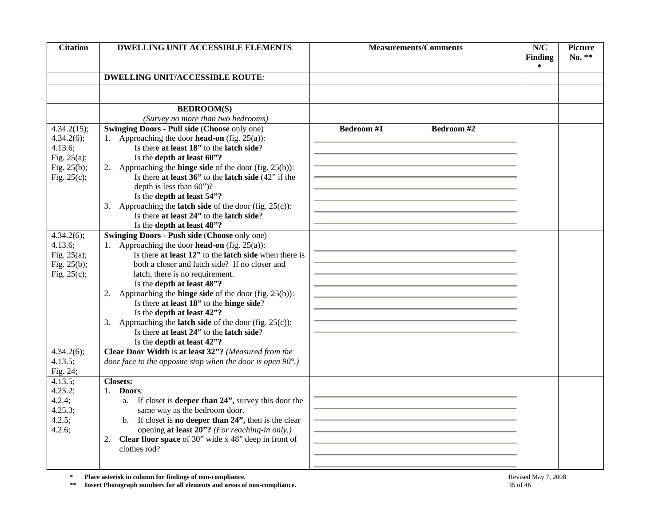| <b>Citation</b> | <b>DWELLING UNIT ACCESSIBLE ELEMENTS</b>                                                                      | <b>Measurements/Comments</b> | N/C<br><b>Finding</b><br>∗ | <b>Picture</b><br>No. ** |  |  |
|-----------------|---------------------------------------------------------------------------------------------------------------|------------------------------|----------------------------|--------------------------|--|--|
|                 | <b>DWELLING UNIT/ACCESSIBLE ROUTE:</b>                                                                        |                              |                            |                          |  |  |
|                 |                                                                                                               |                              |                            |                          |  |  |
|                 |                                                                                                               |                              |                            |                          |  |  |
|                 | <b>BEDROOM(S)</b>                                                                                             |                              |                            |                          |  |  |
|                 | (Survey no more than two bedrooms)                                                                            |                              |                            |                          |  |  |
| 4.34.2(15);     | <b>Swinging Doors - Pull side (Choose only one)</b>                                                           | Bedroom #1<br>Bedroom #2     |                            |                          |  |  |
| 4.34.2(6);      | 1. Approaching the door <b>head-on</b> (fig. $25(a)$ ):                                                       |                              |                            |                          |  |  |
| 4.13.6;         | Is there at least 18" to the latch side?                                                                      |                              |                            |                          |  |  |
| Fig. $25(a)$ ;  | Is the depth at least 60"?                                                                                    |                              |                            |                          |  |  |
| Fig. $25(b)$ ;  | 2. Approaching the <b>hinge side</b> of the door (fig. $25(b)$ ):                                             |                              |                            |                          |  |  |
| Fig. $25(c)$ ;  | Is there at least $36$ " to the latch side $(42$ " if the                                                     |                              |                            |                          |  |  |
|                 | depth is less than $60$ ")?                                                                                   |                              |                            |                          |  |  |
|                 | Is the depth at least 54"?                                                                                    |                              |                            |                          |  |  |
|                 | 3. Approaching the <b>latch side</b> of the door (fig. $25(c)$ ):<br>Is there at least 24" to the latch side? |                              |                            |                          |  |  |
|                 |                                                                                                               |                              |                            |                          |  |  |
| 4.34.2(6);      | Is the depth at least 48"?<br><b>Swinging Doors - Push side (Choose only one)</b>                             |                              |                            |                          |  |  |
| 4.13.6;         | 1. Approaching the door <b>head-on</b> (fig. 25(a)):                                                          |                              |                            |                          |  |  |
| Fig. $25(a)$ ;  | Is there at least 12" to the latch side when there is                                                         |                              |                            |                          |  |  |
| Fig. $25(b)$ ;  | both a closer and latch side? If no closer and                                                                |                              |                            |                          |  |  |
| Fig. $25(c)$ ;  | latch, there is no requirement.                                                                               |                              |                            |                          |  |  |
|                 | Is the depth at least 48"?                                                                                    |                              |                            |                          |  |  |
|                 | 2. Approaching the <b>hinge side</b> of the door (fig. $25(b)$ ):                                             |                              |                            |                          |  |  |
|                 | Is there at least 18" to the hinge side?                                                                      |                              |                            |                          |  |  |
|                 | Is the depth at least 42"?                                                                                    |                              |                            |                          |  |  |
|                 | 3. Approaching the <b>latch side</b> of the door (fig. $25(c)$ ):                                             |                              |                            |                          |  |  |
|                 | Is there at least 24" to the latch side?                                                                      |                              |                            |                          |  |  |
|                 | Is the depth at least 42"?                                                                                    |                              |                            |                          |  |  |
| 4.34.2(6);      | Clear Door Width is at least 32"? (Measured from the                                                          |                              |                            |                          |  |  |
| 4.13.5;         | door face to the opposite stop when the door is open $90^{\circ}$ .)                                          |                              |                            |                          |  |  |
| Fig. 24;        |                                                                                                               |                              |                            |                          |  |  |
| 4.13.5;         | <b>Closets:</b>                                                                                               |                              |                            |                          |  |  |
| $4.25.2$ ;      | 1. Doors:                                                                                                     |                              |                            |                          |  |  |
| 4.2.4;          | a. If closet is <b>deeper than 24"</b> , survey this door the                                                 |                              |                            |                          |  |  |
| 4.25.3;         | same way as the bedroom door.                                                                                 |                              |                            |                          |  |  |
| 4.2.5;          | If closet is <b>no deeper than 24"</b> , then is the clear                                                    |                              |                            |                          |  |  |
| 4.2.6;          | opening at least 20"? (For reaching-in only.)                                                                 |                              |                            |                          |  |  |
|                 | <b>Clear floor space</b> of 30" wide $x$ 48" deep in front of<br>2.                                           |                              |                            |                          |  |  |
|                 | clothes rod?                                                                                                  |                              |                            |                          |  |  |
|                 |                                                                                                               |                              |                            |                          |  |  |
| $\approx$       | Place asterisk in column for findings of non-compliance.                                                      |                              | Revised May 7, 2008        |                          |  |  |
| $\pm\,+\,$      | Insert Photograph numbers for all elements and areas of non-compliance.<br>35 of 46                           |                              |                            |                          |  |  |

**\*** Place asterisk in column for findings of non-compliance.<br> **\*\*** Insert Photograph numbers for all elements and areas of non-compliance. 35 of 46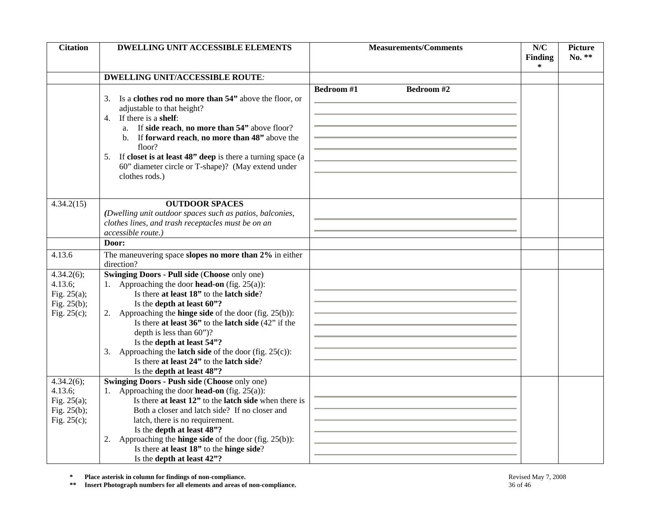| <b>Citation</b>                                                                | DWELLING UNIT ACCESSIBLE ELEMENTS                                                                                                                                                                                                                                                                                                                                                                                                                                                                                                       | <b>Measurements/Comments</b>   | N/C<br>Finding      | <b>Picture</b><br>No. ** |
|--------------------------------------------------------------------------------|-----------------------------------------------------------------------------------------------------------------------------------------------------------------------------------------------------------------------------------------------------------------------------------------------------------------------------------------------------------------------------------------------------------------------------------------------------------------------------------------------------------------------------------------|--------------------------------|---------------------|--------------------------|
|                                                                                |                                                                                                                                                                                                                                                                                                                                                                                                                                                                                                                                         |                                | $\ast$              |                          |
|                                                                                | <b>DWELLING UNIT/ACCESSIBLE ROUTE:</b>                                                                                                                                                                                                                                                                                                                                                                                                                                                                                                  |                                |                     |                          |
|                                                                                | Is a clothes rod no more than 54" above the floor, or<br>3.<br>adjustable to that height?<br>If there is a shelf:<br>4.<br>a. If side reach, no more than 54" above floor?<br>b. If forward reach, no more than 48" above the<br>floor?<br>If closet is at least 48" deep is there a turning space (a<br>5.<br>60" diameter circle or T-shape)? (May extend under<br>clothes rods.)                                                                                                                                                     | <b>Bedroom#1</b><br>Bedroom #2 |                     |                          |
| 4.34.2(15)                                                                     | <b>OUTDOOR SPACES</b><br>(Dwelling unit outdoor spaces such as patios, balconies,<br>clothes lines, and trash receptacles must be on an<br>accessible route.)                                                                                                                                                                                                                                                                                                                                                                           |                                |                     |                          |
|                                                                                | Door:                                                                                                                                                                                                                                                                                                                                                                                                                                                                                                                                   |                                |                     |                          |
| 4.13.6                                                                         | The maneuvering space slopes no more than 2% in either<br>direction?                                                                                                                                                                                                                                                                                                                                                                                                                                                                    |                                |                     |                          |
| 4.34.2(6);<br>4.13.6;<br>Fig. $25(a)$ ;<br>Fig. 25(b);<br>Fig. $25(c)$ ;       | <b>Swinging Doors - Pull side (Choose only one)</b><br>1. Approaching the door <b>head-on</b> (fig. $25(a)$ ):<br>Is there at least 18" to the latch side?<br>Is the depth at least 60"?<br>2. Approaching the <b>hinge side</b> of the door (fig. $25(b)$ ):<br>Is there at least $36$ " to the latch side $(42)$ " if the<br>depth is less than $60$ ")?<br>Is the depth at least 54"?<br>3. Approaching the <b>latch side</b> of the door (fig. $25(c)$ ):<br>Is there at least 24" to the latch side?<br>Is the depth at least 48"? |                                |                     |                          |
| $4.34.2(6)$ ;<br>4.13.6;<br>Fig. $25(a)$ ;<br>Fig. $25(b)$ ;<br>Fig. $25(c)$ ; | <b>Swinging Doors - Push side (Choose only one)</b><br>1. Approaching the door <b>head-on</b> (fig. $25(a)$ ):<br>Is there at least 12" to the latch side when there is<br>Both a closer and latch side? If no closer and<br>latch, there is no requirement.<br>Is the depth at least 48"?<br>2. Approaching the <b>hinge side</b> of the door (fig. $25(b)$ ):<br>Is there at least 18" to the hinge side?<br>Is the depth at least 42"?                                                                                               |                                |                     |                          |
| $\approx$<br>$\pm\,\pm$                                                        | Place asterisk in column for findings of non-compliance.<br>Insert Photograph numbers for all elements and areas of non-compliance.                                                                                                                                                                                                                                                                                                                                                                                                     | 36 of 46                       | Revised May 7, 2008 |                          |

**\*** Place asterisk in column for findings of non-compliance.<br> **\*\*** Insert Photograph numbers for all elements and areas of non-compliance.<br>
36 of 46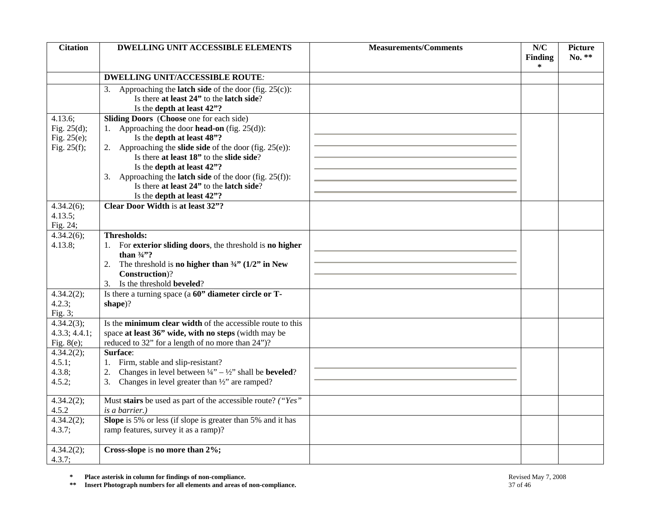| <b>Citation</b>            | <b>DWELLING UNIT ACCESSIBLE ELEMENTS</b>                                                                                                    | <b>Measurements/Comments</b> | N/C<br><b>Finding</b> | <b>Picture</b><br>No. ** |
|----------------------------|---------------------------------------------------------------------------------------------------------------------------------------------|------------------------------|-----------------------|--------------------------|
|                            |                                                                                                                                             |                              | ∗                     |                          |
|                            | <b>DWELLING UNIT/ACCESSIBLE ROUTE:</b>                                                                                                      |                              |                       |                          |
|                            | 3. Approaching the <b>latch side</b> of the door (fig. $25(c)$ ):<br>Is there at least 24" to the latch side?<br>Is the depth at least 42"? |                              |                       |                          |
| 4.13.6;                    | Sliding Doors (Choose one for each side)                                                                                                    |                              |                       |                          |
| Fig. $25(d)$ ;             | 1. Approaching the door <b>head-on</b> (fig. $25(d)$ ):                                                                                     |                              |                       |                          |
| Fig. $25(e)$ ;             | Is the depth at least 48"?                                                                                                                  |                              |                       |                          |
| Fig. $25(f)$ ;             | 2. Approaching the <b>slide side</b> of the door (fig. $25(e)$ ):                                                                           |                              |                       |                          |
|                            | Is there at least 18" to the slide side?                                                                                                    |                              |                       |                          |
|                            | Is the depth at least 42"?                                                                                                                  |                              |                       |                          |
|                            | 3. Approaching the <b>latch side</b> of the door (fig. $25(f)$ ):                                                                           |                              |                       |                          |
|                            | Is there at least 24" to the latch side?                                                                                                    |                              |                       |                          |
| 4.34.2(6);                 | Is the depth at least 42"?<br>Clear Door Width is at least 32"?                                                                             |                              |                       |                          |
| 4.13.5;                    |                                                                                                                                             |                              |                       |                          |
| Fig. 24;                   |                                                                                                                                             |                              |                       |                          |
| $4.34.2(6)$ ;              | <b>Thresholds:</b>                                                                                                                          |                              |                       |                          |
| 4.13.8;                    | 1. For exterior sliding doors, the threshold is no higher                                                                                   |                              |                       |                          |
|                            | than $\frac{3}{4}$ ?                                                                                                                        |                              |                       |                          |
|                            | The threshold is <b>no higher than</b> $\frac{3}{4}$ (1/2" in New<br>2.                                                                     |                              |                       |                          |
|                            | Construction)?                                                                                                                              |                              |                       |                          |
|                            | 3. Is the threshold <b>beveled</b> ?                                                                                                        |                              |                       |                          |
| 4.34.2(2);                 | Is there a turning space (a 60" diameter circle or T-                                                                                       |                              |                       |                          |
| 4.2.3;<br>Fig. $3;$        | shape)?                                                                                                                                     |                              |                       |                          |
| 4.34.2(3);                 | Is the minimum clear width of the accessible route to this                                                                                  |                              |                       |                          |
| 4.3.3; 4.4.1;              | space at least 36" wide, with no steps (width may be                                                                                        |                              |                       |                          |
| Fig. $8(e)$ ;              | reduced to 32" for a length of no more than 24")?                                                                                           |                              |                       |                          |
| 4.34.2(2);                 | Surface:                                                                                                                                    |                              |                       |                          |
| 4.5.1;                     | 1. Firm, stable and slip-resistant?                                                                                                         |                              |                       |                          |
| 4.3.8;                     | Changes in level between $\frac{1}{4}$ – $\frac{1}{2}$ shall be <b>beveled</b> ?<br>2.                                                      |                              |                       |                          |
| 4.5.2;                     | Changes in level greater than $\frac{1}{2}$ are ramped?<br>3.                                                                               |                              |                       |                          |
| 4.34.2(2);                 | Must stairs be used as part of the accessible route? ("Yes"                                                                                 |                              |                       |                          |
| 4.5.2                      | <i>is a barrier.</i> )                                                                                                                      |                              |                       |                          |
| 4.34.2(2);                 | Slope is 5% or less (if slope is greater than 5% and it has                                                                                 |                              |                       |                          |
| 4.3.7;                     | ramp features, survey it as a ramp)?                                                                                                        |                              |                       |                          |
| 4.34.2(2);                 | Cross-slope is no more than 2%;                                                                                                             |                              |                       |                          |
| 4.3.7;                     |                                                                                                                                             |                              |                       |                          |
| $\approx$<br>$\ast$ $\ast$ | Place asterisk in column for findings of non-compliance.<br>Insert Photograph numbers for all elements and areas of non-compliance.         | 37 of 46                     | Revised May 7, 2008   |                          |

**\*** Place asterisk in column for findings of non-compliance.<br> **\*\*** Insert Photograph numbers for all elements and areas of non-compliance. 37 of 46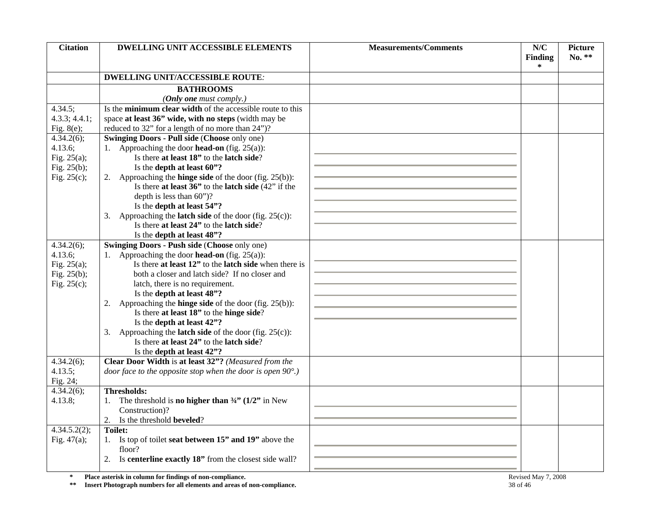| <b>Citation</b> | <b>DWELLING UNIT ACCESSIBLE ELEMENTS</b>                                                                      | <b>Measurements/Comments</b> | N/C<br>Finding      | <b>Picture</b><br>No. ** |
|-----------------|---------------------------------------------------------------------------------------------------------------|------------------------------|---------------------|--------------------------|
|                 |                                                                                                               |                              | ∗                   |                          |
|                 | <b>DWELLING UNIT/ACCESSIBLE ROUTE:</b>                                                                        |                              |                     |                          |
|                 | <b>BATHROOMS</b>                                                                                              |                              |                     |                          |
|                 | (Only one must comply.)                                                                                       |                              |                     |                          |
| 4.34.5;         | Is the minimum clear width of the accessible route to this                                                    |                              |                     |                          |
| 4.3.3; 4.4.1;   | space at least 36" wide, with no steps (width may be                                                          |                              |                     |                          |
| Fig. $8(e)$ ;   | reduced to 32" for a length of no more than 24")?                                                             |                              |                     |                          |
| 4.34.2(6);      | <b>Swinging Doors - Pull side (Choose only one)</b>                                                           |                              |                     |                          |
| 4.13.6;         | 1. Approaching the door <b>head-on</b> (fig. $25(a)$ ):                                                       |                              |                     |                          |
| Fig. $25(a)$ ;  | Is there at least 18" to the latch side?                                                                      |                              |                     |                          |
| Fig. $25(b)$ ;  | Is the depth at least 60"?                                                                                    |                              |                     |                          |
| Fig. $25(c)$ ;  | 2. Approaching the <b>hinge side</b> of the door (fig. $25(b)$ ):                                             |                              |                     |                          |
|                 | Is there at least $36$ " to the latch side $(42)$ " if the                                                    |                              |                     |                          |
|                 | depth is less than 60")?                                                                                      |                              |                     |                          |
|                 | Is the depth at least 54"?                                                                                    |                              |                     |                          |
|                 | 3. Approaching the <b>latch side</b> of the door (fig. $25(c)$ ):                                             |                              |                     |                          |
|                 | Is there at least 24" to the latch side?                                                                      |                              |                     |                          |
|                 | Is the depth at least 48"?                                                                                    |                              |                     |                          |
| 4.34.2(6);      | <b>Swinging Doors - Push side (Choose only one)</b>                                                           |                              |                     |                          |
| 4.13.6;         | 1. Approaching the door <b>head-on</b> (fig. 25(a)):                                                          |                              |                     |                          |
| Fig. $25(a)$ ;  | Is there at least 12" to the latch side when there is                                                         |                              |                     |                          |
| Fig. $25(b)$ ;  | both a closer and latch side? If no closer and                                                                |                              |                     |                          |
| Fig. $25(c)$ ;  | latch, there is no requirement.                                                                               |                              |                     |                          |
|                 | Is the depth at least 48"?                                                                                    |                              |                     |                          |
|                 | 2. Approaching the <b>hinge side</b> of the door (fig. $25(b)$ ):                                             |                              |                     |                          |
|                 | Is there at least 18" to the hinge side?                                                                      |                              |                     |                          |
|                 | Is the depth at least 42"?                                                                                    |                              |                     |                          |
|                 | 3. Approaching the <b>latch side</b> of the door (fig. $25(c)$ ):<br>Is there at least 24" to the latch side? |                              |                     |                          |
|                 |                                                                                                               |                              |                     |                          |
| 4.34.2(6);      | Is the depth at least 42"?<br>Clear Door Width is at least 32"? (Measured from the                            |                              |                     |                          |
| 4.13.5;         | door face to the opposite stop when the door is open $90^{\circ}$ .)                                          |                              |                     |                          |
| Fig. 24;        |                                                                                                               |                              |                     |                          |
| 4.34.2(6);      | <b>Thresholds:</b>                                                                                            |                              |                     |                          |
| 4.13.8;         | 1. The threshold is <b>no higher than</b> $\frac{3}{4}$ (1/2" in New                                          |                              |                     |                          |
|                 | Construction)?                                                                                                |                              |                     |                          |
|                 | Is the threshold <b>beveled</b> ?                                                                             |                              |                     |                          |
| 4.34.5.2(2);    | <b>Toilet:</b>                                                                                                |                              |                     |                          |
| Fig. $47(a)$ ;  | Is top of toilet seat between 15" and 19" above the<br>1.                                                     |                              |                     |                          |
|                 | floor?                                                                                                        |                              |                     |                          |
|                 | Is centerline exactly 18" from the closest side wall?<br>2.                                                   |                              |                     |                          |
|                 |                                                                                                               |                              |                     |                          |
| $\star$         | Place asterisk in column for findings of non-compliance.                                                      |                              | Revised May 7, 2008 |                          |
| $\ast\ast$      | Insert Photograph numbers for all elements and areas of non-compliance.                                       | 38 of 46                     |                     |                          |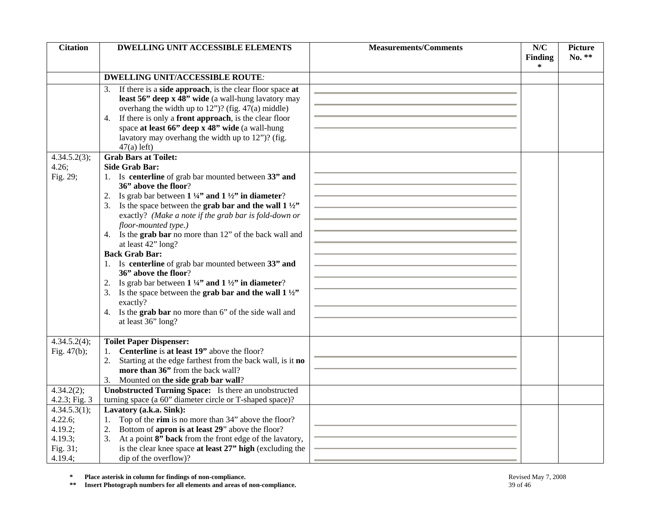| <b>Citation</b>            | <b>DWELLING UNIT ACCESSIBLE ELEMENTS</b>                                                                                            | <b>Measurements/Comments</b> | N/C<br><b>Finding</b> | <b>Picture</b><br>No. ** |
|----------------------------|-------------------------------------------------------------------------------------------------------------------------------------|------------------------------|-----------------------|--------------------------|
|                            |                                                                                                                                     |                              | ∗                     |                          |
|                            | <b>DWELLING UNIT/ACCESSIBLE ROUTE:</b>                                                                                              |                              |                       |                          |
|                            | If there is a side approach, is the clear floor space at<br>3.                                                                      |                              |                       |                          |
|                            | least 56" deep x 48" wide (a wall-hung lavatory may                                                                                 |                              |                       |                          |
|                            | overhang the width up to $12$ ")? (fig. $47(a)$ middle)                                                                             |                              |                       |                          |
|                            | If there is only a front approach, is the clear floor<br>4.                                                                         |                              |                       |                          |
|                            | space at least 66" deep x 48" wide (a wall-hung                                                                                     |                              |                       |                          |
|                            | lavatory may overhang the width up to 12")? (fig.                                                                                   |                              |                       |                          |
| 4.34.5.2(3);               | $47(a)$ left)<br><b>Grab Bars at Toilet:</b>                                                                                        |                              |                       |                          |
| 4.26;                      | <b>Side Grab Bar:</b>                                                                                                               |                              |                       |                          |
| Fig. 29;                   | 1. Is centerline of grab bar mounted between 33" and                                                                                |                              |                       |                          |
|                            | 36" above the floor?                                                                                                                |                              |                       |                          |
|                            | 2. Is grab bar between $1\frac{1}{4}$ and $1\frac{1}{2}$ in diameter?                                                               |                              |                       |                          |
|                            | 3. Is the space between the grab bar and the wall $1\frac{1}{2}$                                                                    |                              |                       |                          |
|                            | exactly? (Make a note if the grab bar is fold-down or                                                                               |                              |                       |                          |
|                            | floor-mounted type.)                                                                                                                |                              |                       |                          |
|                            | 4. Is the grab bar no more than 12" of the back wall and                                                                            |                              |                       |                          |
|                            | at least 42" long?<br><b>Back Grab Bar:</b>                                                                                         |                              |                       |                          |
|                            | 1. Is centerline of grab bar mounted between 33" and                                                                                |                              |                       |                          |
|                            | 36" above the floor?                                                                                                                |                              |                       |                          |
|                            | 2. Is grab bar between $1\frac{1}{4}$ and $1\frac{1}{2}$ in diameter?                                                               |                              |                       |                          |
|                            | 3. Is the space between the grab bar and the wall $1\frac{1}{2}$                                                                    |                              |                       |                          |
|                            | exactly?                                                                                                                            |                              |                       |                          |
|                            | 4. Is the grab bar no more than 6" of the side wall and                                                                             |                              |                       |                          |
|                            | at least 36" long?                                                                                                                  |                              |                       |                          |
| 4.34.5.2(4);               | <b>Toilet Paper Dispenser:</b>                                                                                                      |                              |                       |                          |
| Fig. $47(b)$ ;             | Centerline is at least 19" above the floor?                                                                                         |                              |                       |                          |
|                            | Starting at the edge farthest from the back wall, is it no<br>2.                                                                    |                              |                       |                          |
|                            | more than 36" from the back wall?                                                                                                   |                              |                       |                          |
|                            | Mounted on the side grab bar wall?<br>3.                                                                                            |                              |                       |                          |
| 4.34.2(2);                 | Unobstructed Turning Space: Is there an unobstructed                                                                                |                              |                       |                          |
| 4.2.3; Fig. 3              | turning space (a 60" diameter circle or T-shaped space)?                                                                            |                              |                       |                          |
| 4.34.5.3(1);               | Lavatory (a.k.a. Sink):                                                                                                             |                              |                       |                          |
| 4.22.6;<br>4.19.2;         | 1. Top of the rim is no more than 34" above the floor?<br>Bottom of apron is at least 29" above the floor?                          |                              |                       |                          |
| 4.19.3;                    | 2.<br>At a point 8" back from the front edge of the lavatory,<br>3.                                                                 |                              |                       |                          |
| Fig. 31;                   | is the clear knee space at least 27" high (excluding the                                                                            |                              |                       |                          |
| 4.19.4;                    | dip of the overflow)?                                                                                                               |                              |                       |                          |
|                            |                                                                                                                                     |                              |                       |                          |
| $\approx$<br>$\ast$ $\ast$ | Place asterisk in column for findings of non-compliance.<br>Insert Photograph numbers for all elements and areas of non-compliance. | 39 of 46                     | Revised May 7, 2008   |                          |

**\*** Place asterisk in column for findings of non-compliance.<br> **\*\*** Insert Photograph numbers for all elements and areas of non-compliance.<br>
<sup>\*\*</sup> Insert Photograph numbers for all elements and areas of non-compliance.<br>
39 o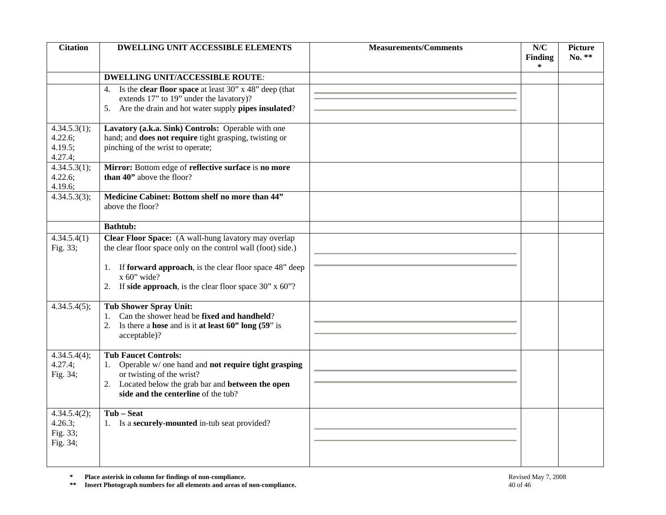| <b>Citation</b>                                    | <b>DWELLING UNIT ACCESSIBLE ELEMENTS</b>                                                                                                                                                                                                                              | <b>Measurements/Comments</b> | N/C<br><b>Finding</b><br>∗ | <b>Picture</b><br>$No.$ ** |
|----------------------------------------------------|-----------------------------------------------------------------------------------------------------------------------------------------------------------------------------------------------------------------------------------------------------------------------|------------------------------|----------------------------|----------------------------|
|                                                    | <b>DWELLING UNIT/ACCESSIBLE ROUTE:</b>                                                                                                                                                                                                                                |                              |                            |                            |
|                                                    | Is the <b>clear floor space</b> at least 30" x 48" deep (that<br>4.<br>extends 17" to 19" under the lavatory)?<br>Are the drain and hot water supply pipes insulated?<br>5.                                                                                           |                              |                            |                            |
| 4.34.5.3(1);<br>4.22.6;<br>4.19.5;<br>4.27.4;      | Lavatory (a.k.a. Sink) Controls: Operable with one<br>hand; and does not require tight grasping, twisting or<br>pinching of the wrist to operate;                                                                                                                     |                              |                            |                            |
| 4.34.5.3(1);<br>4.22.6;<br>4.19.6;                 | Mirror: Bottom edge of reflective surface is no more<br>than 40" above the floor?                                                                                                                                                                                     |                              |                            |                            |
| 4.34.5.3(3);                                       | Medicine Cabinet: Bottom shelf no more than 44"<br>above the floor?                                                                                                                                                                                                   |                              |                            |                            |
|                                                    | <b>Bathtub:</b>                                                                                                                                                                                                                                                       |                              |                            |                            |
| 4.34.5.4(1)<br>Fig. 33;                            | Clear Floor Space: (A wall-hung lavatory may overlap<br>the clear floor space only on the control wall (foot) side.)<br>If forward approach, is the clear floor space 48" deep<br>1.<br>$x 60$ " wide?<br>If side approach, is the clear floor space $30$ " x $60$ "? |                              |                            |                            |
| 4.34.5.4(5);                                       | <b>Tub Shower Spray Unit:</b><br>Can the shower head be fixed and handheld?<br>1.<br>2. Is there a hose and is it at least $60"$ long $(59"$ is<br>acceptable)?                                                                                                       |                              |                            |                            |
| 4.34.5.4(4);<br>4.27.4;<br>Fig. 34;                | <b>Tub Faucet Controls:</b><br>Operable w/ one hand and not require tight grasping<br>1.<br>or twisting of the wrist?<br>2. Located below the grab bar and <b>between the open</b><br>side and the centerline of the tub?                                             |                              |                            |                            |
| $4.34.5.4(2)$ ;<br>4.26.3;<br>Fig. 33;<br>Fig. 34; | Tub - Seat<br>1. Is a <b>securely-mounted</b> in-tub seat provided?                                                                                                                                                                                                   |                              |                            |                            |
| $\approx$<br>$\pm\pm$                              | Place asterisk in column for findings of non-compliance.<br>Insert Photograph numbers for all elements and areas of non-compliance.                                                                                                                                   | 40 of 46                     | Revised May 7, 2008        |                            |

**\*** Place asterisk in column for findings of non-compliance.<br> **\*\*** Insert Photograph numbers for all elements and areas of non-compliance.<br>
40 of 46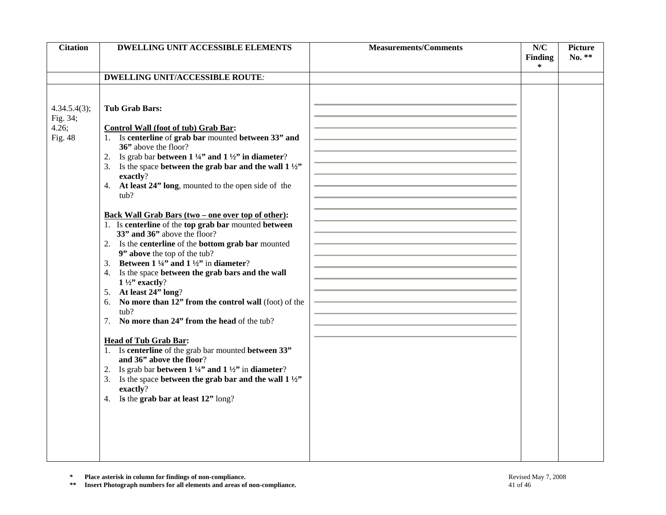| <b>Citation</b>                              | <b>DWELLING UNIT ACCESSIBLE ELEMENTS</b>                                                                                                                                                                                                                                                                                                                                                                                                                                                                                                                                                                                                                                                                                                                                                                                                                                                                                                                                                                                                                                                                                                                                                                                                                       | <b>Measurements/Comments</b> | N/C<br>Finding      | <b>Picture</b><br>No. ** |
|----------------------------------------------|----------------------------------------------------------------------------------------------------------------------------------------------------------------------------------------------------------------------------------------------------------------------------------------------------------------------------------------------------------------------------------------------------------------------------------------------------------------------------------------------------------------------------------------------------------------------------------------------------------------------------------------------------------------------------------------------------------------------------------------------------------------------------------------------------------------------------------------------------------------------------------------------------------------------------------------------------------------------------------------------------------------------------------------------------------------------------------------------------------------------------------------------------------------------------------------------------------------------------------------------------------------|------------------------------|---------------------|--------------------------|
|                                              |                                                                                                                                                                                                                                                                                                                                                                                                                                                                                                                                                                                                                                                                                                                                                                                                                                                                                                                                                                                                                                                                                                                                                                                                                                                                |                              | *                   |                          |
|                                              | <b>DWELLING UNIT/ACCESSIBLE ROUTE:</b>                                                                                                                                                                                                                                                                                                                                                                                                                                                                                                                                                                                                                                                                                                                                                                                                                                                                                                                                                                                                                                                                                                                                                                                                                         |                              |                     |                          |
| 4.34.5.4(3);<br>Fig. 34;<br>4.26;<br>Fig. 48 | <b>Tub Grab Bars:</b><br><b>Control Wall (foot of tub) Grab Bar:</b><br>1. Is centerline of grab bar mounted between 33" and<br>36" above the floor?<br>2. Is grab bar between $1\frac{1}{4}$ and $1\frac{1}{2}$ in diameter?<br>3. Is the space between the grab bar and the wall $1\frac{1}{2}$<br>exactly?<br>4. At least 24" long, mounted to the open side of the<br>tub?<br><u>Back Wall Grab Bars (two – one over top of other):</u><br>1. Is centerline of the top grab bar mounted between<br>33" and 36" above the floor?<br>2. Is the <b>centerline</b> of the <b>bottom grab bar</b> mounted<br>9" above the top of the tub?<br>3. Between $1\frac{1}{4}$ and $1\frac{1}{2}$ in diameter?<br>4. Is the space between the grab bars and the wall<br>$1\frac{1}{2}$ exactly?<br>5. At least 24" long?<br>No more than 12" from the control wall (foot) of the<br>6.<br>tub?<br>7. No more than 24" from the head of the tub?<br><b>Head of Tub Grab Bar:</b><br>1. Is centerline of the grab bar mounted between 33"<br>and 36" above the floor?<br>2. Is grab bar between $1\frac{1}{4}$ and $1\frac{1}{2}$ in diameter?<br>3. Is the space between the grab bar and the wall $1\frac{1}{2}$ .<br>exactly?<br>4. Is the grab bar at least 12" long? |                              |                     |                          |
|                                              |                                                                                                                                                                                                                                                                                                                                                                                                                                                                                                                                                                                                                                                                                                                                                                                                                                                                                                                                                                                                                                                                                                                                                                                                                                                                |                              |                     |                          |
| $\approx$<br>$***$                           | Place asterisk in column for findings of non-compliance.<br>Insert Photograph numbers for all elements and areas of non-compliance.                                                                                                                                                                                                                                                                                                                                                                                                                                                                                                                                                                                                                                                                                                                                                                                                                                                                                                                                                                                                                                                                                                                            | 41 of 46                     | Revised May 7, 2008 |                          |

**\*** Place asterisk in column for findings of non-compliance.<br> **\*\*** Insert Photograph numbers for all elements and areas of non-compliance. 41 of 46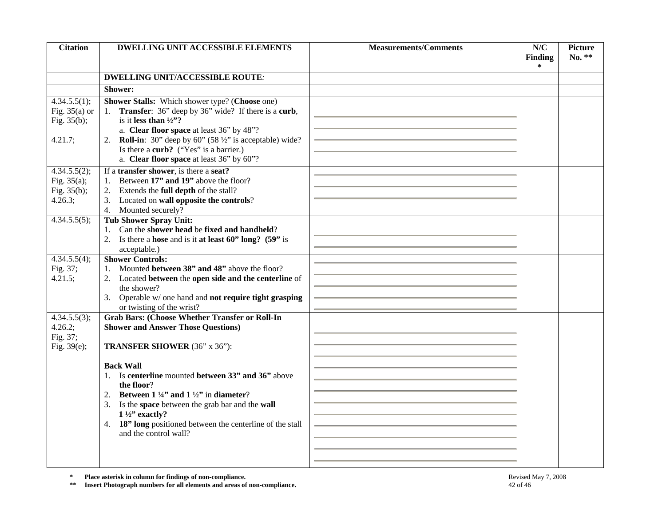| <b>Citation</b>                                              | <b>DWELLING UNIT ACCESSIBLE ELEMENTS</b>                                                                                                                                                                                                                                                                                                                                                                                                                               | <b>Measurements/Comments</b> | N/C<br><b>Finding</b> | <b>Picture</b><br>No. ** |
|--------------------------------------------------------------|------------------------------------------------------------------------------------------------------------------------------------------------------------------------------------------------------------------------------------------------------------------------------------------------------------------------------------------------------------------------------------------------------------------------------------------------------------------------|------------------------------|-----------------------|--------------------------|
|                                                              |                                                                                                                                                                                                                                                                                                                                                                                                                                                                        |                              | ∗                     |                          |
|                                                              | <b>DWELLING UNIT/ACCESSIBLE ROUTE:</b>                                                                                                                                                                                                                                                                                                                                                                                                                                 |                              |                       |                          |
|                                                              | Shower:                                                                                                                                                                                                                                                                                                                                                                                                                                                                |                              |                       |                          |
| 4.34.5.5(1);<br>Fig. $35(a)$ or<br>Fig. $35(b)$ ;<br>4.21.7; | Shower Stalls: Which shower type? (Choose one)<br>1. Transfer: 36" deep by 36" wide? If there is a curb,<br>is it less than $\frac{1}{2}$ ?<br>a. Clear floor space at least 36" by 48"?<br>2. <b>Roll-in</b> : 30" deep by 60" $(58 \frac{1}{2})$ " is acceptable) wide?<br>Is there a curb? ("Yes" is a barrier.)                                                                                                                                                    |                              |                       |                          |
|                                                              | a. Clear floor space at least 36" by 60"?                                                                                                                                                                                                                                                                                                                                                                                                                              |                              |                       |                          |
| 4.34.5.5(2);<br>Fig. $35(a)$ ;<br>Fig. 35(b);<br>4.26.3;     | If a transfer shower, is there a seat?<br>Between 17" and 19" above the floor?<br>1.<br>Extends the full depth of the stall?<br>2.<br>Located on wall opposite the controls?<br>3.<br>Mounted securely?<br>4.                                                                                                                                                                                                                                                          |                              |                       |                          |
| 4.34.5.5(5);                                                 | <b>Tub Shower Spray Unit:</b><br>Can the shower head be fixed and handheld?<br>1.<br>2. Is there a hose and is it at least $60"$ long? $(59"$ is<br>acceptable.)                                                                                                                                                                                                                                                                                                       |                              |                       |                          |
| 4.34.5.5(4);<br>Fig. 37;<br>4.21.5;                          | <b>Shower Controls:</b><br>Mounted between 38" and 48" above the floor?<br>2. Located between the open side and the centerline of<br>the shower?<br>3. Operable w/ one hand and not require tight grasping<br>or twisting of the wrist?                                                                                                                                                                                                                                |                              |                       |                          |
| 4.34.5.5(3);<br>4.26.2;<br>Fig. 37;<br>Fig. $39(e)$ ;        | <b>Grab Bars: (Choose Whether Transfer or Roll-In</b><br><b>Shower and Answer Those Questions)</b><br>TRANSFER SHOWER (36" x 36"):<br><b>Back Wall</b><br>1. Is centerline mounted between 33" and 36" above<br>the floor?<br>Between $1\frac{1}{4}$ and $1\frac{1}{2}$ in diameter?<br>2.<br>Is the space between the grab bar and the wall<br>3.<br>$1\frac{1}{2}$ " exactly?<br>4. 18" long positioned between the centerline of the stall<br>and the control wall? |                              |                       |                          |
| $\approx$<br>$\pm\pm$                                        | Place asterisk in column for findings of non-compliance.<br>Insert Photograph numbers for all elements and areas of non-compliance.                                                                                                                                                                                                                                                                                                                                    | 42 of 46                     | Revised May 7, 2008   |                          |

**\*** Place asterisk in column for findings of non-compliance.<br> **\*\*** Insert Photograph numbers for all elements and areas of non-compliance. 42 of 46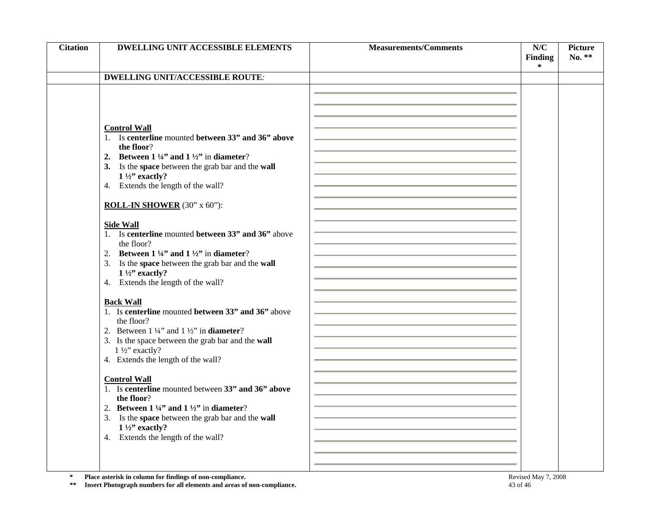| <b>Citation</b>       | <b>DWELLING UNIT ACCESSIBLE ELEMENTS</b>                                                                                                                                                                                                                                                                                                                                                                                                                                                                                                                                                                                                                                                                                                                                                                                                                                                                                                                                                                                                                                                                                                    | <b>Measurements/Comments</b> | N/C<br><b>Finding</b> | <b>Picture</b><br>No. ** |
|-----------------------|---------------------------------------------------------------------------------------------------------------------------------------------------------------------------------------------------------------------------------------------------------------------------------------------------------------------------------------------------------------------------------------------------------------------------------------------------------------------------------------------------------------------------------------------------------------------------------------------------------------------------------------------------------------------------------------------------------------------------------------------------------------------------------------------------------------------------------------------------------------------------------------------------------------------------------------------------------------------------------------------------------------------------------------------------------------------------------------------------------------------------------------------|------------------------------|-----------------------|--------------------------|
|                       |                                                                                                                                                                                                                                                                                                                                                                                                                                                                                                                                                                                                                                                                                                                                                                                                                                                                                                                                                                                                                                                                                                                                             |                              | ∗                     |                          |
|                       |                                                                                                                                                                                                                                                                                                                                                                                                                                                                                                                                                                                                                                                                                                                                                                                                                                                                                                                                                                                                                                                                                                                                             |                              |                       |                          |
|                       | <b>DWELLING UNIT/ACCESSIBLE ROUTE:</b><br><b>Control Wall</b><br>1. Is centerline mounted between 33" and 36" above<br>the floor?<br>2. Between $1\frac{1}{4}$ and $1\frac{1}{2}$ in diameter?<br>3. Is the space between the grab bar and the wall<br>$1\frac{1}{2}$ " exactly?<br>4. Extends the length of the wall?<br><b>ROLL-IN SHOWER</b> (30" x 60"):<br><b>Side Wall</b><br>1. Is centerline mounted between 33" and 36" above<br>the floor?<br>2. Between $1\frac{1}{4}$ and $1\frac{1}{2}$ in diameter?<br>3. Is the space between the grab bar and the wall<br>$1\frac{1}{2}$ " exactly?<br>4. Extends the length of the wall?<br><b>Back Wall</b><br>1. Is centerline mounted between 33" and 36" above<br>the floor?<br>2. Between $1\frac{1}{4}$ and $1\frac{1}{2}$ in <b>diameter</b> ?<br>3. Is the space between the grab bar and the wall<br>$1\frac{1}{2}$ " exactly?<br>4. Extends the length of the wall?<br><b>Control Wall</b><br>1. Is centerline mounted between 33" and 36" above<br>the floor?<br>2. Between $1\frac{1}{4}$ and $1\frac{1}{2}$ in diameter?<br>3. Is the space between the grab bar and the wall |                              |                       |                          |
|                       | $1\frac{1}{2}$ " exactly?                                                                                                                                                                                                                                                                                                                                                                                                                                                                                                                                                                                                                                                                                                                                                                                                                                                                                                                                                                                                                                                                                                                   |                              |                       |                          |
|                       | 4. Extends the length of the wall?                                                                                                                                                                                                                                                                                                                                                                                                                                                                                                                                                                                                                                                                                                                                                                                                                                                                                                                                                                                                                                                                                                          |                              |                       |                          |
|                       |                                                                                                                                                                                                                                                                                                                                                                                                                                                                                                                                                                                                                                                                                                                                                                                                                                                                                                                                                                                                                                                                                                                                             |                              |                       |                          |
| $\star$<br>$\ast\ast$ | Place asterisk in column for findings of non-compliance.<br>Insert Photograph numbers for all elements and areas of non-compliance.                                                                                                                                                                                                                                                                                                                                                                                                                                                                                                                                                                                                                                                                                                                                                                                                                                                                                                                                                                                                         | 43 of 46                     | Revised May 7, 2008   |                          |

**\*** Place asterisk in column for findings of non-compliance.<br> **\*\*** Insert Photograph numbers for all elements and areas of non-compliance.<br>
43 of 46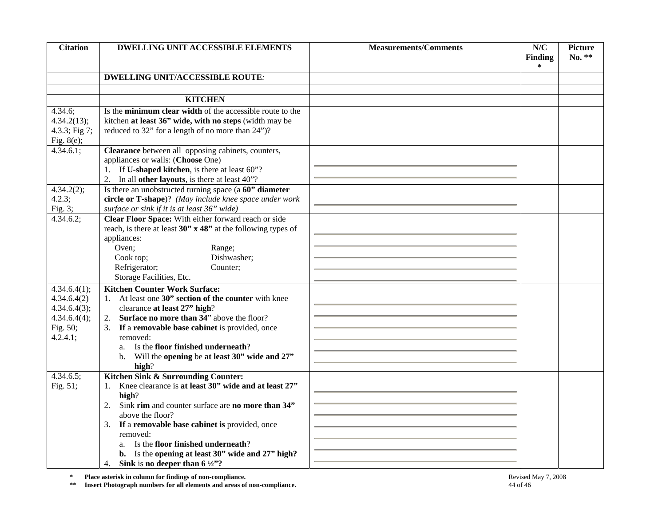| <b>Citation</b>             | <b>DWELLING UNIT ACCESSIBLE ELEMENTS</b>                                                                                            | <b>Measurements/Comments</b> | N/C<br><b>Finding</b> | <b>Picture</b><br>No. ** |
|-----------------------------|-------------------------------------------------------------------------------------------------------------------------------------|------------------------------|-----------------------|--------------------------|
|                             |                                                                                                                                     |                              | ∗                     |                          |
|                             | <b>DWELLING UNIT/ACCESSIBLE ROUTE:</b>                                                                                              |                              |                       |                          |
|                             |                                                                                                                                     |                              |                       |                          |
|                             | <b>KITCHEN</b>                                                                                                                      |                              |                       |                          |
| 4.34.6;                     | Is the <b>minimum clear width</b> of the accessible route to the                                                                    |                              |                       |                          |
| 4.34.2(13);                 | kitchen at least 36" wide, with no steps (width may be                                                                              |                              |                       |                          |
| 4.3.3; Fig 7;               | reduced to 32" for a length of no more than 24")?                                                                                   |                              |                       |                          |
| Fig. $8(e)$ ;               |                                                                                                                                     |                              |                       |                          |
| 4.34.6.1;                   | Clearance between all opposing cabinets, counters,                                                                                  |                              |                       |                          |
|                             | appliances or walls: (Choose One)<br>1. If U-shaped kitchen, is there at least 60"?                                                 |                              |                       |                          |
|                             | 2. In all other layouts, is there at least 40"?                                                                                     |                              |                       |                          |
| 4.34.2(2);                  | Is there an unobstructed turning space (a 60" diameter                                                                              |                              |                       |                          |
| 4.2.3;                      | circle or T-shape)? (May include knee space under work                                                                              |                              |                       |                          |
| Fig. $3;$                   | surface or sink if it is at least 36" wide)                                                                                         |                              |                       |                          |
| 4.34.6.2;                   | Clear Floor Space: With either forward reach or side                                                                                |                              |                       |                          |
|                             | reach, is there at least $30$ " $\times$ 48" at the following types of                                                              |                              |                       |                          |
|                             | appliances:                                                                                                                         |                              |                       |                          |
|                             | Oven;<br>Range;                                                                                                                     |                              |                       |                          |
|                             | Dishwasher;<br>Cook top;                                                                                                            |                              |                       |                          |
|                             | Refrigerator;<br>Counter;                                                                                                           |                              |                       |                          |
|                             | Storage Facilities, Etc.                                                                                                            |                              |                       |                          |
| 4.34.6.4(1);                | <b>Kitchen Counter Work Surface:</b><br>1. At least one 30" section of the counter with knee                                        |                              |                       |                          |
| 4.34.6.4(2)<br>4.34.6.4(3); | clearance at least 27" high?                                                                                                        |                              |                       |                          |
| 4.34.6.4(4);                | 2. Surface no more than 34" above the floor?                                                                                        |                              |                       |                          |
| Fig. 50;                    | 3. If a removable base cabinet is provided, once                                                                                    |                              |                       |                          |
| 4.2.4.1;                    | removed:                                                                                                                            |                              |                       |                          |
|                             | a. Is the floor finished underneath?                                                                                                |                              |                       |                          |
|                             | Will the opening be at least 30" wide and 27"<br>b.                                                                                 |                              |                       |                          |
|                             | high?                                                                                                                               |                              |                       |                          |
| 4.34.6.5;                   | Kitchen Sink & Surrounding Counter:                                                                                                 |                              |                       |                          |
| Fig. 51;                    | Knee clearance is at least 30" wide and at least 27"<br>1.                                                                          |                              |                       |                          |
|                             | high?<br>Sink rim and counter surface are no more than 34"<br>2.                                                                    |                              |                       |                          |
|                             | above the floor?                                                                                                                    |                              |                       |                          |
|                             | 3. If a removable base cabinet is provided, once                                                                                    |                              |                       |                          |
|                             | removed:                                                                                                                            |                              |                       |                          |
|                             | Is the floor finished underneath?<br>a.                                                                                             |                              |                       |                          |
|                             | b. Is the opening at least 30" wide and 27" high?                                                                                   |                              |                       |                          |
|                             | Sink is no deeper than $6\frac{1}{2}$ ?<br>4.                                                                                       |                              |                       |                          |
| $\approx$<br>$\pm$ $\pm$    | Place asterisk in column for findings of non-compliance.<br>Insert Photograph numbers for all elements and areas of non-compliance. | 44 of 46                     | Revised May 7, 2008   |                          |

**\*** Place asterisk in column for findings of non-compliance.<br> **\*\*** Insert Photograph numbers for all elements and areas of non-compliance. 44 of 46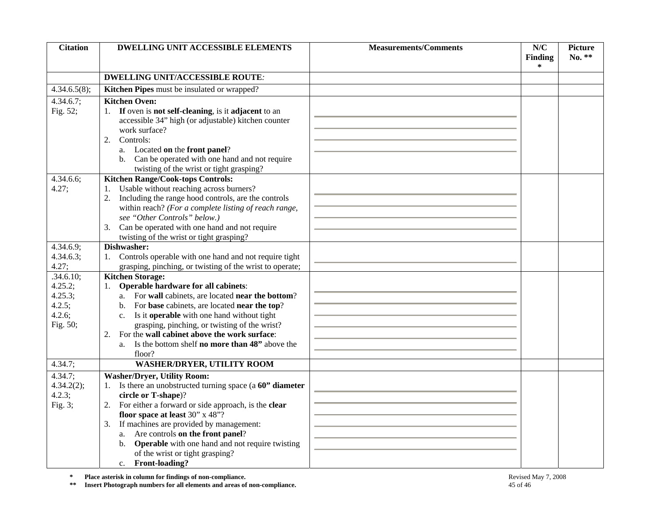| <b>Citation</b>                                                                                                                                                                                 | <b>DWELLING UNIT ACCESSIBLE ELEMENTS</b>                                              | <b>Measurements/Comments</b> | N/C                 | <b>Picture</b><br>No. ** |
|-------------------------------------------------------------------------------------------------------------------------------------------------------------------------------------------------|---------------------------------------------------------------------------------------|------------------------------|---------------------|--------------------------|
|                                                                                                                                                                                                 |                                                                                       |                              | <b>Finding</b><br>∗ |                          |
|                                                                                                                                                                                                 | <b>DWELLING UNIT/ACCESSIBLE ROUTE:</b>                                                |                              |                     |                          |
| 4.34.6.5(8);                                                                                                                                                                                    | Kitchen Pipes must be insulated or wrapped?                                           |                              |                     |                          |
| 4.34.6.7;                                                                                                                                                                                       | <b>Kitchen Oven:</b>                                                                  |                              |                     |                          |
| Fig. 52;                                                                                                                                                                                        | 1. If oven is not self-cleaning, is it adjacent to an                                 |                              |                     |                          |
|                                                                                                                                                                                                 | accessible 34" high (or adjustable) kitchen counter                                   |                              |                     |                          |
|                                                                                                                                                                                                 | work surface?                                                                         |                              |                     |                          |
|                                                                                                                                                                                                 | Controls:<br>2.                                                                       |                              |                     |                          |
|                                                                                                                                                                                                 | a. Located on the front panel?                                                        |                              |                     |                          |
|                                                                                                                                                                                                 | Can be operated with one hand and not require<br>b.                                   |                              |                     |                          |
|                                                                                                                                                                                                 | twisting of the wrist or tight grasping?                                              |                              |                     |                          |
| 4.34.6.6;                                                                                                                                                                                       | <b>Kitchen Range/Cook-tops Controls:</b>                                              |                              |                     |                          |
| 4.27;                                                                                                                                                                                           | Usable without reaching across burners?                                               |                              |                     |                          |
|                                                                                                                                                                                                 | Including the range hood controls, are the controls<br>2.                             |                              |                     |                          |
|                                                                                                                                                                                                 | within reach? (For a complete listing of reach range,<br>see "Other Controls" below.) |                              |                     |                          |
|                                                                                                                                                                                                 | Can be operated with one hand and not require<br>3.                                   |                              |                     |                          |
|                                                                                                                                                                                                 | twisting of the wrist or tight grasping?                                              |                              |                     |                          |
| 4.34.6.9;                                                                                                                                                                                       | Dishwasher:                                                                           |                              |                     |                          |
| 4.34.6.3;                                                                                                                                                                                       | 1. Controls operable with one hand and not require tight                              |                              |                     |                          |
| 4.27;                                                                                                                                                                                           | grasping, pinching, or twisting of the wrist to operate;                              |                              |                     |                          |
| .34.6.10;                                                                                                                                                                                       | <b>Kitchen Storage:</b>                                                               |                              |                     |                          |
| 4.25.2;                                                                                                                                                                                         | <b>Operable hardware for all cabinets:</b><br>1.                                      |                              |                     |                          |
| 4.25.3;                                                                                                                                                                                         | a. For wall cabinets, are located near the bottom?                                    |                              |                     |                          |
| 4.2.5;                                                                                                                                                                                          | b. For base cabinets, are located near the top?                                       |                              |                     |                          |
| 4.2.6;                                                                                                                                                                                          | Is it operable with one hand without tight<br>$c_{\cdot}$                             |                              |                     |                          |
| Fig. 50;                                                                                                                                                                                        | grasping, pinching, or twisting of the wrist?                                         |                              |                     |                          |
|                                                                                                                                                                                                 | For the wall cabinet above the work surface:<br>2.                                    |                              |                     |                          |
|                                                                                                                                                                                                 | Is the bottom shelf no more than 48" above the<br>a.                                  |                              |                     |                          |
| 4.34.7;                                                                                                                                                                                         | floor?<br><b>WASHER/DRYER, UTILITY ROOM</b>                                           |                              |                     |                          |
|                                                                                                                                                                                                 |                                                                                       |                              |                     |                          |
| 4.34.7;                                                                                                                                                                                         | <b>Washer/Dryer, Utility Room:</b>                                                    |                              |                     |                          |
| 4.34.2(2);                                                                                                                                                                                      | 1. Is there an unobstructed turning space ( $a 60$ " diameter<br>circle or T-shape)?  |                              |                     |                          |
| 4.2.3;<br>Fig. $3$ ;                                                                                                                                                                            | For either a forward or side approach, is the clear<br>2.                             |                              |                     |                          |
|                                                                                                                                                                                                 | floor space at least 30" x 48"?                                                       |                              |                     |                          |
|                                                                                                                                                                                                 | If machines are provided by management:<br>3.                                         |                              |                     |                          |
|                                                                                                                                                                                                 | Are controls on the front panel?<br>a.                                                |                              |                     |                          |
|                                                                                                                                                                                                 | <b>Operable</b> with one hand and not require twisting<br>b.                          |                              |                     |                          |
|                                                                                                                                                                                                 | of the wrist or tight grasping?                                                       |                              |                     |                          |
|                                                                                                                                                                                                 | Front-loading?<br>c.                                                                  |                              |                     |                          |
| Place asterisk in column for findings of non-compliance.<br>$\approx$<br>Revised May 7, 2008<br>Insert Photograph numbers for all elements and areas of non-compliance.<br>$\pm\pm$<br>45 of 46 |                                                                                       |                              |                     |                          |

**\*** Place asterisk in column for findings of non-compliance.<br> **\*\*** Insert Photograph numbers for all elements and areas of non-compliance. 45 of 46